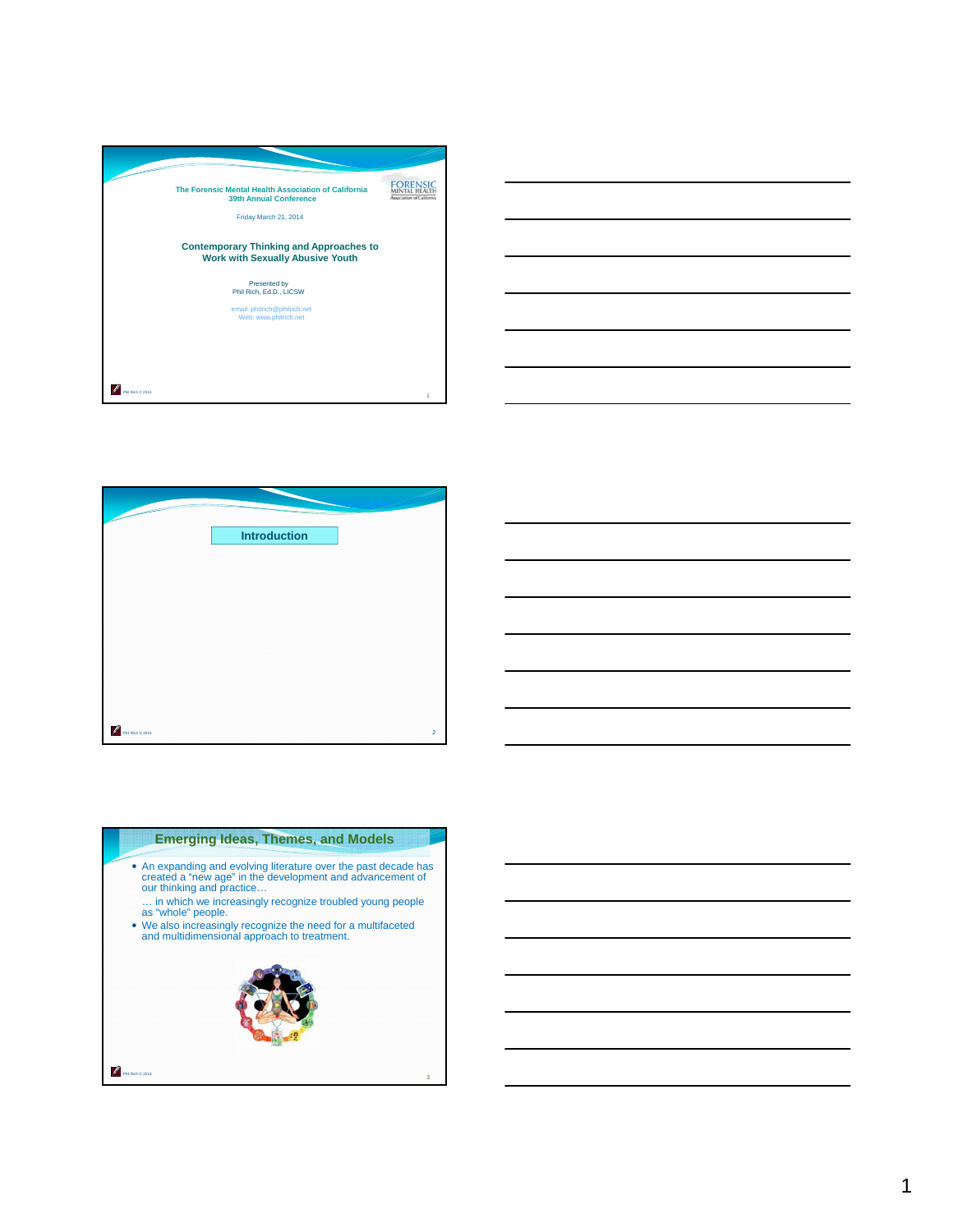





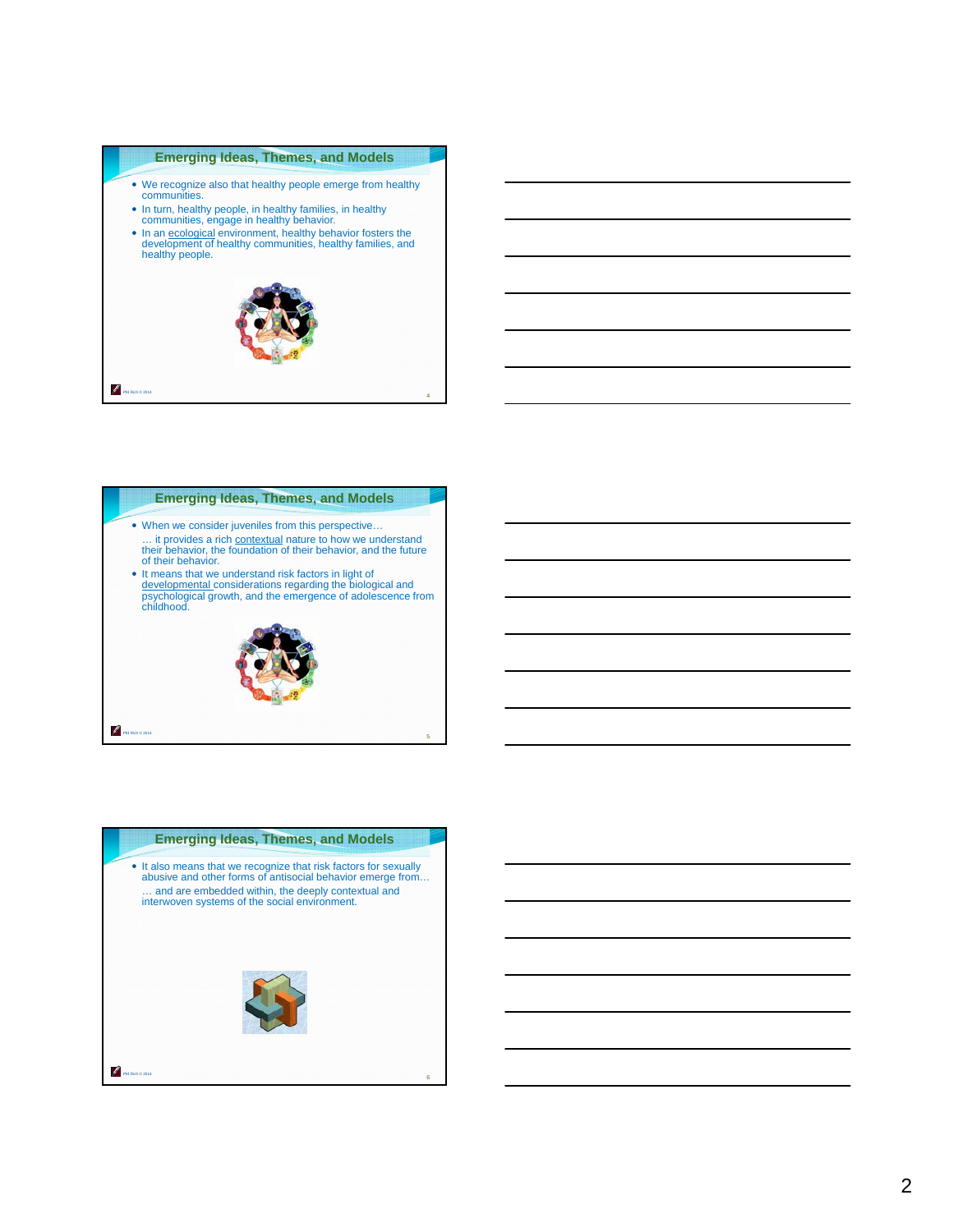

- We recognize also that healthy people emerge from healthy communities.
- In turn, healthy people, in healthy families, in healthy communities, engage in healthy behavior.
- In an ecological environment, healthy behavior fosters the development of healthy communities, healthy families, and healthy people.





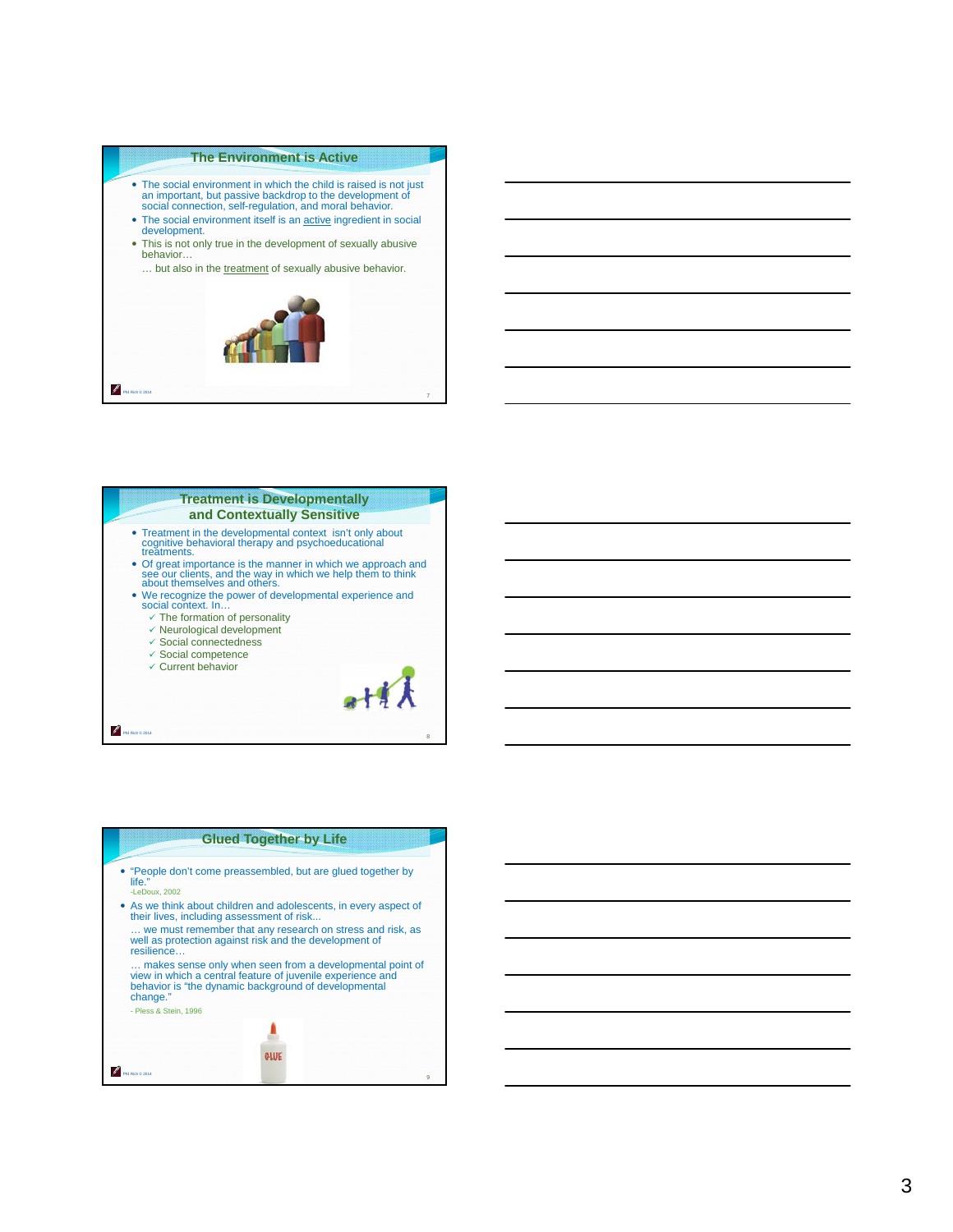#### **The Environment is Active**

- The social environment in which the child is raised is not just an important, but passive backdrop to the development of social connection, self-regulation, and moral behavior.
- The social environment itself is an **active ingredient in social** development.
- This is not only true in the development of sexually abusive behavior…

… but also in the treatment of sexually abusive behavior.



#### **Treatment is Developmentally and Contextually Sensitive**

- Treatment in the developmental context isn't only about cognitive behavioral therapy and psychoeducational treatments.
- Of great importance is the manner in which we approach and see our clients, and the way in which we help them to think about themselves and others.
- We recognize the power of developmental experience and<br>We recognize the power of developmental experience and<br>social context. In…
	- The formation of personality
	- Neurological development
	- $\checkmark$  Social connectedness
	- Social competence
	- $\checkmark$  Current behavior

Phil Rich © 2014



8

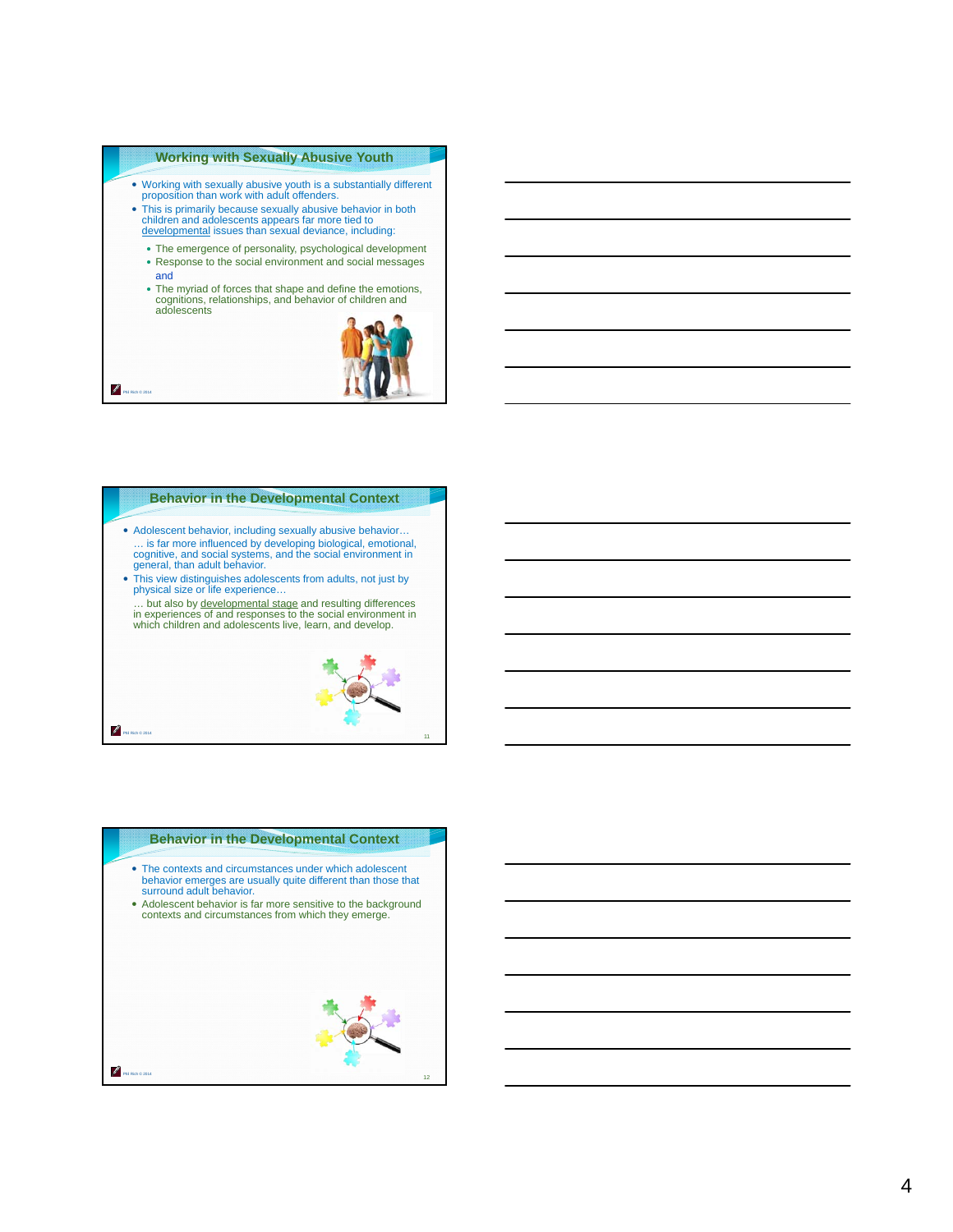#### **Working with Sexually Abusive Youth**

- Working with sexually abusive youth is a substantially different proposition than work with adult offenders.
- This is primarily because sexually abusive behavior in both children and adolescents appears far more tied to developmental issues than sexual deviance, including:
	- The emergence of personality, psychological development Response to the social environment and social messages
	- and
	- The myriad of forces that shape and define the emotions, cognitions, relationships, and behavior of children and adolescents



#### **Behavior in the Developmental Context**

Phil Rich © 2014

Ø

- Adolescent behavior, including sexually abusive behavior… … is far more influenced by developing biological, emotional, cognitive, and social systems, and the social environment in general, than adult behavior.
- This view distinguishes adolescents from adults, not just by physical size or life experience…
- ... but also by developmental stage and resulting differences in experiences of and responses to the social environment in which children and adolescents live, learn, and develop.



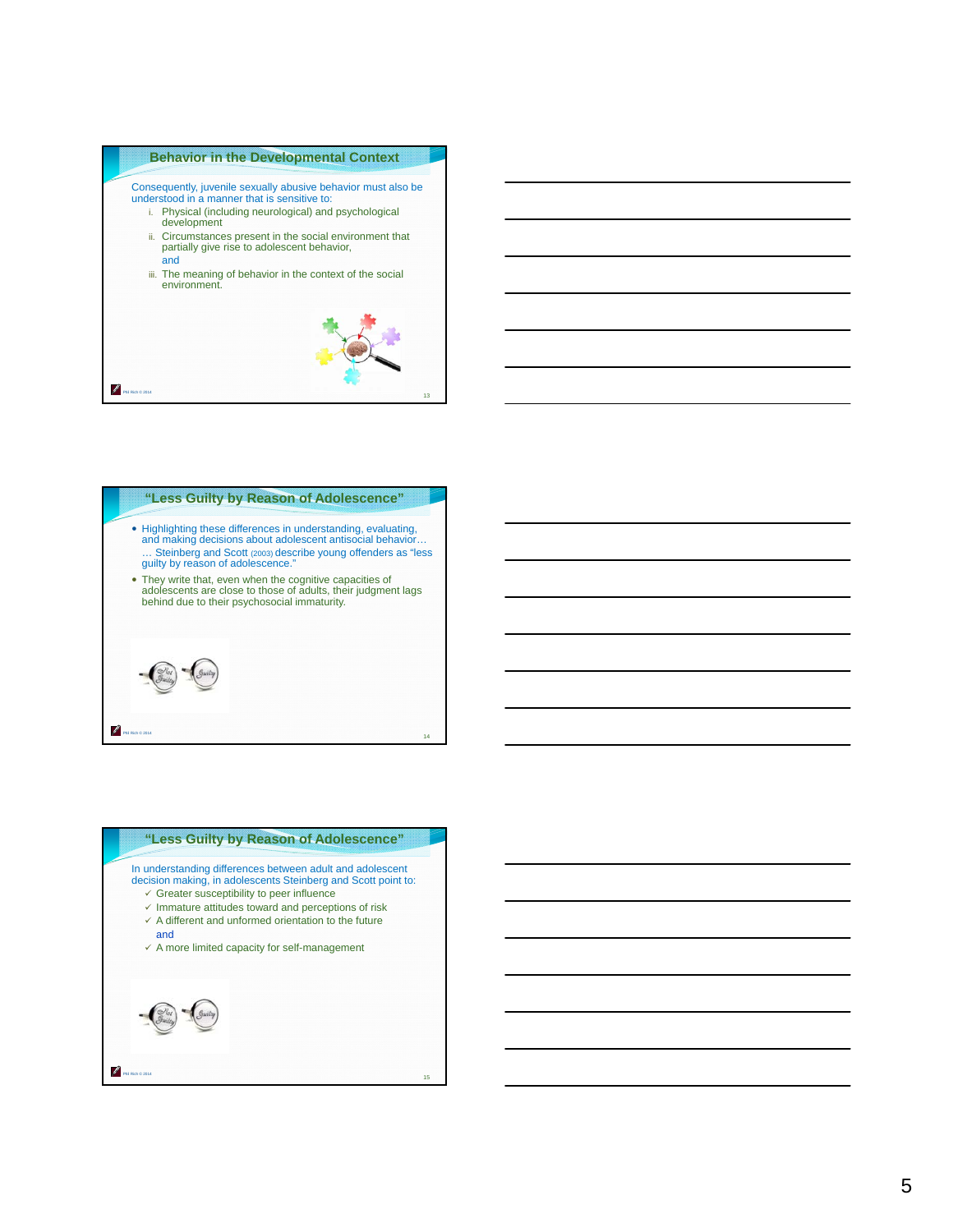



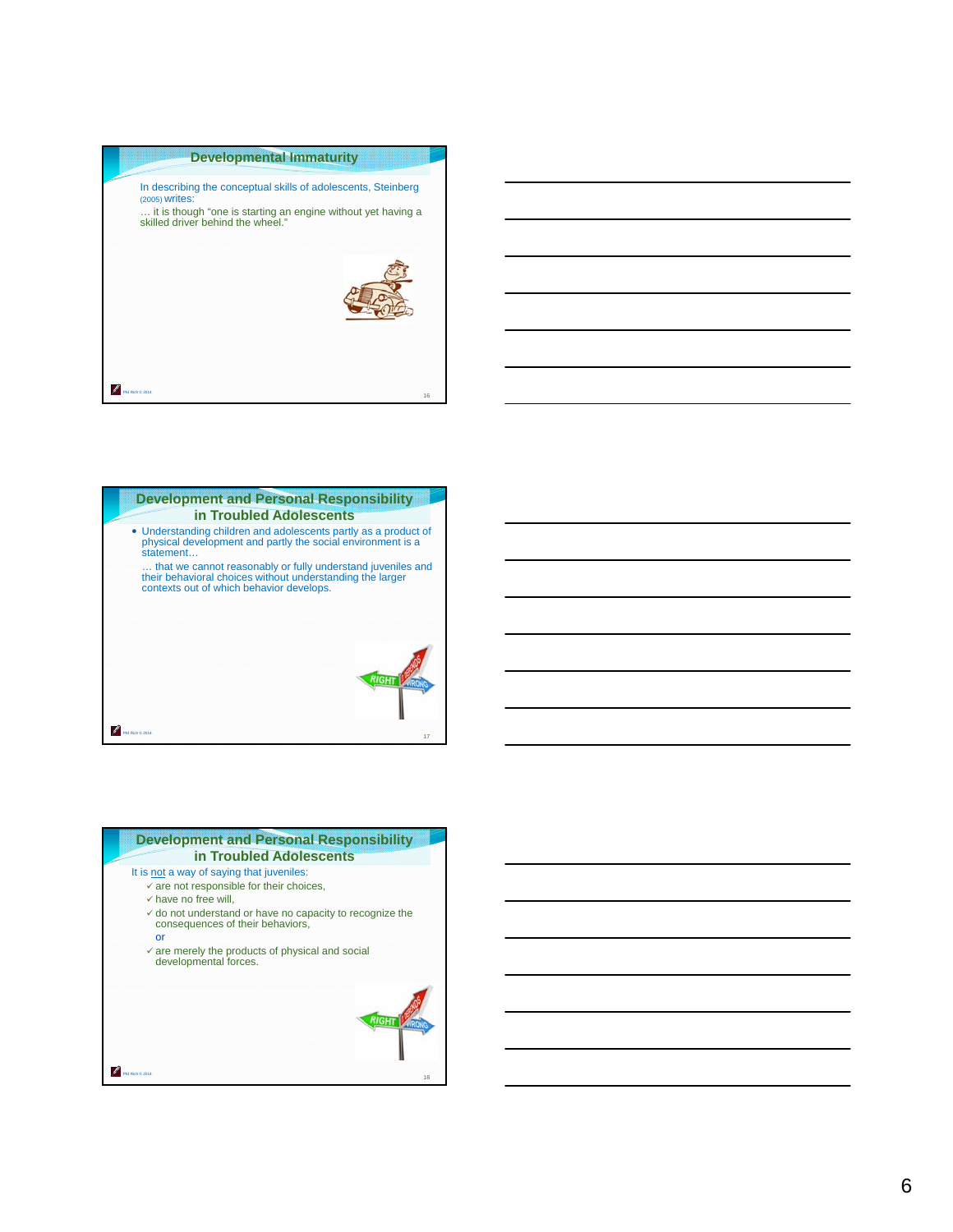



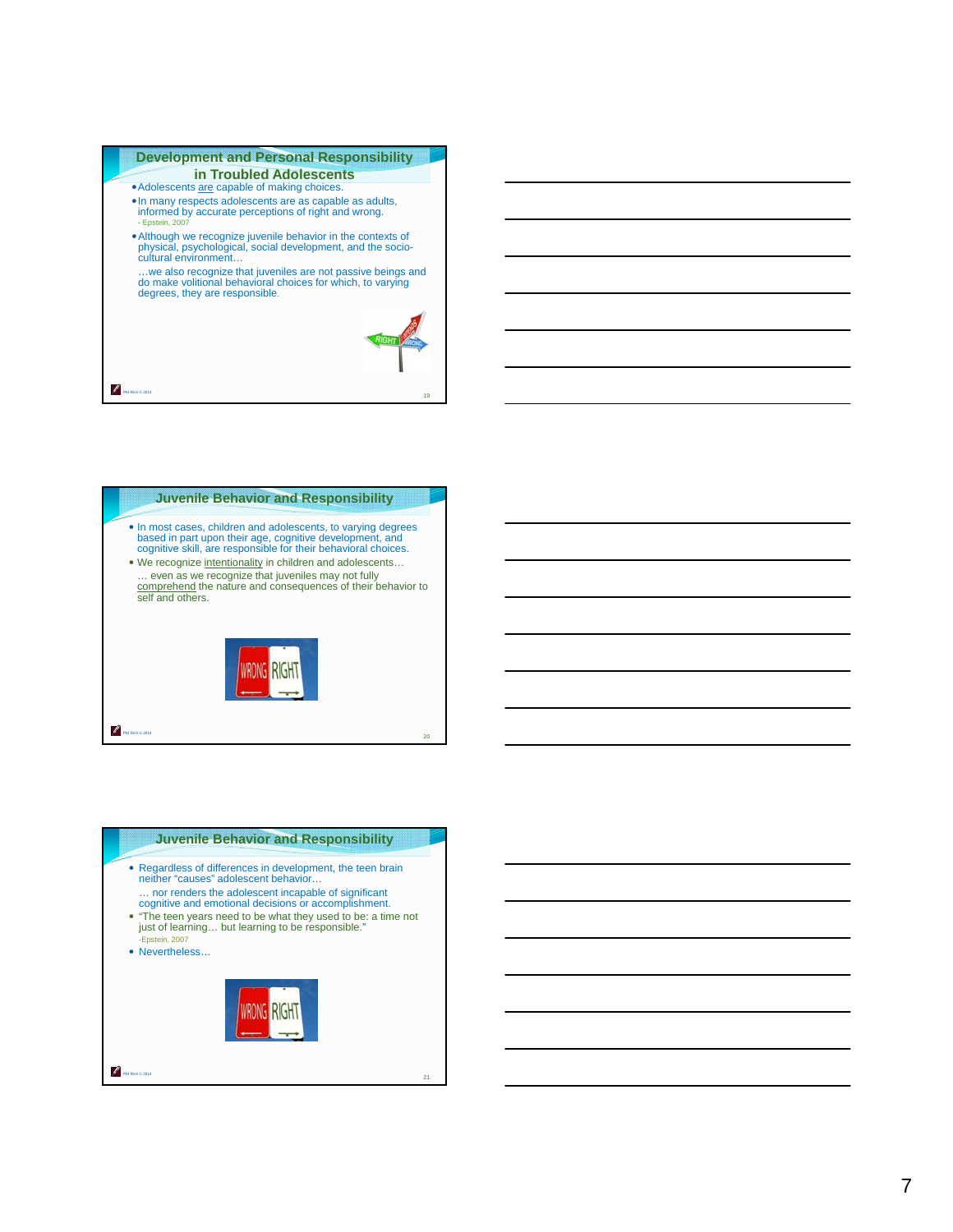



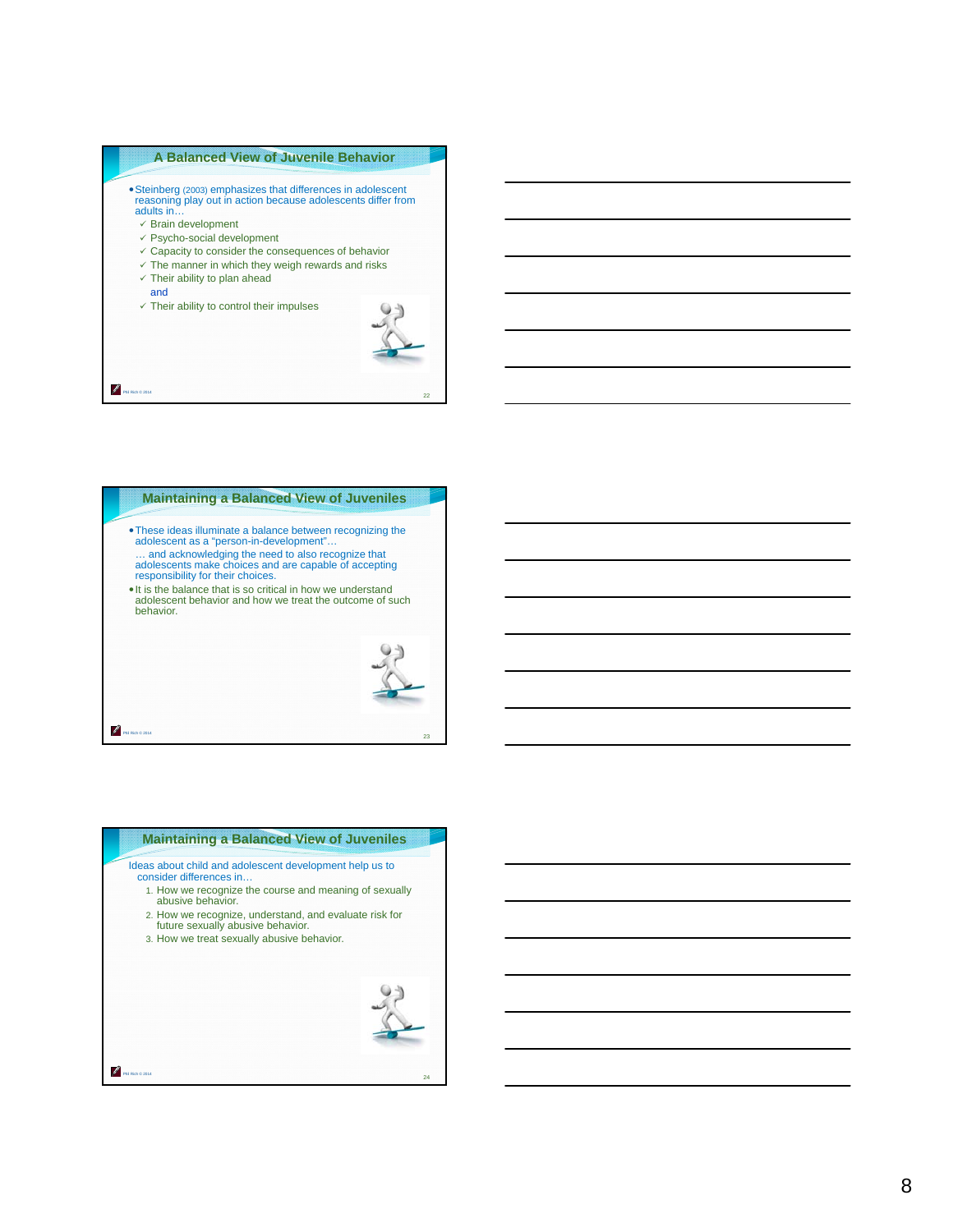

- 
- $\checkmark$ Brain development
- $\checkmark$  Psycho-social development
- $\checkmark$  Capacity to consider the consequences of behavior
- $\times$  The manner in which they weigh rewards and risks
- $\checkmark$  Their ability to plan ahead
- and

Phil Rich © 2014

P

 $\checkmark$  Their ability to control their impulses





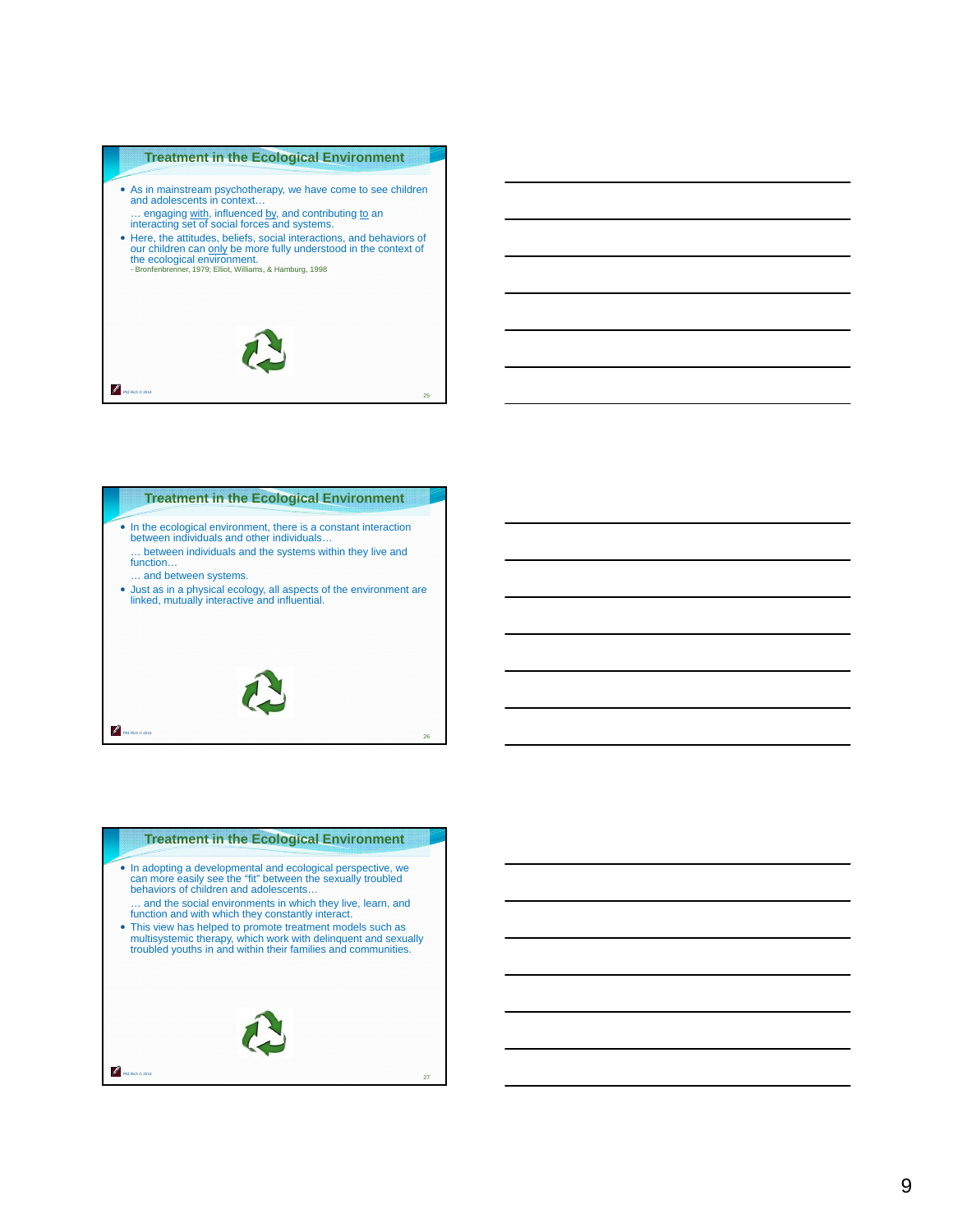#### **Treatment in the Ecological Environment**

• As in mainstream psychotherapy, we have come to see children and adolescents in context… .. engaging with, influenced by, and contributing to an

interacting set of social forces and systems.

• Here, the attitudes, beliefs, social interactions, and behaviors of our children can <u>only</u> be more fully understood in the context of the ecological environment.<br>
Bronfenbrenner, 1979; Elliot, Williams, & Hamburg, 1998





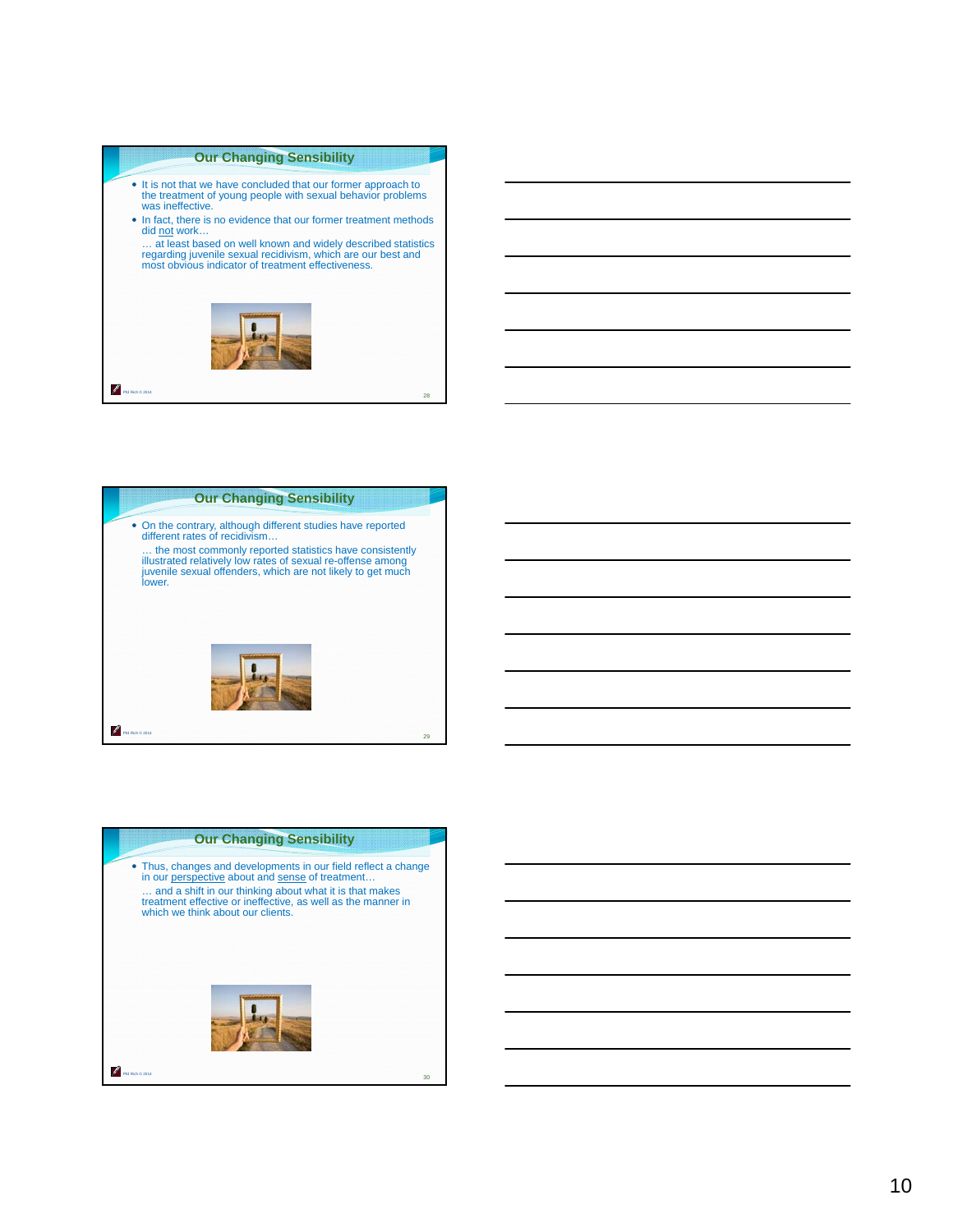#### **Our Changing Sensibility**

- It is not that we have concluded that our former approach to the treatment of young people with sexual behavior problems was ineffective.
- In fact, there is no evidence that our former treatment methods did not work...
- … at least based on well known and widely described statistics regarding juvenile sexual recidivism, which are our best and most obvious indicator of treatment effectiveness.





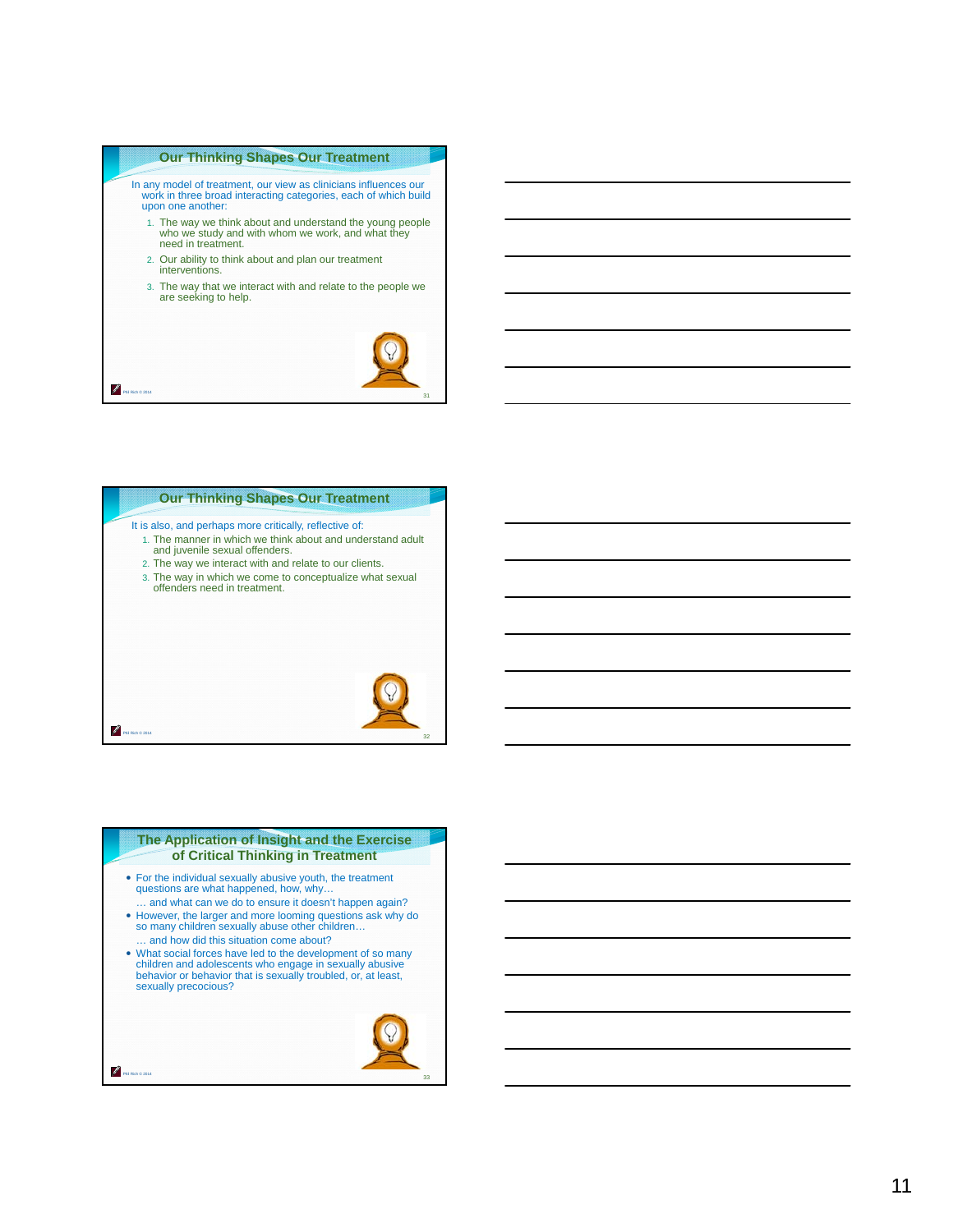#### **Our Thinking Shapes Our Treatment**

In any model of treatment, our view as clinicians influences our work in three broad interacting categories, each of which build upon one another:

- 1. The way we think about and understand the young people who we study and with whom we work, and what they need in treatment.
- 2. Our ability to think about and plan our treatment interventions.

Phil Rich © 2014

Ø

Phil Rich © 2014

Phil Rich © 2014

ℐ

3. The way that we interact with and relate to the people we are seeking to help.





#### **The Application of Insight and the Exercise of Critical Thinking in Treatment**

- For the individual sexually abusive youth, the treatment questions are what happened, how, why…
- … and what can we do to ensure it doesn't happen again? However, the larger and more looming questions ask why do so many children sexually abuse other children… … and how did this situation come about?
- What social forces have led to the development of so many children and adolescents who engage in sexually abusive behavior or behavior that is sexually troubled, or, at least, sexually precocious?

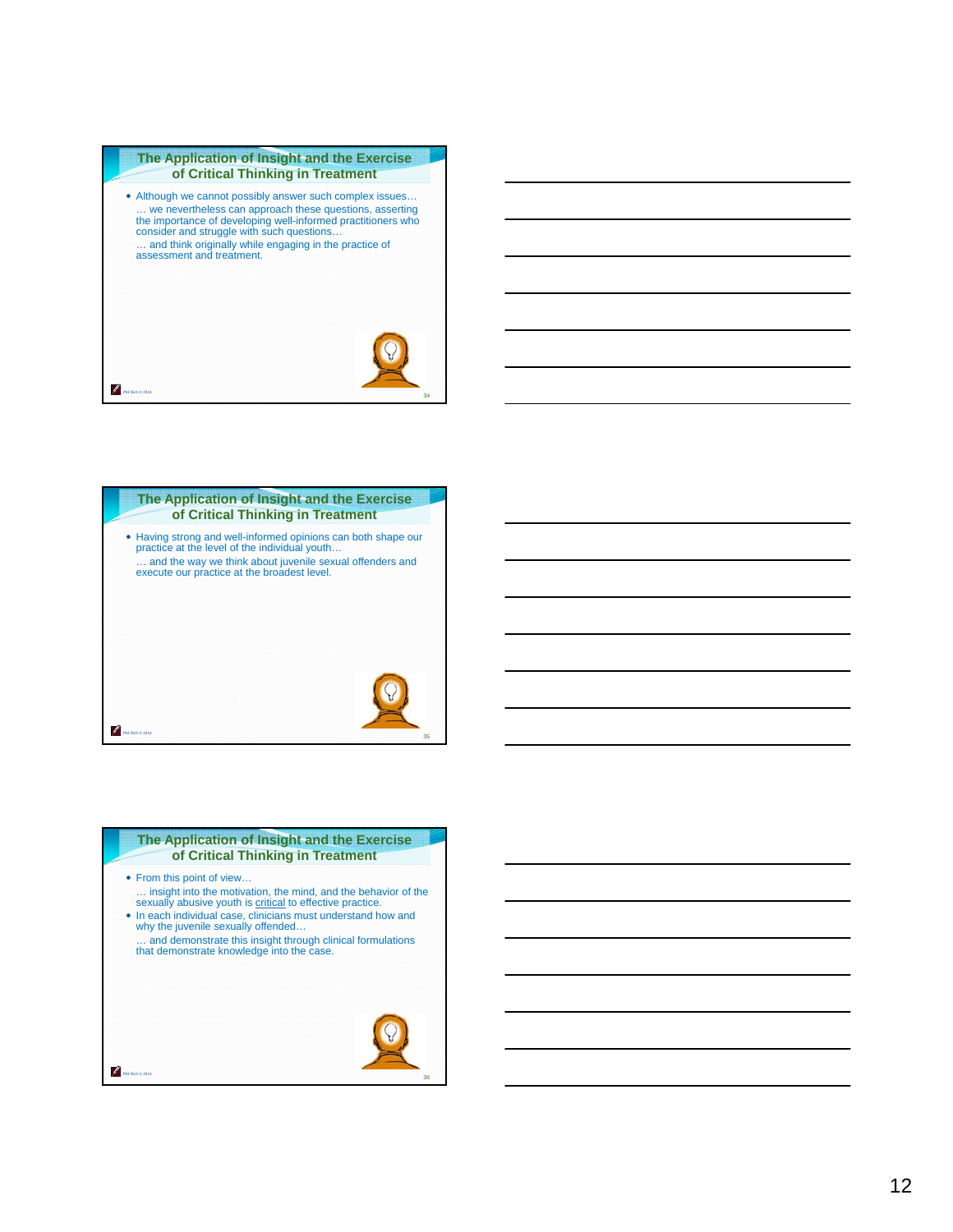#### **The Application of Insight and the Exercise of Critical Thinking in Treatment**

 Although we cannot possibly answer such complex issues… … we nevertheless can approach these questions, asserting the importance of developing well-informed practitioners who consider and struggle with such questions… … and think originally while engaging in the practice of assessment and treatment.

Phil Rich © 2014

P





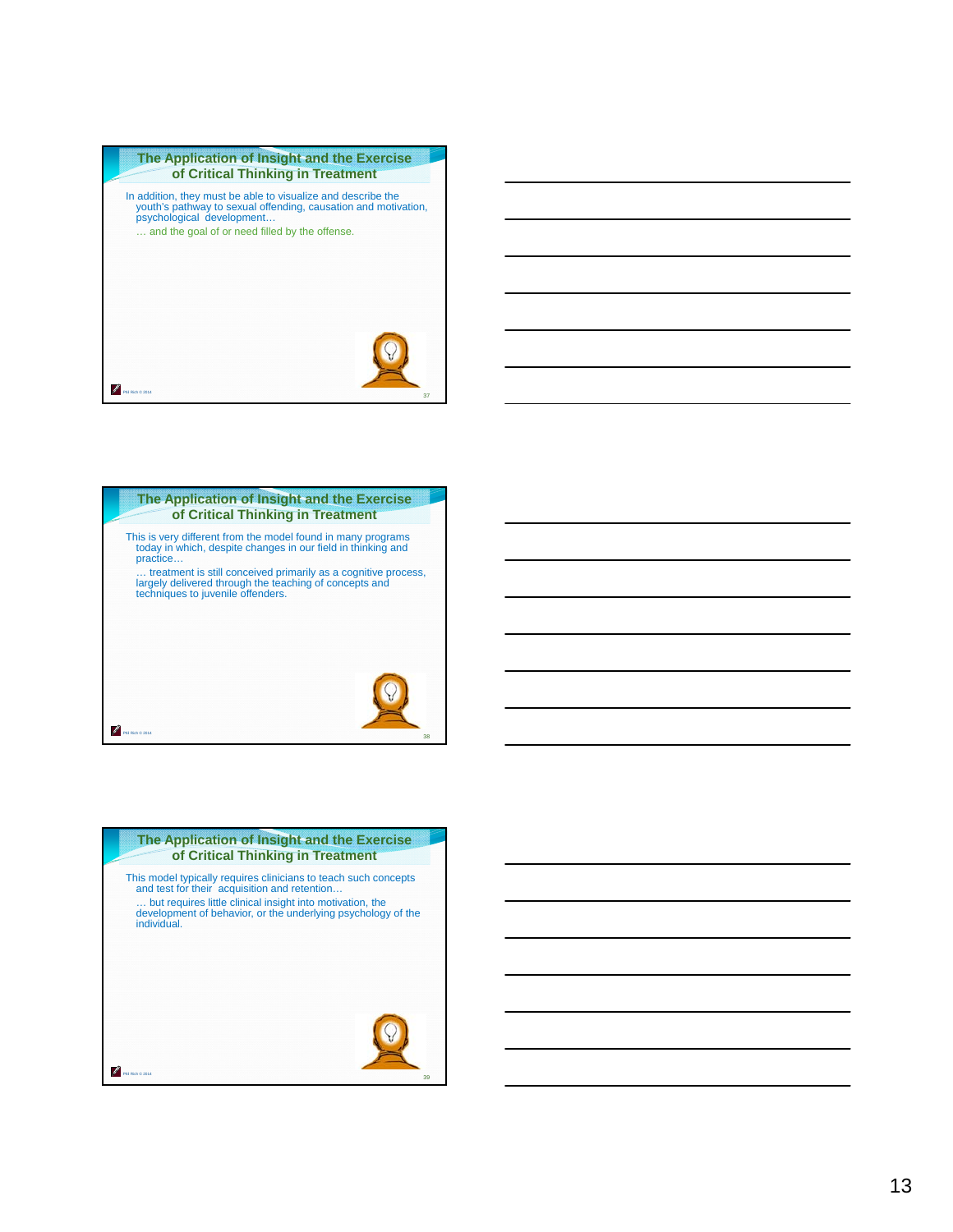



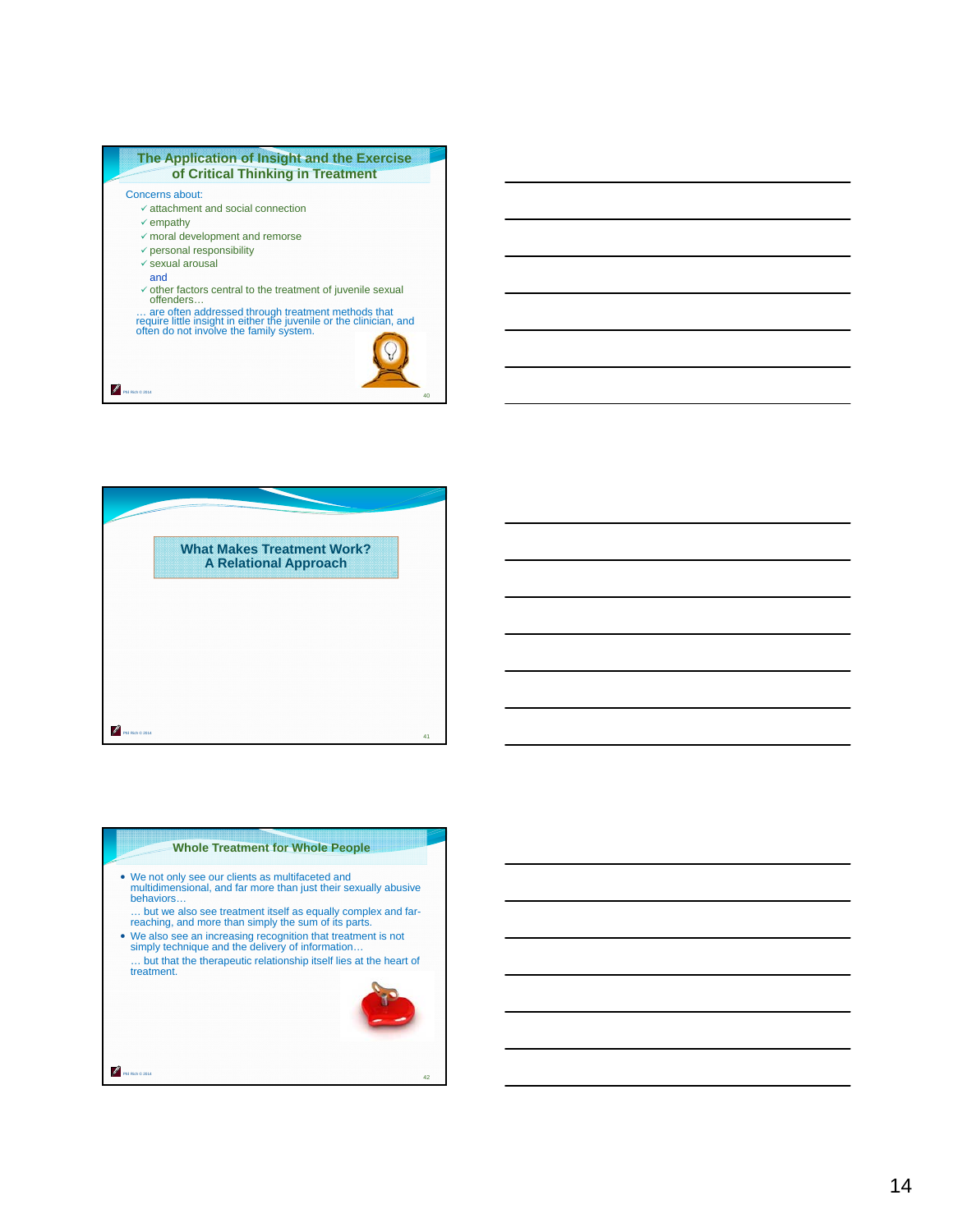



# Phil Rich © 2014 **Whole Treatment for Whole People** We not only see our clients as multifaceted and multidimensional, and far more than just their sexually abusive behaviors… … but we also see treatment itself as equally complex and far-reaching, and more than simply the sum of its parts. We also see an increasing recognition that treatment is not simply technique and the delivery of information… … but that the therapeutic relationship itself lies at the heart of treatment. 42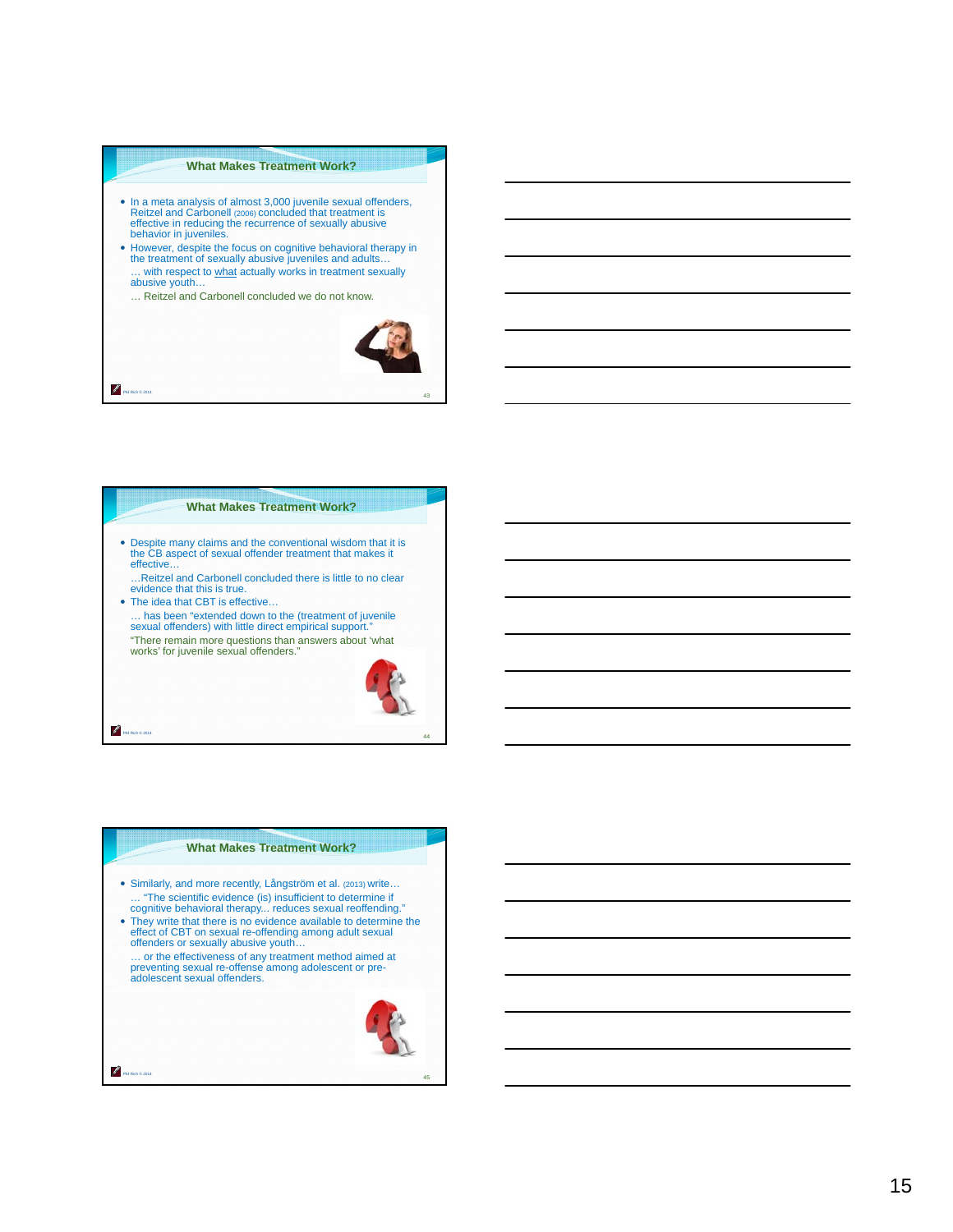#### **What Makes Treatment Work?**

- In a meta analysis of almost 3,000 juvenile sexual offenders, Reitzel and Carbonell (2006) concluded that treatment is effective in reducing the recurrence of sexually abusive behavior in juveniles.
- However, despite the focus on cognitive behavioral therapy in the treatment of sexually abusive juveniles and adults… … with respect to what actually works in treatment sexually
- abusive youth…

Phil Rich © 2014

P

Phil Rich © 2014

Phil Rich © 2014

Z

… Reitzel and Carbonell concluded we do not know.



43

## **What Makes Treatment Work?**

 Despite many claims and the conventional wisdom that it is the CB aspect of sexual offender treatment that makes it effective…

…Reitzel and Carbonell concluded there is little to no clear evidence that this is true.

 The idea that CBT is effective… … has been "extended down to the (treatment of juvenile sexual offenders) with little direct empirical support.' "There remain more questions than answers about 'what works' for juvenile sexual offenders."



44

# **What Makes Treatment Work?**

- Similarly, and more recently, Långström et al. (2013) write… … "The scientific evidence (is) insufficient to determine if cognitive behavioral therapy... reduces sexual reoffending."
- They write that there is no evidence available to determine the effect of CBT on sexual re-offending among adult sexual offenders or sexually abusive youth…
	- … or the effectiveness of any treatment method aimed at preventing sexual re-offense among adolescent or pre-adolescent sexual offenders.

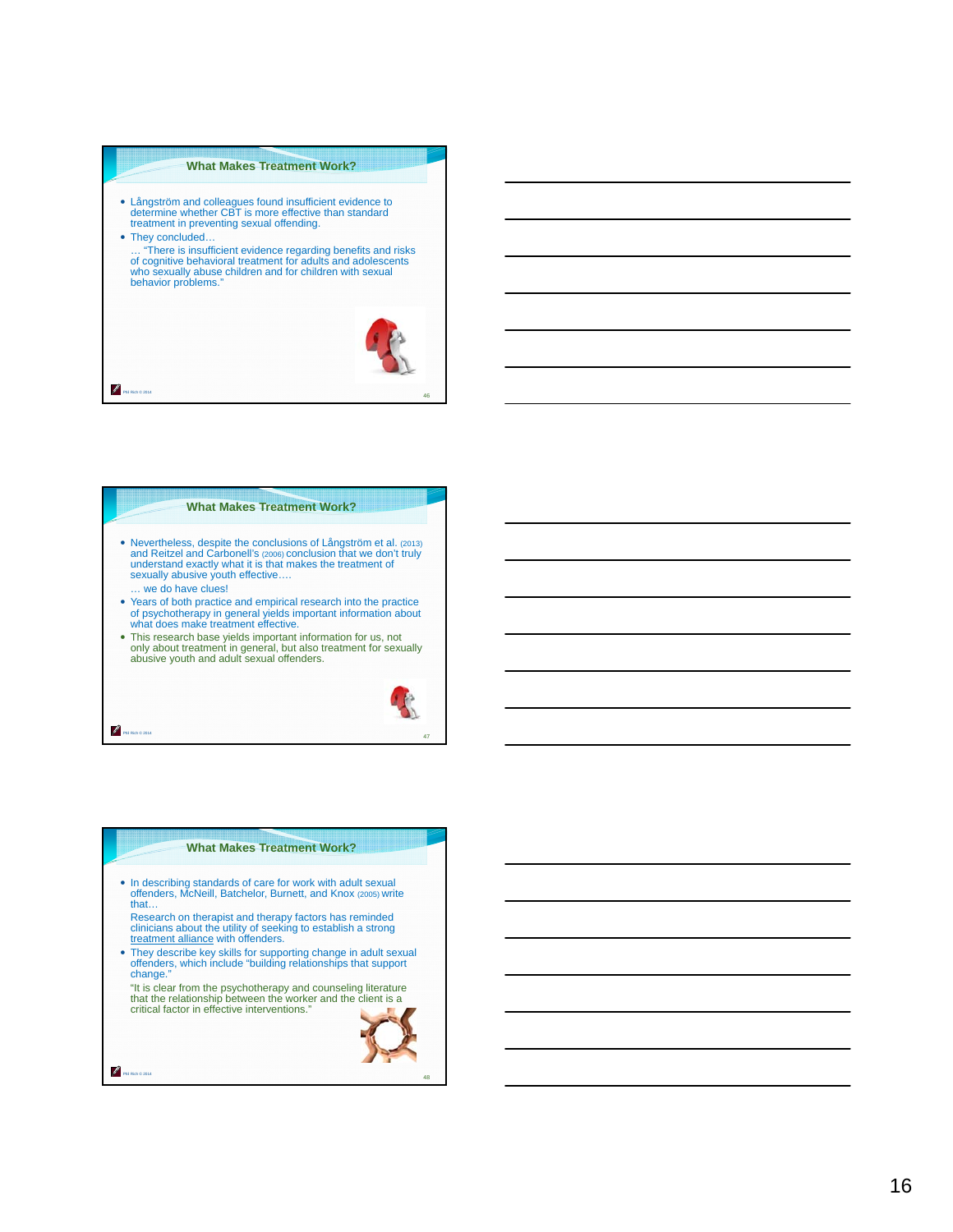#### **What Makes Treatment Work?**

 Långström and colleagues found insufficient evidence to determine whether CBT is more effective than standard treatment in preventing sexual offending.

Phil Rich © 2014

P.

Phil Rich © 2014

• They concluded... … "There is insufficient evidence regarding benefits and risks of cognitive behavioral treatment for adults and adolescents who sexually abuse children and for children with sexual behavior problems."



46

## **What Makes Treatment Work?**

- Nevertheless, despite the conclusions of Långström et al. (2013)<br>and Reitzel and Carbonell's (2006) conclusion that we don't truly<br>understand exactly what it is that makes the treatment of<br>sexually abusive youth effectiv … we do have clues!
- Years of both practice and empirical research into the practice of psychotherapy in general yields important information about what does make treatment effective.
- This research base yields important information for us, not only about treatment in general, but also treatment for sexually abusive youth and adult sexual offenders.



47

48

#### **What Makes Treatment Work?**

- In describing standards of care for work with adult sexual offenders, McNeill, Batchelor, Burnett, and Knox (2005) write that…
- Research on therapist and therapy factors has reminded clinicians about the utility of seeking to establish a strong treatment alliance with offenders.
- They describe key skills for supporting change in adult sexual offenders, which include "building relationships that support change."
	- "It is clear from the psychotherapy and counseling literature that the relationship between the worker and the client is a critical factor in effective interventions."

Phil Rich © 2014

Z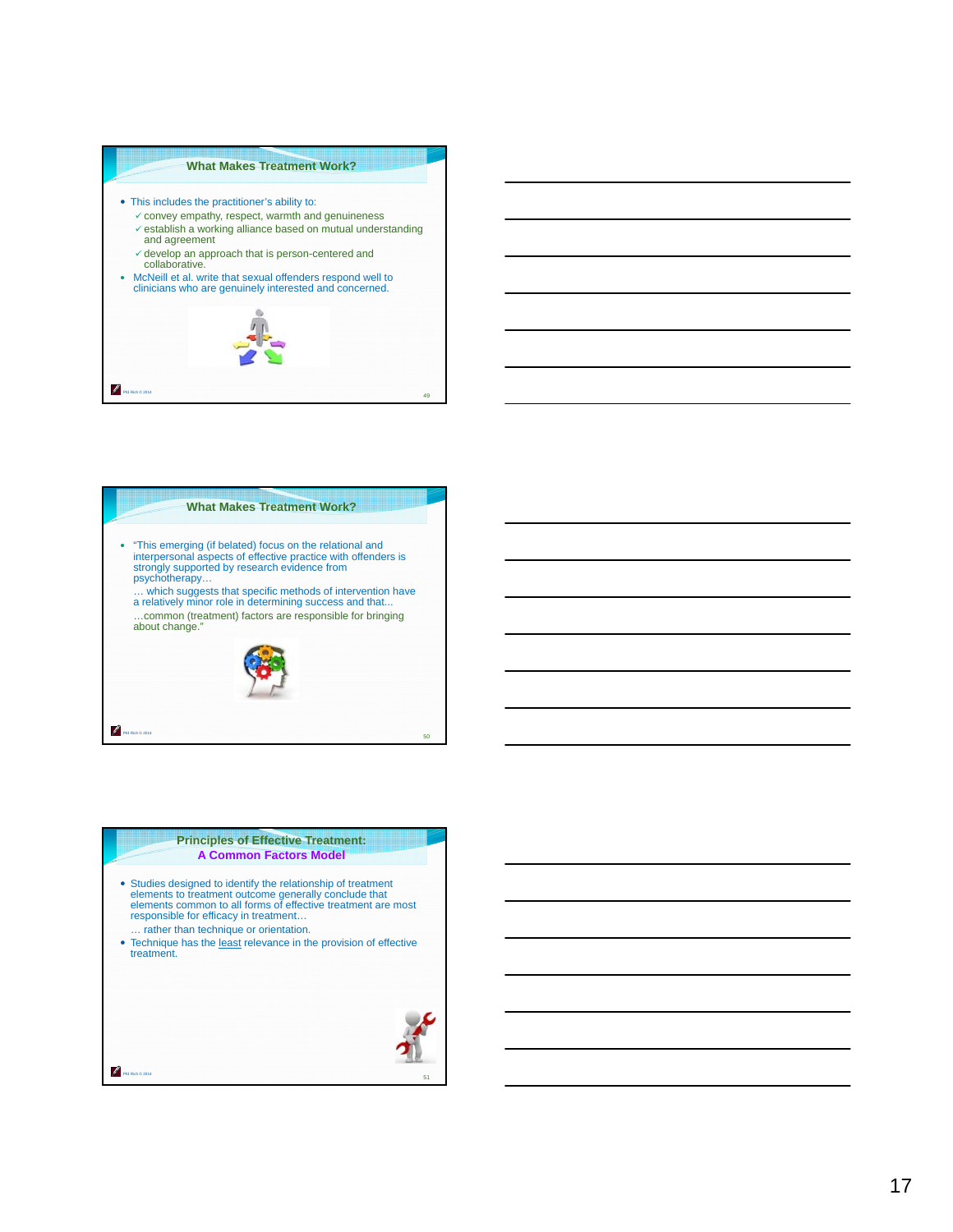#### **What Makes Treatment Work?**

- This includes the practitioner's ability to:
	- $\checkmark$  convey empathy, respect, warmth and genuineness  $\checkmark$  establish a working alliance based on mutual understanding
	- and agreement  $\checkmark$  develop an approach that is person-centered and
	- collaborative.
- McNeill et al. write that sexual offenders respond well to clinicians who are genuinely interested and concerned.





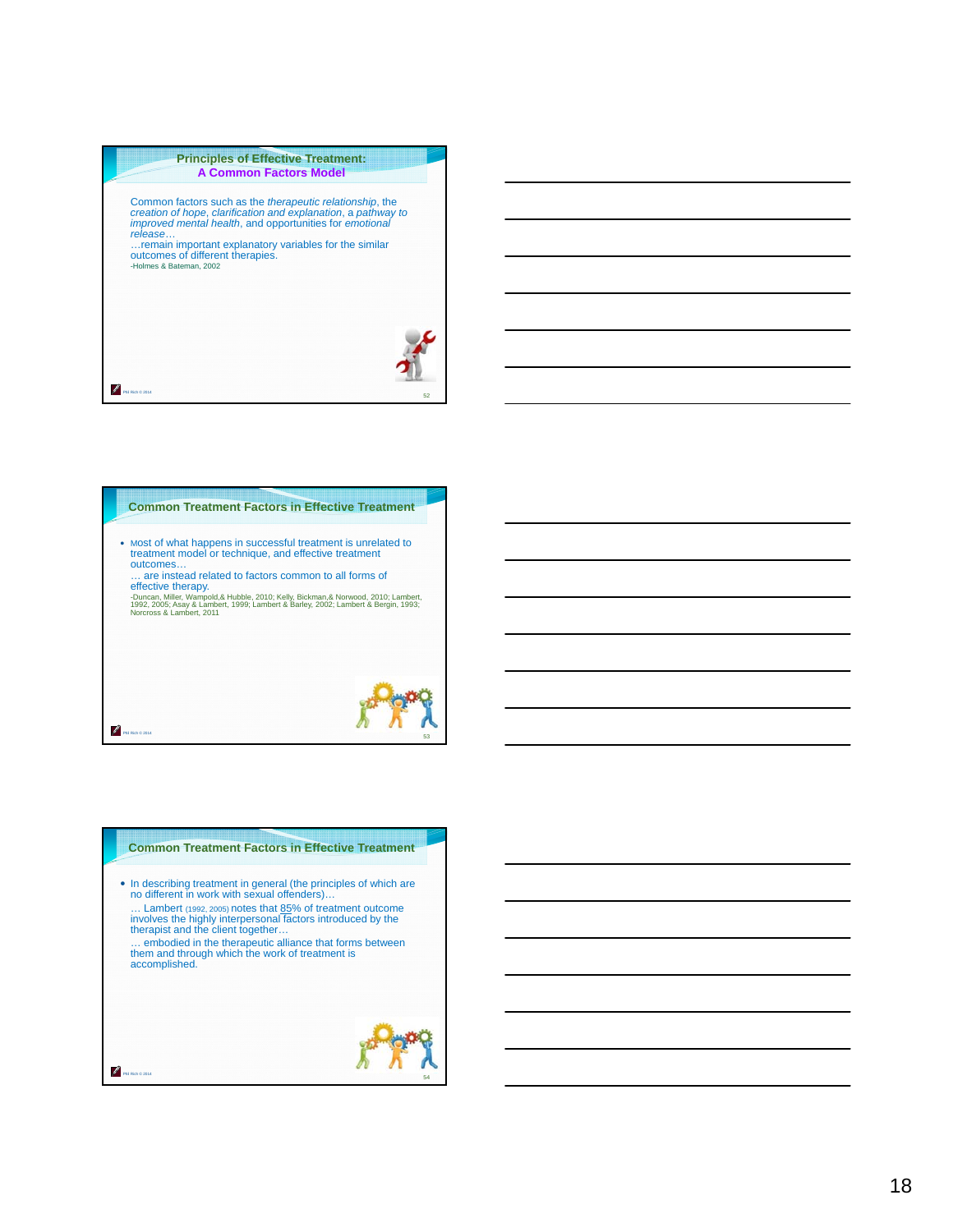

# **Common Treatment Factors in Effective Treatment**  Most of what happens in successful treatment is unrelated to treatment model or technique, and effective treatment outcomes… … are instead related to factors common to all forms of effective therapy.<br>-Duncan, Miller, Wampold,& Hubble, 2010; Kelly, Bickman,& Norwood, 2010; Lambert,<br>1992, 2005; Asay & Lambert, 1999; Lambert & Barley, 2002; Lambert & Bergin, 1993;<br>Norcross & Lambert, 2011

# **Common Treatment Factors in Effective Treatment**  In describing treatment in general (the principles of which are no different in work with sexual offenders)… … Lambert (1992, 2005) notes that 85% of treatment outcome involves the highly interpersonal factors introduced by the therapist and the client together…

Phil Rich © 2014

Phil Rich © 2014

… embodied in the therapeutic alliance that forms between them and through which the work of treatment is accomplished.

# 54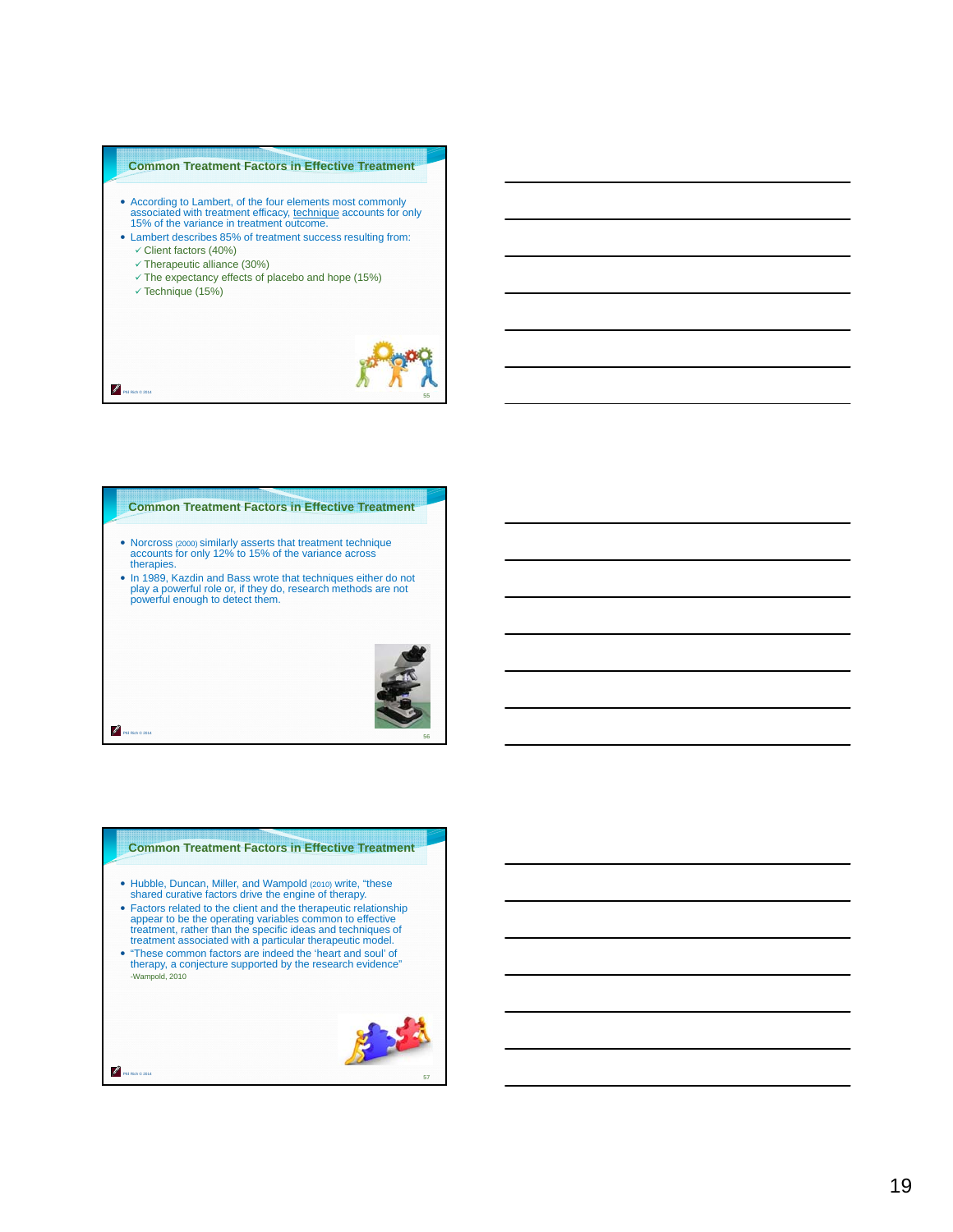#### **Common Treatment Factors in Effective Treatment**

- According to Lambert, of the four elements most commonly associated with treatment efficacy, technique accounts for only 15% of the variance in treatment outcome.
- Lambert describes 85% of treatment success resulting from:  $\checkmark$  Client factors (40%)
	- $\checkmark$  Therapeutic alliance (30%)
	- $\checkmark$  The expectancy effects of placebo and hope (15%)
	- $\checkmark$  Technique (15%)

Phil Rich © 2014

P

Phil Rich © 2014

Phil Rich © 2014

Z



## **Common Treatment Factors in Effective Treatment**

- Norcross (2000) similarly asserts that treatment technique accounts for only 12% to 15% of the variance across therapies.
- In 1989, Kazdin and Bass wrote that techniques either do not play a powerful role or, if they do, research methods are not powerful enough to detect them.



#### **Common Treatment Factors in Effective Treatment**

- Hubble, Duncan, Miller, and Wampold (2010) write, "these shared curative factors drive the engine of therapy.
- Factors related to the client and the therapeutic relationship appear to be the operating variables common to effective treatment, rather than the specific ideas and techniques of treatment associated with a particular therapeutic model.
- "These common factors are indeed the 'heart and soul' of therapy, a conjecture supported by the research evidence" -Wampold, 2010

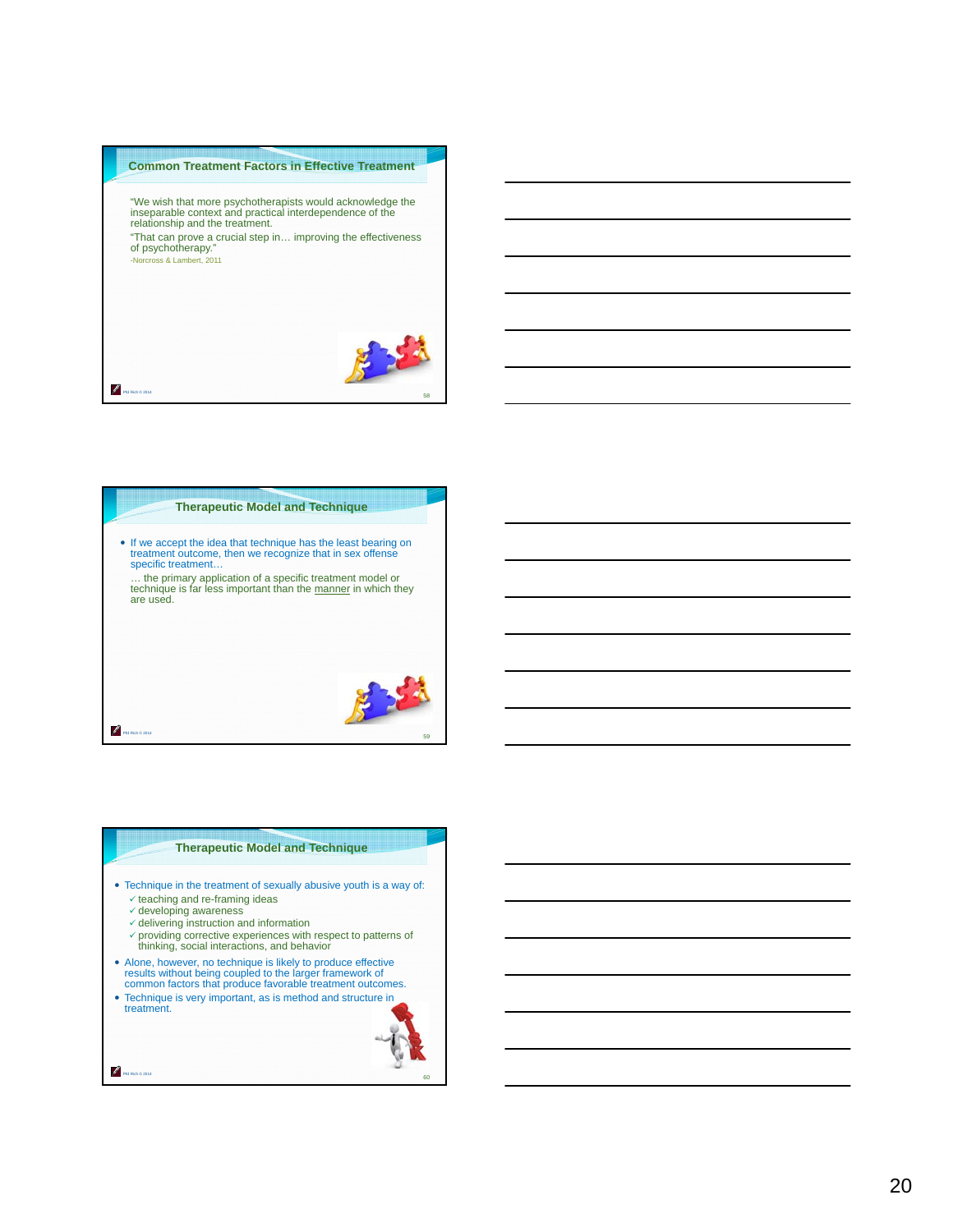



#### **Therapeutic Model and Technique**

- Technique in the treatment of sexually abusive youth is a way of:  $\checkmark$  teaching and re-framing ideas
	- $\checkmark$  developing awareness

Phil Rich © 2014

- $\checkmark$  delivering instruction and information
- providing corrective experiences with respect to patterns of thinking, social interactions, and behavior
- Alone, however, no technique is likely to produce effective results without being coupled to the larger framework of common factors that produce favorable treatment outcomes.
- Technique is very important, as is method and structure in treatment.

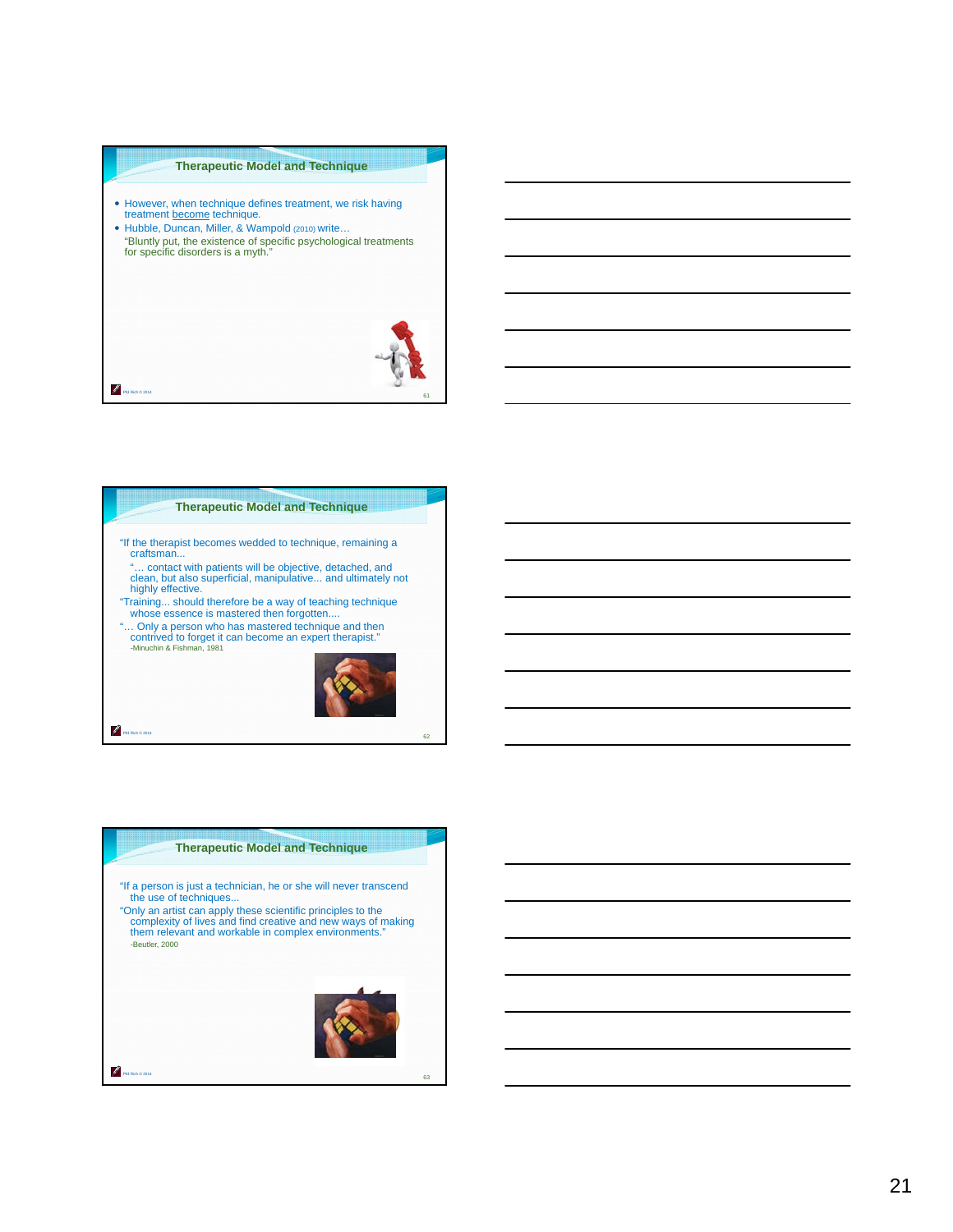#### **Therapeutic Model and Technique**

- However, when technique defines treatment, we risk having treatment become technique*.*
- Hubble, Duncan, Miller, & Wampold (2010) write…
- "Bluntly put, the existence of specific psychological treatments for specific disorders is a myth."



# **Therapeutic Model and Technique**

- "If the therapist becomes wedded to technique, remaining a craftsman...
- "… contact with patients will be objective, detached, and clean, but also superficial, manipulative... and ultimately not highly effective.
- "Training... should therefore be a way of teaching technique whose essence is mastered then forgotten....
- "… Only a person who has mastered technique and then contrived to forget it can become an expert therapist." -Minuchin & Fishman, 1981



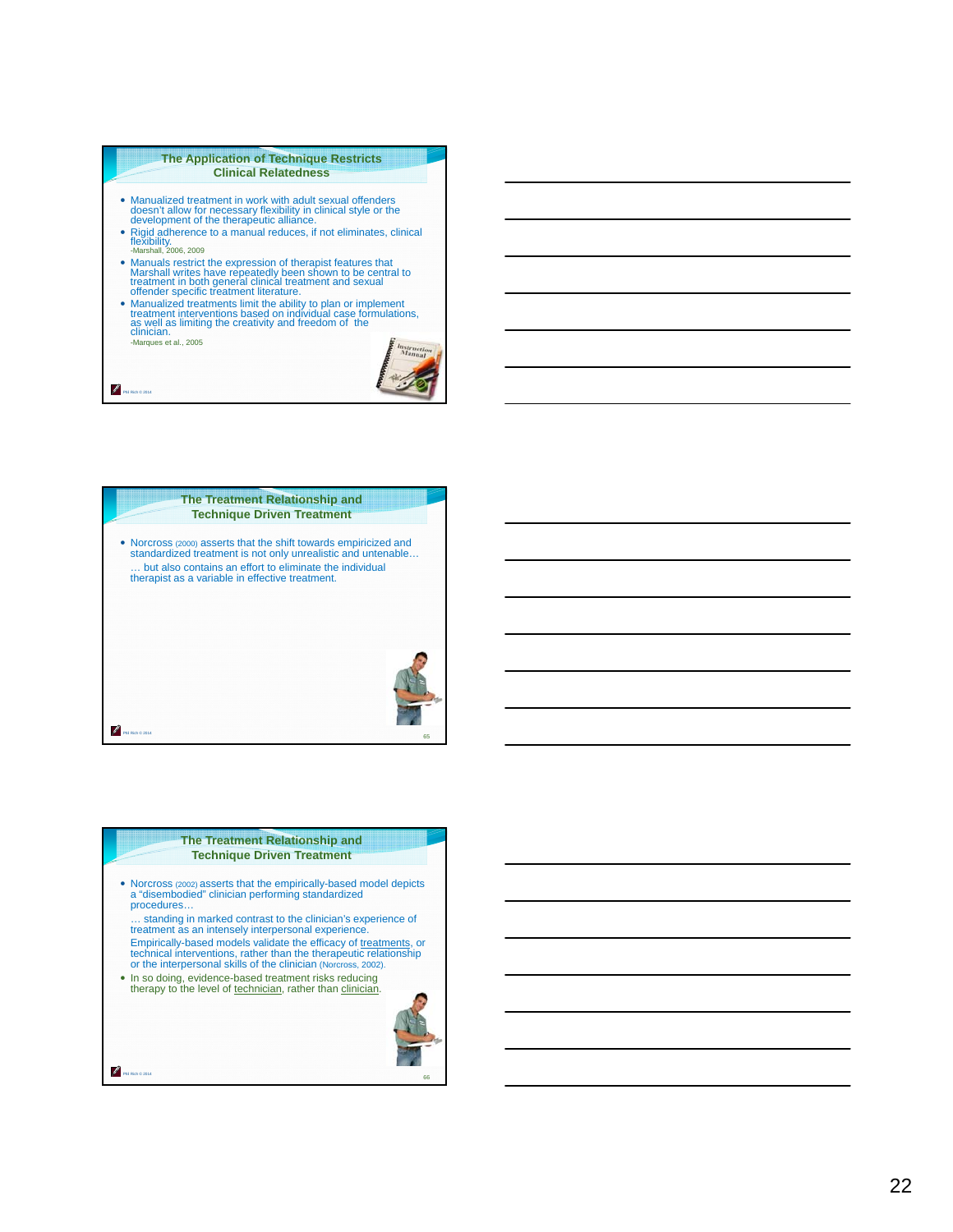#### **The Application of Technique Restricts Clinical Relatedness**

- Manualized treatment in work with adult sexual offenders doesn't allow for necessary flexibility in clinical style or the development of the therapeutic alliance.
- Rigid adherence to a manual reduces, if not eliminates, clinical<br>flexibility.<br>-Marshall, 2006, 2009
- Manuals restrict the expression of therapist features that Marshall writes have repeatedly been shown to be central to treatment in both general clinical treatment and sexual offender specific treatment literature.
- Manualized treatments limit the ability to plan or implement treatment interventions based on individual case formulations, as well as limiting the creativity and freedom of the clinician.

-Marques et al., 2005

Phil Rich © 2014

₽





#### **The Treatment Relationship and Technique Driven Treatment**

- Norcross (2002) asserts that the empirically-based model depicts a "disembodied" clinician performing standardized procedures…
- … standing in marked contrast to the clinician's experience of treatment as an intensely interpersonal experience. Empirically-based models validate the efficacy of <u>treatments,</u> or<br>technical interventions, rather than the therapeutic relationship<br>or the interpersonal skills of the clinician (Norcross, 2002).
- In so doing, evidence-based treatment risks reducing therapy to the level of technician, rather than clinician.



Phil Rich © 2014

Z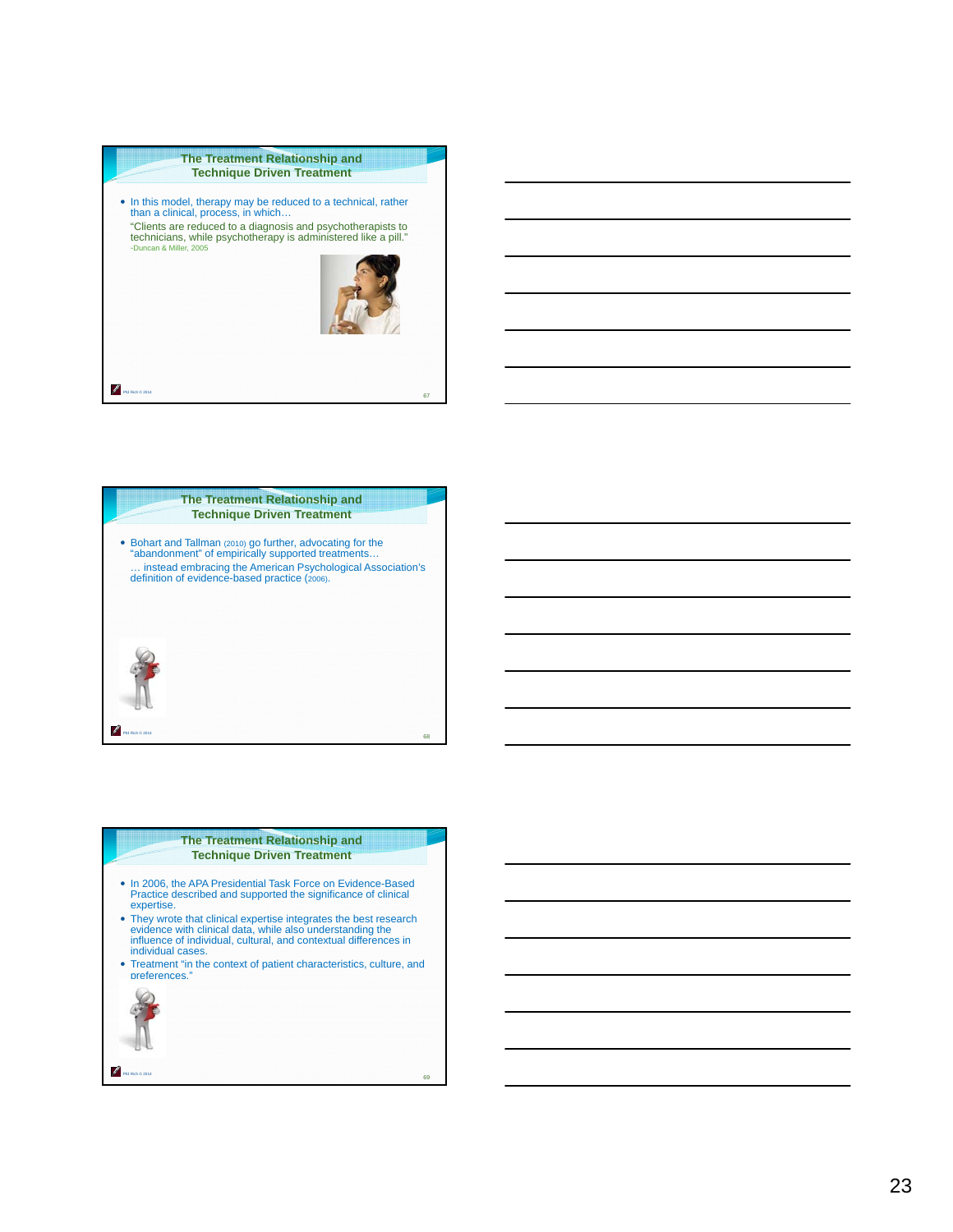





#### **The Treatment Relationship and Technique Driven Treatment**

- In 2006, the APA Presidential Task Force on Evidence-Based Practice described and supported the significance of clinical expertise.
- They wrote that clinical expertise integrates the best research evidence with clinical data, while also understanding the influence of individual, cultural, and contextual differences in individual cases.
- Treatment "in the context of patient characteristics, culture, and preferences."

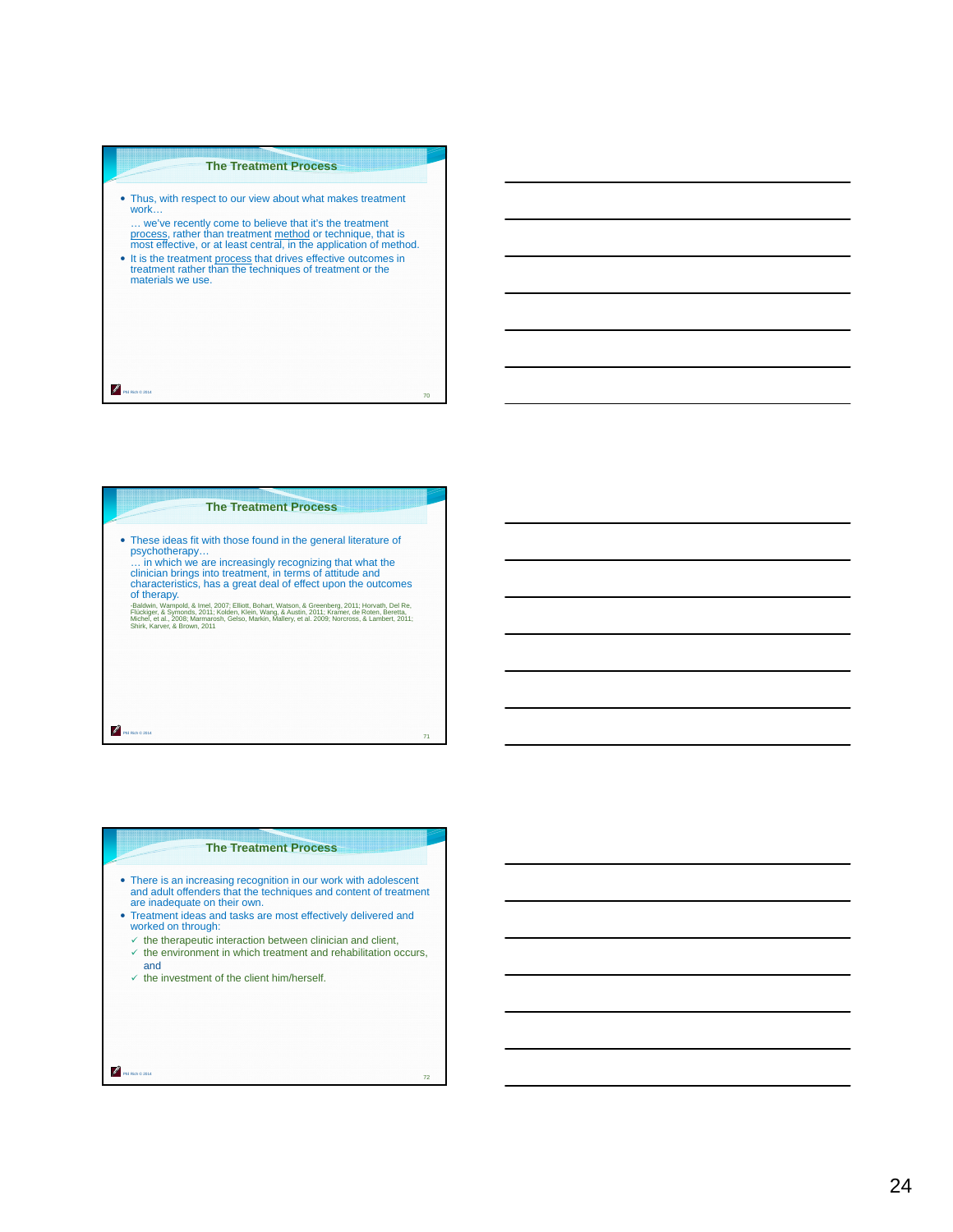#### **The Treatment Process**

- Thus, with respect to our view about what makes treatment work… … we've recently come to believe that it's the treatment process, rather than treatment method or technique, that is most effective, or at least central, in the application of method.
- It is the treatment process that drives effective outcomes in treatment rather than the techniques of treatment or the materials we use.

Phil Rich © 2014

P

# Phil Rich © 2014 **The Treatment Process** These ideas fit with those found in the general literature of psychotherapy… … in which we are increasingly recognizing that what the clinician brings into treatment, in terms of attitude and characteristics, has a great deal of effect upon the outcomes of therapy. -Baldwin, Wampold, & Imel, 2007; Elliott, Bohart, Watson, & Greenberg, 2011; Horvath, Del Re,<br>Flückiger, & Symonds, 2011; Kolden, Klein, Wang, & Austin, 2011; Kramer, de Roten, Beretta,<br>Shirk, Karver, & Brown, 2011<br>Shirk,

#### **The Treatment Process**

71

72

- There is an increasing recognition in our work with adolescent and adult offenders that the techniques and content of treatment are inadequate on their own.
- Treatment ideas and tasks are most effectively delivered and worked on through:
- $\checkmark$  the therapeutic interaction between clinician and client,
- $\checkmark$  the environment in which treatment and rehabilitation occurs, and
- $\checkmark$  the investment of the client him/herself.

Phil Rich © 2014

Z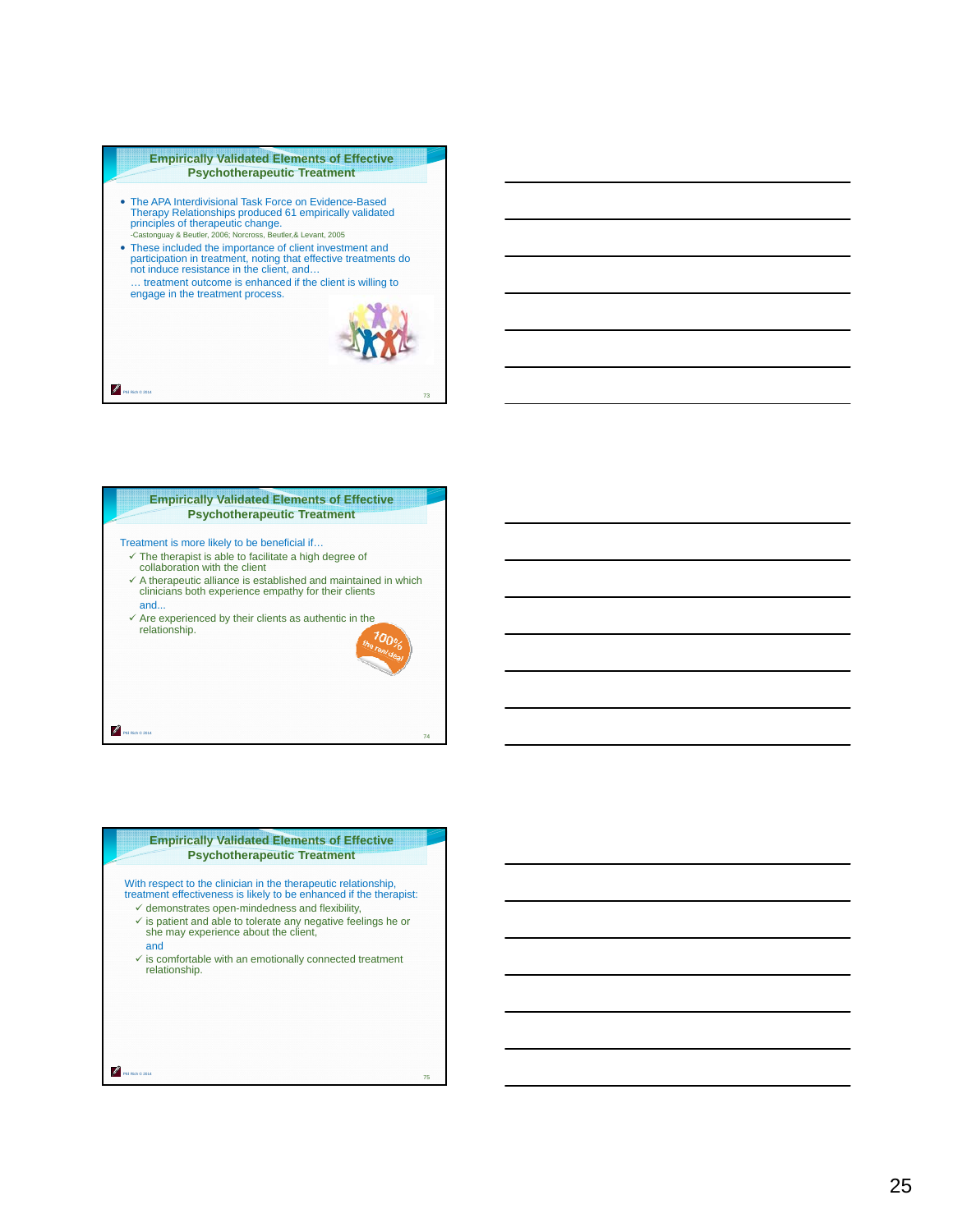

Therapy Relationships produced 61 empirically validated principles of therapeutic change. -Castonguay & Beutler, 2006; Norcross, Beutler,& Levant, 2005 These included the importance of client investment and participation in treatment, noting that effective treatments do not induce resistance in the client, and… … treatment outcome is enhanced if the client is willing to engage in the treatment process.

73



#### **Empirically Validated Elements of Effective Psychotherapeutic Treatment**

With respect to the clinician in the therapeutic relationship, treatment effectiveness is likely to be enhanced if the therapist:

- $\checkmark$  demonstrates open-mindedness and flexibility,
- $\checkmark$  is patient and able to tolerate any negative feelings he or she may experience about the client,
- and

Phil Rich © 2014

Z

Phil Rich © 2014

₽

 $\checkmark$  is comfortable with an emotionally connected treatment relationship.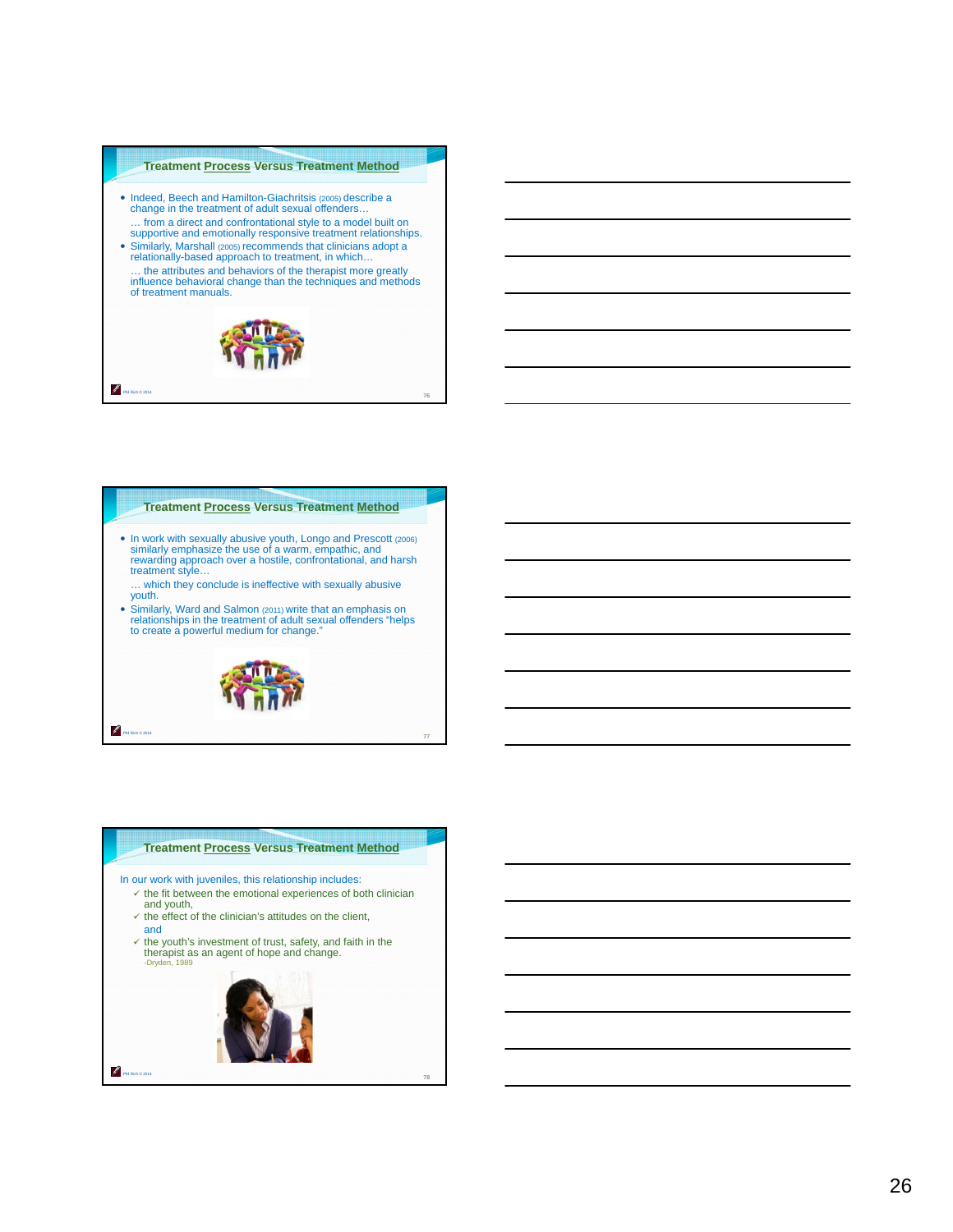

## **Treatment Process Versus Treatment Method**

- In work with sexually abusive youth, Longo and Prescott (2006) similarly emphasize the use of a warm, empathic, and rewarding approach over a hostile, confrontational, and harsh treatment style… … which they conclude is ineffective with sexually abusive youth.
- Similarly, Ward and Salmon (2011) write that an emphasis on relationships in the treatment of adult sexual offenders "helps to create a powerful medium for change."



77

Phil Rich © 2014

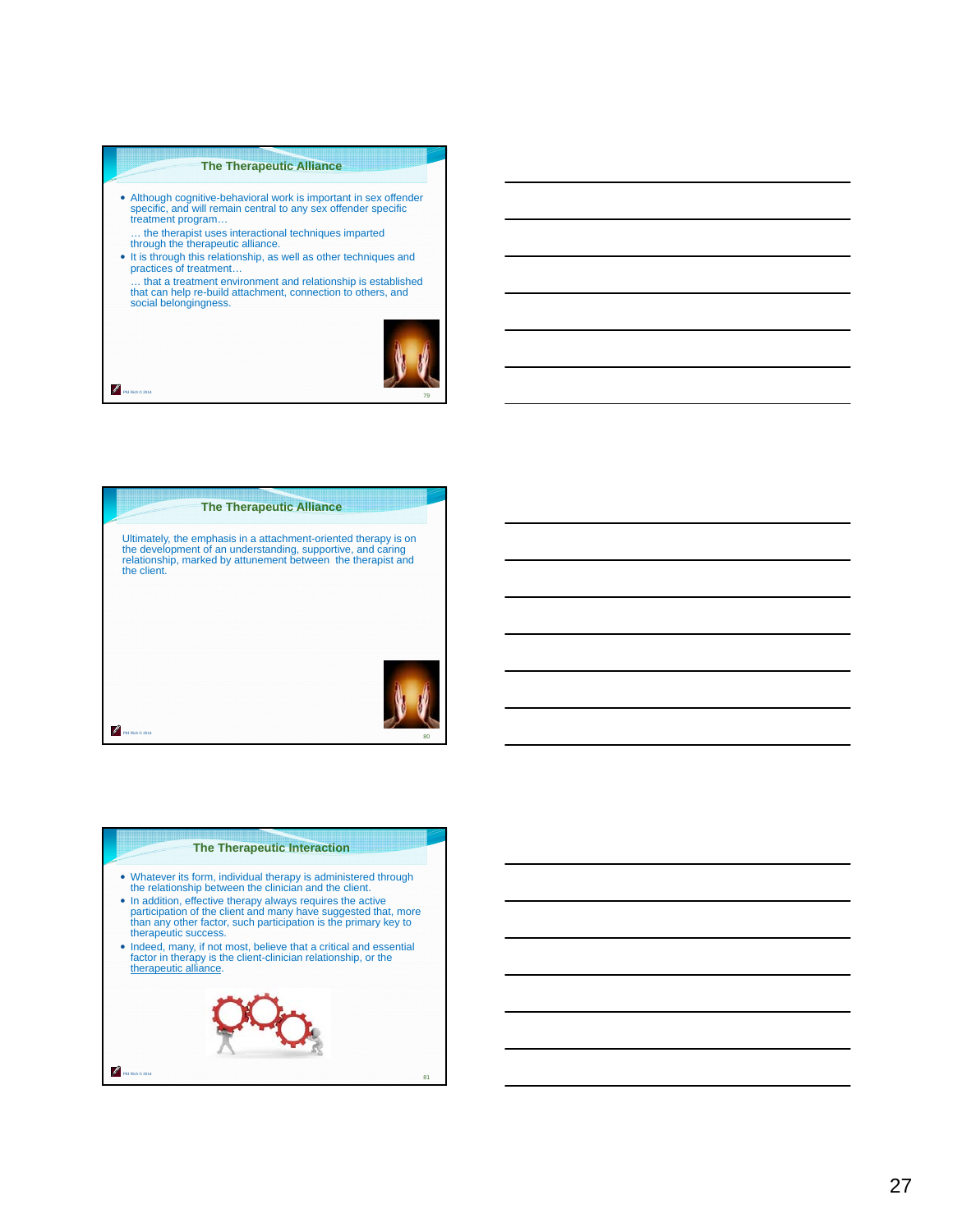#### **The Therapeutic Alliance**

- Although cognitive-behavioral work is important in sex offender specific, and will remain central to any sex offender specific treatment program…
- … the therapist uses interactional techniques imparted through the therapeutic alliance.

Phil Rich © 2014

P

- It is through this relationship, as well as other techniques and practices of treatment…
- … that a treatment environment and relationship is established that can help re-build attachment, connection to others, and social belongingness.





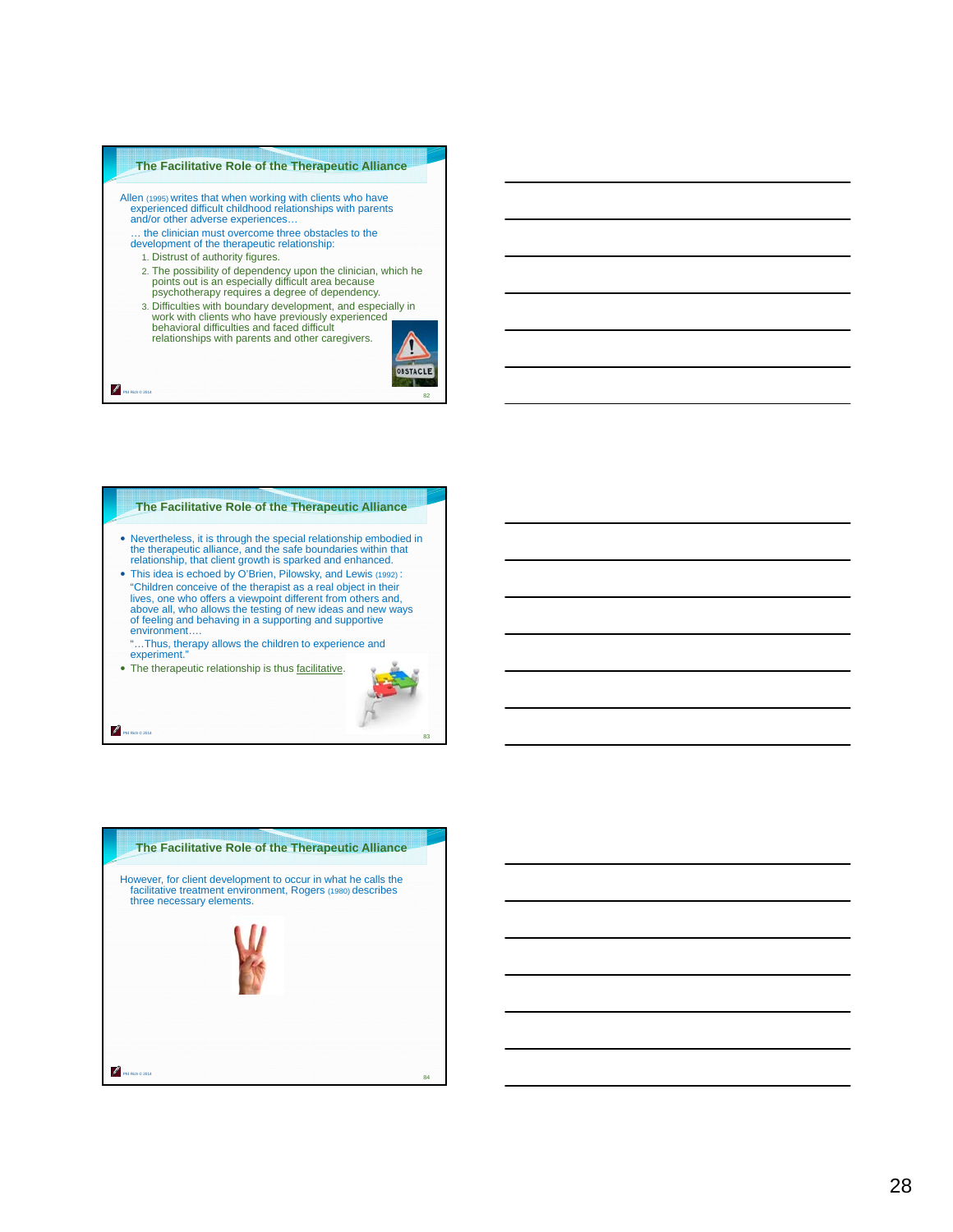#### **The Facilitative Role of the Therapeutic Alliance**

- Allen (1995) writes that when working with clients who have experienced difficult childhood relationships with parents and/or other adverse experiences… … the clinician must overcome three obstacles to the development of the therapeutic relationship:
	- 1. Distrust of authority figures.

Phil Rich © 2014

P.

Phil Rich © 2014

- 2. The possibility of dependency upon the clinician, which he points out is an especially difficult area because psychotherapy requires a degree of dependency.
- 3. Difficulties with boundary development, and especially in work with clients who have previously experienced behavioral difficulties and faced difficult relationships with parents and other caregivers.



#### **The Facilitative Role of the Therapeutic Alliance**

- Nevertheless, it is through the special relationship embodied in the therapeutic alliance, and the safe boundaries within that relationship, that client growth is sparked and enhanced.
- This idea is echoed by O'Brien, Pilowsky, and Lewis (1992) : "Children conceive of the therapist as a real object in their lives, one who offers a viewpoint different from others and, above all, who allows the testing of new ideas and new ways of feeling and behaving in a supporting and supportive environment….
	- "…Thus, therapy allows the children to experience and experiment."
- The therapeutic relationship is thus facilitative.



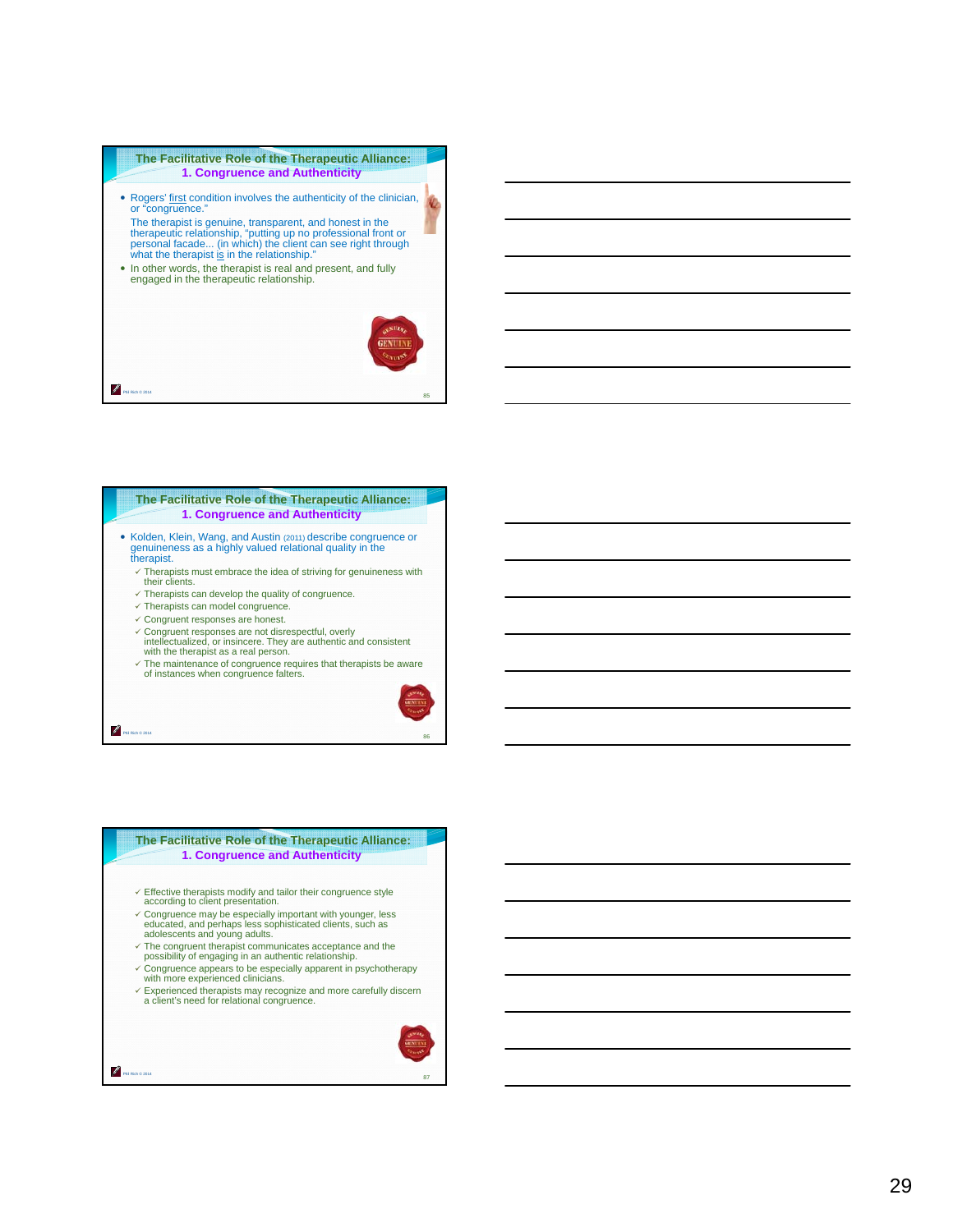## **The Facilitative Role of the Therapeutic Alliance: 1. Congruence and Authenticity**  • Rogers' first condition involves the authenticity of the clinician, or "congruence." The therapist is genuine, transparent, and honest in the therapeutic relationship, "putting up no professional front or<br>personal facade... (in which) the client can see right through<br>what the therapist <u>is</u> in the relationship." In other words, the therapist is real and present, and fully engaged in the therapeutic relationship. Ø

**The Facilitative Role of the Therapeutic Alliance: 1. Congruence and Authenticity** 

- Kolden, Klein, Wang, and Austin (2011) describe congruence or genuineness as a highly valued relational quality in the therapist.
	- $\checkmark$  Therapists must embrace the idea of striving for genuineness with their clients.
	- $\checkmark$  Therapists can develop the quality of congruence.
	- $\checkmark$  Therapists can model congruence.

Phil Rich © 2014

Phil Rich © 2014

Phil Rich © 2014

ℐ

- $\checkmark$  Congruent responses are honest.
- Congruent responses are not disrespectful, overly intellectualized, or insincere. They are authentic and consistent with the therapist as a real person.
- The maintenance of congruence requires that therapists be aware of instances when congruence falters.



85

86

#### **The Facilitative Role of the Therapeutic Alliance: 1. Congruence and Authenticity**

- $\checkmark$  Effective therapists modify and tailor their congruence style according to client presentation.
- Congruence may be especially important with younger, less educated, and perhaps less sophisticated clients, such as adolescents and young adults.
- 
- The congruent therapist communicates acceptance and the possibility of engaging in an authentic relationship.
- $\checkmark$  Congruence appears to be especially apparent in psychotherapy with more experienced clinicians.
- $\checkmark$  Experienced therapists may recognize and more carefully discern a client's need for relational congruence.

| ctifa. |
|--------|
|        |
|        |
|        |
| 87     |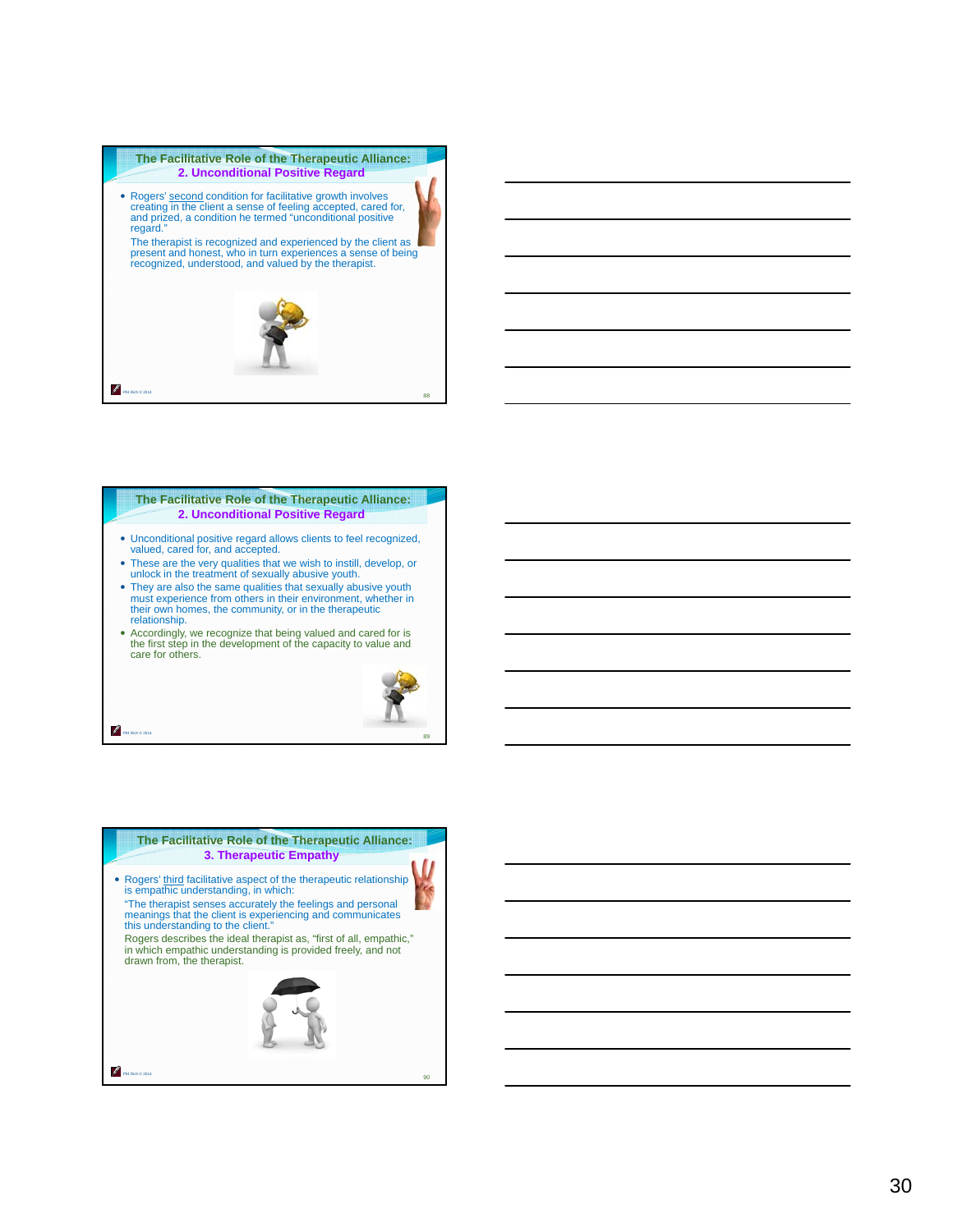

#### **The Facilitative Role of the Therapeutic Alliance: 2. Unconditional Positive Regard**

- Unconditional positive regard allows clients to feel recognized, valued, cared for, and accepted.
- These are the very qualities that we wish to instill, develop, or unlock in the treatment of sexually abusive youth.
- They are also the same qualities that sexually abusive youth must experience from others in their environment, whether in their own homes, the community, or in the therapeutic relationship.
- Accordingly, we recognize that being valued and cared for is the first step in the development of the capacity to value and care for others.

Phil Rich © 2014



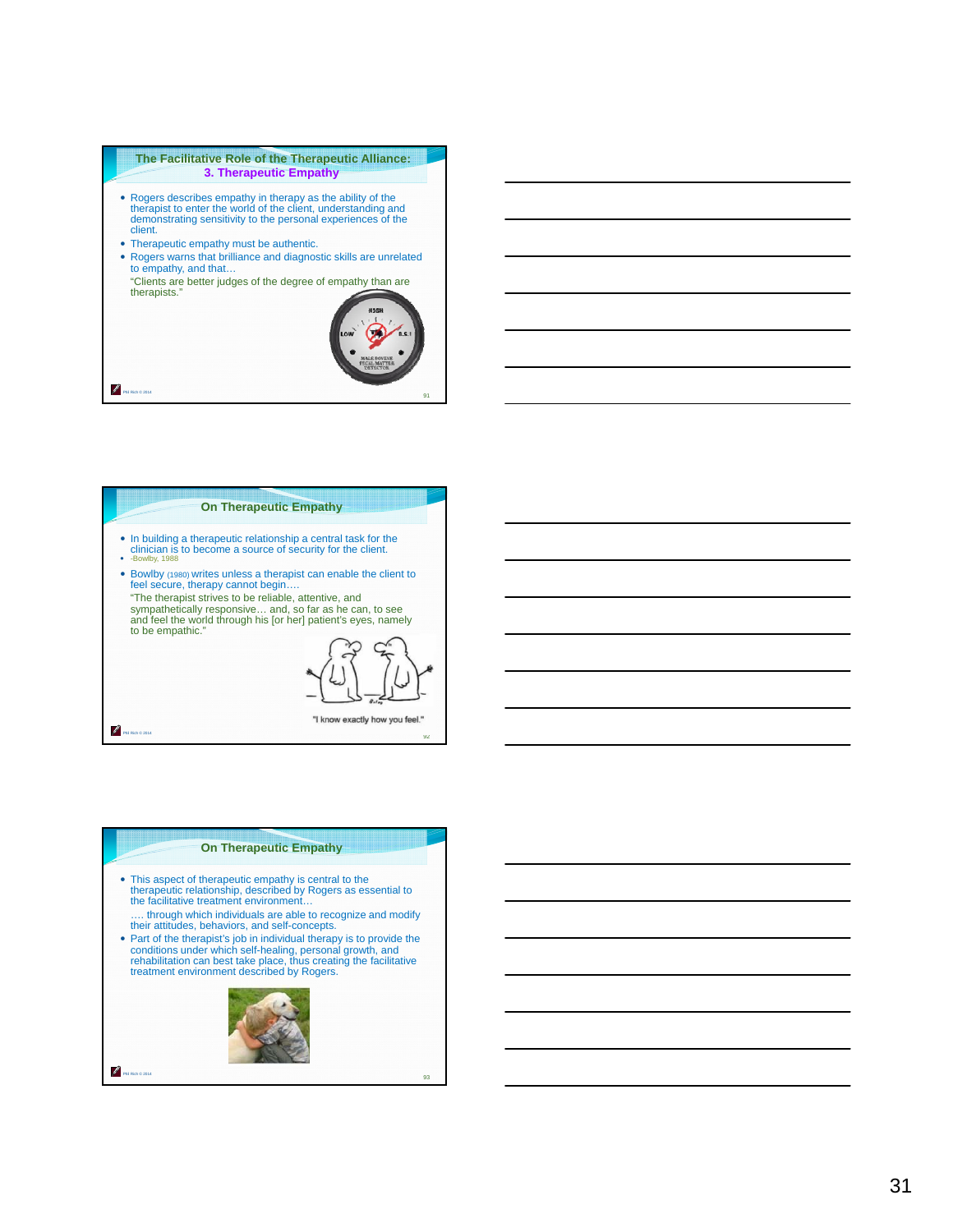#### **The Facilitative Role of the Therapeutic Alliance: 3. Therapeutic Empathy**

- Rogers describes empathy in therapy as the ability of the therapist to enter the world of the client, understanding and demonstrating sensitivity to the personal experiences of the client.
- Therapeutic empathy must be authentic.
- Rogers warns that brilliance and diagnostic skills are unrelated to empathy, and that…

"Clients are better judges of the degree of empathy than are therapists."



91

92

## **On Therapeutic Empathy**

- In building a therapeutic relationship a central task for the clinician is to become a source of security for the client.
- v. 198
- Bowlby (1980) writes unless a therapist can enable the client to feel secure, therapy cannot begin….
- "The therapist strives to be reliable, attentive, and sympathetically responsive… and, so far as he can, to see and feel the world through his [or her] patient's eyes, namely to be empathic."

"I know exactly how you feel."

Phil Rich © 2014

Phil Rich © 2014

₽

## **On Therapeutic Empathy** This aspect of therapeutic empathy is central to the therapeutic relationship, described by Rogers as essential to the facilitative treatment environment… …. through which individuals are able to recognize and modify their attitudes, behaviors, and self-concepts. Part of the therapist's job in individual therapy is to provide the conditions under which self-healing, personal growth, and rehabilitation can best take place, thus creating the facilitative treatment environment described by Rogers. Z Phil Rich © 2014 93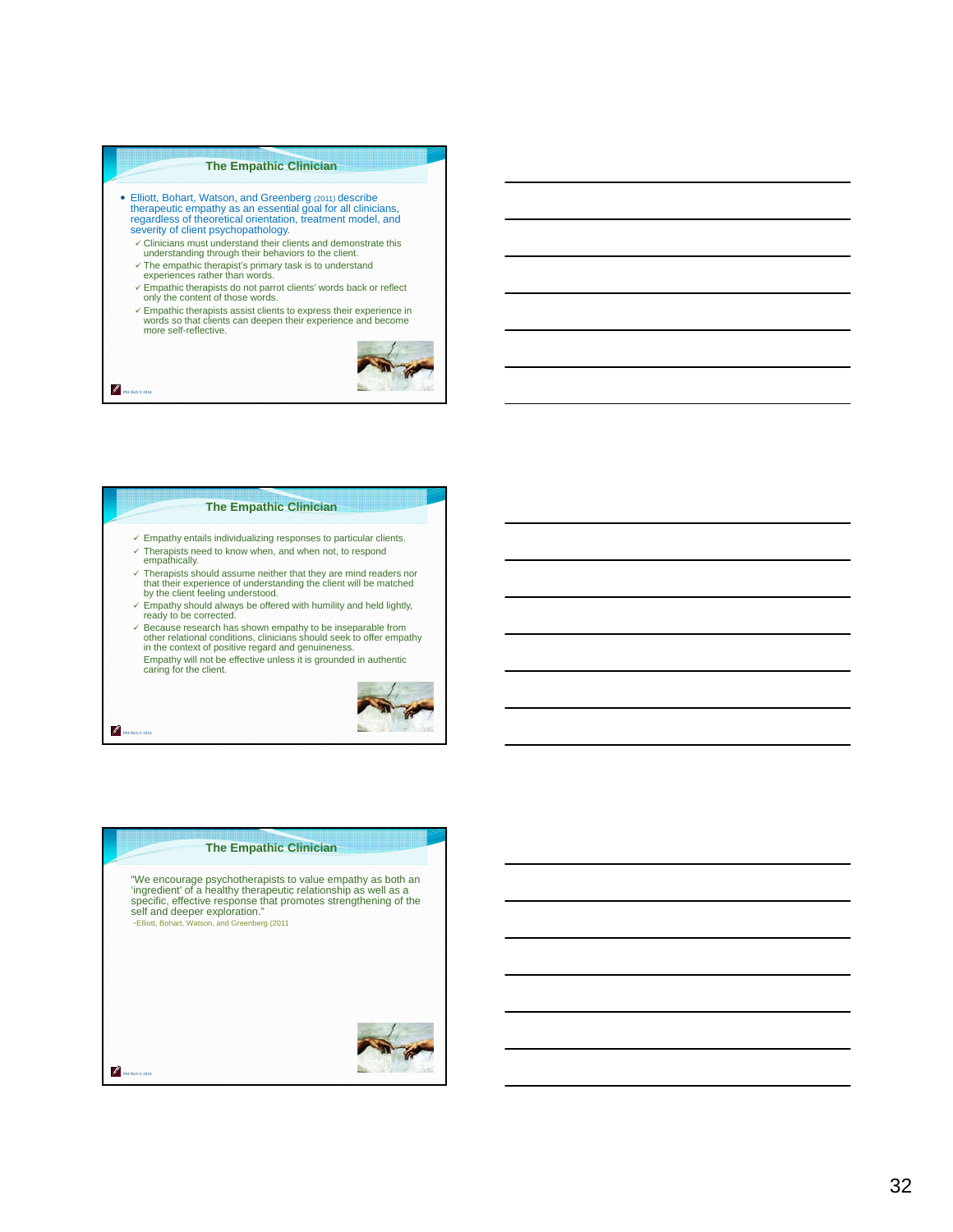#### **The Empathic Clinician**

- Elliott, Bohart, Watson, and Greenberg (2011) describe therapeutic empathy as an essential goal for all clinicians, regardless of theoretical orientation, treatment model, and severity of client psychopathology.
	- $\checkmark$  Clinicians must understand their clients and demonstrate this understanding through their behaviors to the client.
	- The empathic therapist's primary task is to understand experiences rather than words.
	- Empathic therapists do not parrot clients' words back or reflect only the content of those words.
	- Empathic therapists assist clients to express their experience in words so that clients can deepen their experience and become more self-reflective.



#### **The Empathic Clinician**

- $\checkmark$  Empathy entails individualizing responses to particular clients.
- $\checkmark$  Therapists need to know when, and when not, to respond
- empathically.

Phil Rich © 2014

P.

Phil Rich © 2014

- Therapists should assume neither that they are mind readers nor that their experience of understanding the client will be matched by the client feeling understood.
- $\leq$  Empathy should always be offered with humility and held lightly, ready to be corrected.
- Because research has shown empathy to be inseparable from other relational conditions, clinicians should seek to offer empathy in the context of positive regard and genuineness. Empathy will not be effective unless it is grounded in authentic caring for the client.



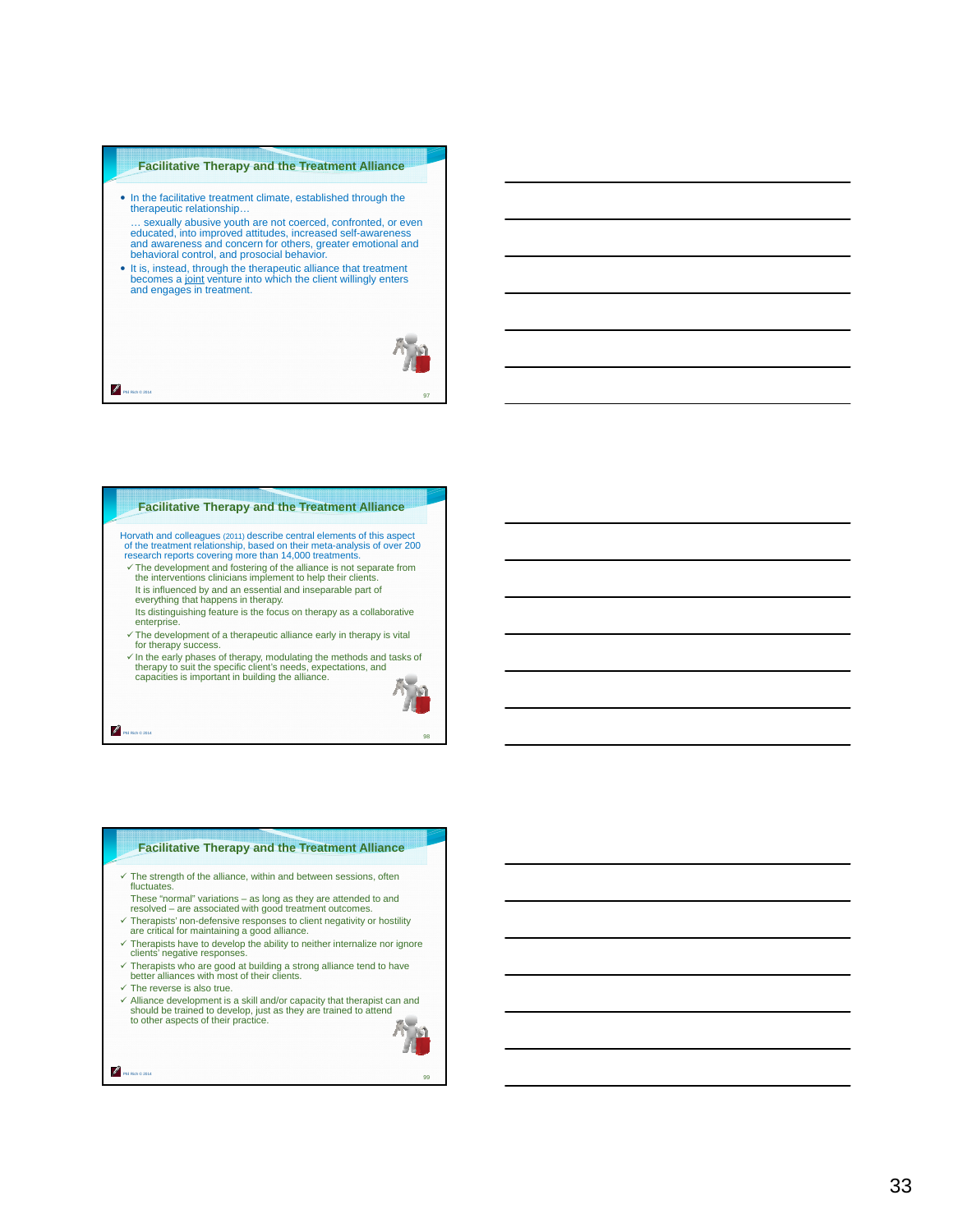#### **Facilitative Therapy and the Treatment Alliance**

- In the facilitative treatment climate, established through the therapeutic relationship… sexually abusive youth are not coerced, confronted, or even educated, into improved attitudes, increased self-awareness and awareness and concern for others, greater emotional and
- behavioral control, and prosocial behavior. It is, instead, through the therapeutic alliance that treatment becomes a joint venture into which the client willingly enters and engages in treatment.
	-

97

**Facilitative Therapy and the Treatment Alliance** 

Horvath and colleagues (2011) describe central elements of this aspect of the treatment relationship, based on their meta-analysis of over 200 research reports covering more than 14,000 treatments.

- $\checkmark$  The development and fostering of the alliance is not separate from the interventions clinicians implement to help their clients. It is influenced by and an essential and inseparable part of everything that happens in therapy.
- Its distinguishing feature is the focus on therapy as a collaborative enterprise.
- $\checkmark$  The development of a therapeutic alliance early in therapy is vital for therapy success.
- $\checkmark$  In the early phases of therapy, modulating the methods and tasks of therapy to suit the specific client's needs, expectations, and capacities is important in building the alliance.



98

₽ Phil Rich © 2014

Phil Rich © 2014

P.

#### **Facilitative Therapy and the Treatment Alliance**

- $\checkmark$  The strength of the alliance, within and between sessions, often fluctuates.
- These "normal" variations as long as they are attended to and resolved are associated with good treatment outcomes.
- $\checkmark$  Therapists' non-defensive responses to client negativity or hostility are critical for maintaining a good alliance.
- $\checkmark$  Therapists have to develop the ability to neither internalize nor ignore clients' negative responses.
- Therapists who are good at building a strong alliance tend to have better alliances with most of their clients.
- $\checkmark$  The reverse is also true.

Phil Rich © 2014

Z

 $\checkmark$  Alliance development is a skill and/or capacity that therapist can and should be trained to develop, just as they are trained to attend to other aspects of their practice.

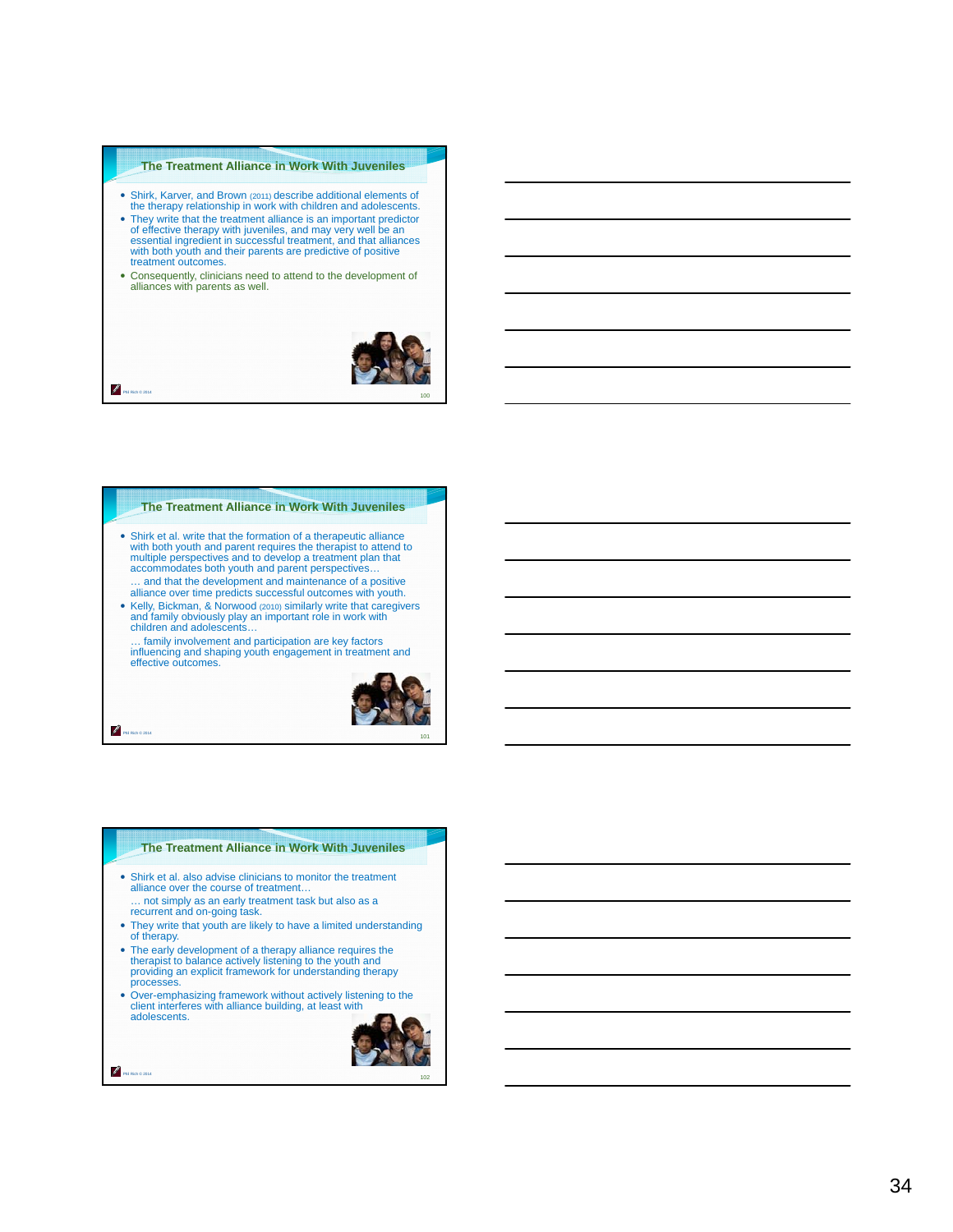#### **The Treatment Alliance in Work With Juveniles**

- Shirk, Karver, and Brown (2011) describe additional elements of the therapy relationship in work with children and adolescents.
- They write that the treatment alliance is an important predictor of effective therapy with juveniles, and may very well be an essential ingredient in successful treatment, and that alliances with both youth and their parents are predictive of positive treatment outcomes.
- Consequently, clinicians need to attend to the development of alliances with parents as well.



Ø Phil Rich © 2014

#### **The Treatment Alliance in Work With Juveniles**

- Shirk et al. write that the formation of a therapeutic alliance with both youth and parent requires the therapist to attend to multiple perspectives and to develop a treatment plan that accommodates both youth and parent perspectives…
- … and that the development and maintenance of a positive alliance over time predicts successful outcomes with youth. Kelly, Bickman, & Norwood (2010) similarly write that caregivers and family obviously play an important role in work with children and adolescents…

… family involvement and participation are key factors influencing and shaping youth engagement in treatment and effective outcomes.



Phil Rich © 2014

#### **The Treatment Alliance in Work With Juveniles**

- Shirk et al. also advise clinicians to monitor the treatment alliance over the course of treatment…
- … not simply as an early treatment task but also as a recurrent and on-going task. • They write that youth are likely to have a limited understanding
- of therapy.
- The early development of a therapy alliance requires the therapist to balance actively listening to the youth and providing an explicit framework for understanding therapy processes.
- Over-emphasizing framework without actively listening to the client interferes with alliance building, at least with adolescents.



Z Phil Rich © 2014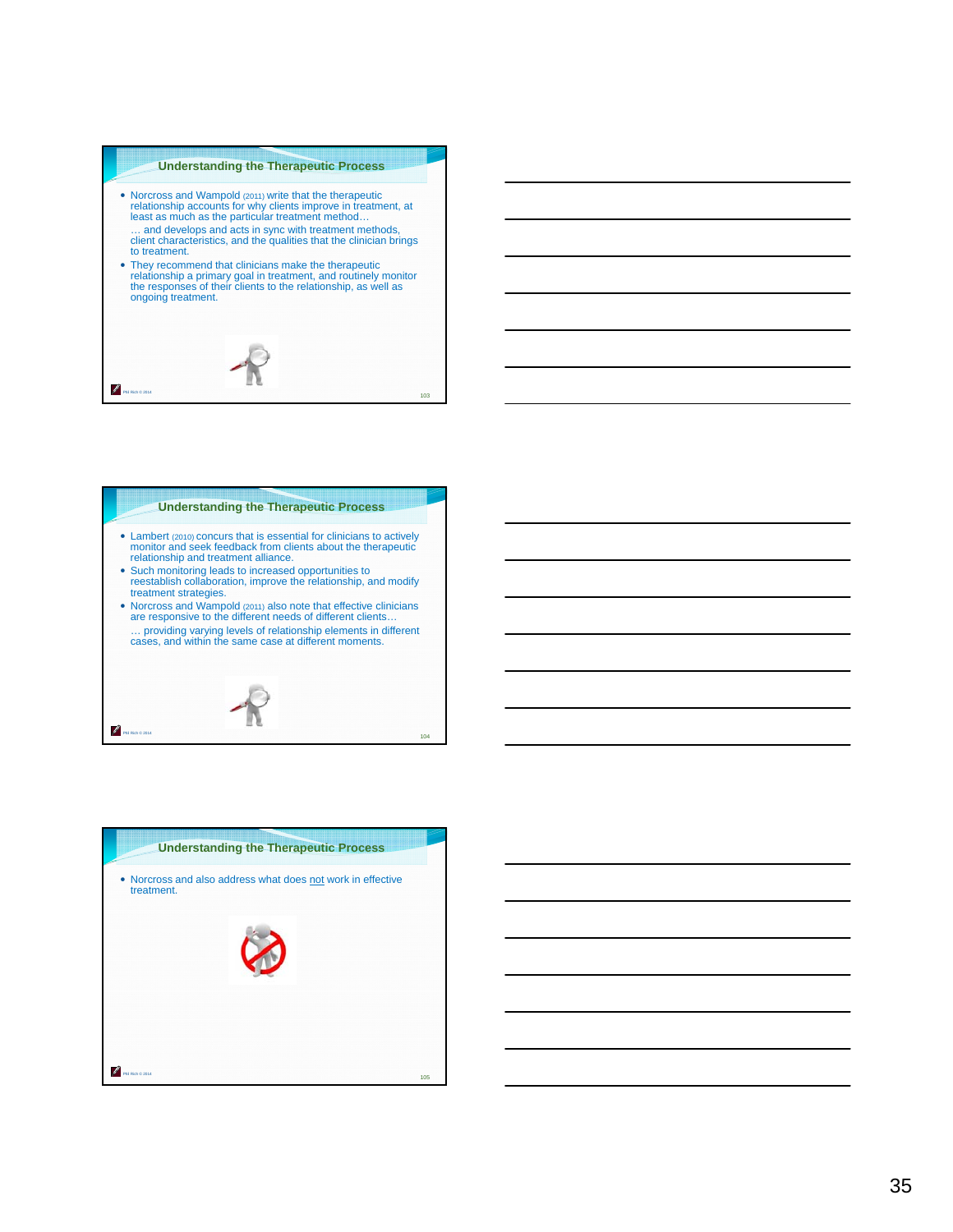#### **Understanding the Therapeutic Process**

 Norcross and Wampold (2011) write that the therapeutic relationship accounts for why clients improve in treatment, at least as much as the particular treatment method… … and develops and acts in sync with treatment methods, client characteristics, and the qualities that the clinician brings to treatment. They recommend that clinicians make the therapeutic relationship a primary goal in treatment, and routinely monitor the responses of their clients to the relationship, as well as ongoing treatment. P Phil Rich © 2014 103

#### **Understanding the Therapeutic Process**

- Lambert (2010) concurs that is essential for clinicians to actively monitor and seek feedback from clients about the therapeutic relationship and treatment alliance.
- Such monitoring leads to increased opportunities to reestablish collaboration, improve the relationship, and modify treatment strategies.
- Norcross and Wampold (2011) also note that effective clinicians are responsive to the different needs of different clients… … providing varying levels of relationship elements in different cases, and within the same case at different moments.



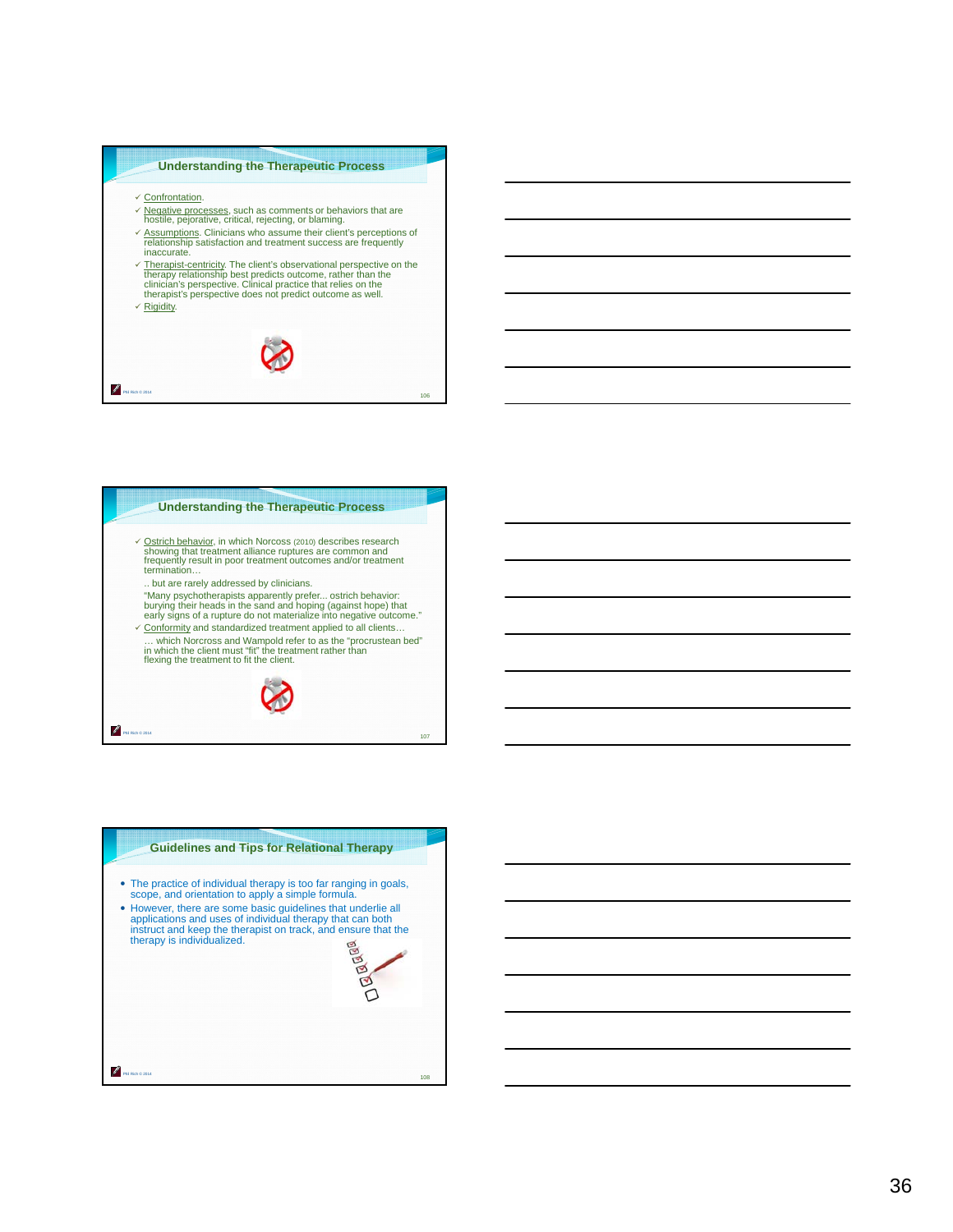



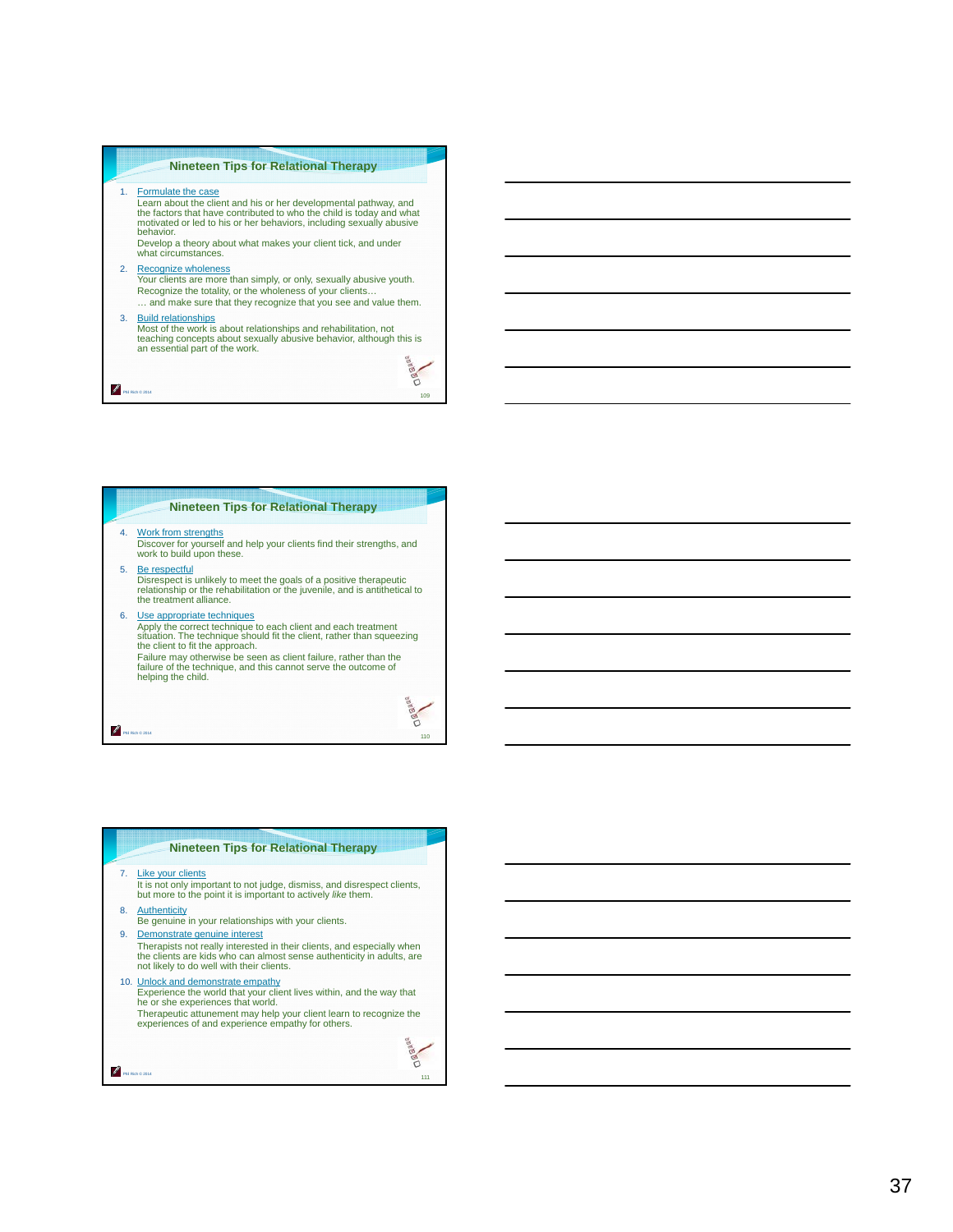# **Nineteen Tips for Relational Therapy** 1. Formulate the case Learn about the client and his or her developmental pathway, and the factors that have contributed to who the child is today and what motivated or led to his or her behaviors, including sexually abusive behavior. Develop a theory about what makes your client tick, and under what circumstances. 2. Recognize wholeness Your clients are more than simply, or only, sexually abusive youth. Recognize the totality, or the wholeness of your clients… … and make sure that they recognize that you see and value them. 3. Build relationships Most of the work is about relationships and rehabilitation, not teaching concepts about sexually abusive behavior, although this is an essential part of the work. Dagaas

#### **Nineteen Tips for Relational Therapy**

109

g

Phil Rich © 2014

P.

Phil Rich © 2014

Phil Rich © 2014

ℐ

- 4. Work from strengths Discover for yourself and help your clients find their strengths, and work to build upon these.
- 5. Be respectful Disrespect is unlikely to meet the goals of a positive therapeutic relationship or the rehabilitation or the juvenile, and is antithetical to the treatment alliance.
- 6. Use appropriate techniques Apply the correct technique to each client and each treatment situation. The technique should fit the client, rather than squeezing the client to fit the approach. Failure may otherwise be seen as client failure, rather than the failure of the technique, and this cannot serve the outcome of helping the child.



- It is not only important to not judge, dismiss, and disrespect clients, but more to the point it is important to actively *like* them.
- 8. Authenticity Be genuine in your relationships with your clients.
- 9. Demonstrate genuine interest Therapists not really interested in their clients, and especially when the clients are kids who can almost sense authenticity in adults, are not likely to do well with their clients.
- 10. Unlock and demonstrate empathy Experience the world that your client lives within, and the way that he or she experiences that world. Therapeutic attunement may help your client learn to recognize the experiences of and experience empathy for others. **Dagasa**

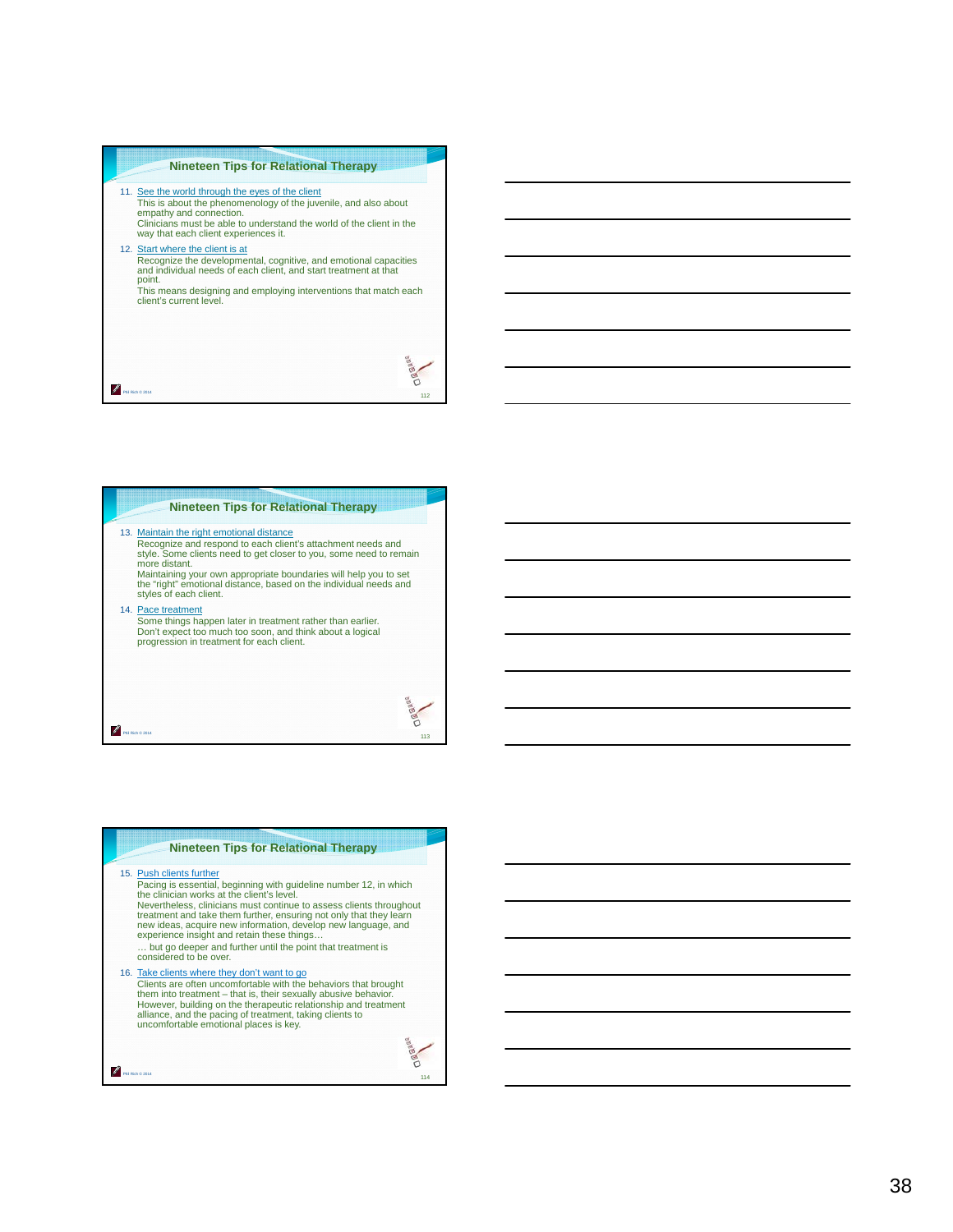#### **Nineteen Tips for Relational Therapy**

- 11. See the world through the eyes of the client This is about the phenomenology of the juvenile, and also about empathy and connection. Clinicians must be able to understand the world of the client in the way that each client experiences it.
- 12. Start where the client is at Recognize the developmental, cognitive, and emotional capacities and individual needs of each client, and start treatment at that point.

This means designing and employing interventions that match each client's current level.



113

eo<br>O

114

**Dagase** 

#### **Nineteen Tips for Relational Therapy**

13. Maintain the right emotional distance

Recognize and respond to each client's attachment needs and style. Some clients need to get closer to you, some need to remain more distant.<br>Maintaining your own appropriate boundaries will help you to set Maintaining your own appropriate boundaries will help you to set the "right" emotional distance, based on the individual needs and styles of each client.

14. Pace treatment

Phil Rich © 2014

Phil Rich © 2014

₽

Some things happen later in treatment rather than earlier. Don't expect too much too soon, and think about a logical progression in treatment for each client.

**Nineteen Tips for Relational Therapy** 15. Push clients further Pacing is essential, beginning with guideline number 12, in which the clinician works at the client's level. Nevertheless, clinicians must continue to assess clients throughout treatment and take them further, ensuring not only that they learn<br>new ideas, acquire new information, develop new language, and<br>experience insight and retain these things…

… but go deeper and further until the point that treatment is considered to be over.

16. Take clients where they don't want to go<br>Clients are often uncomfortable with the behaviors that brought<br>them into treatment – that is, their sexually abusive behavior. However, building on the therapeutic relationship and treatment alliance, and the pacing of treatment, taking clients to uncomfortable emotional places is key.

Z Phil Rich © 2014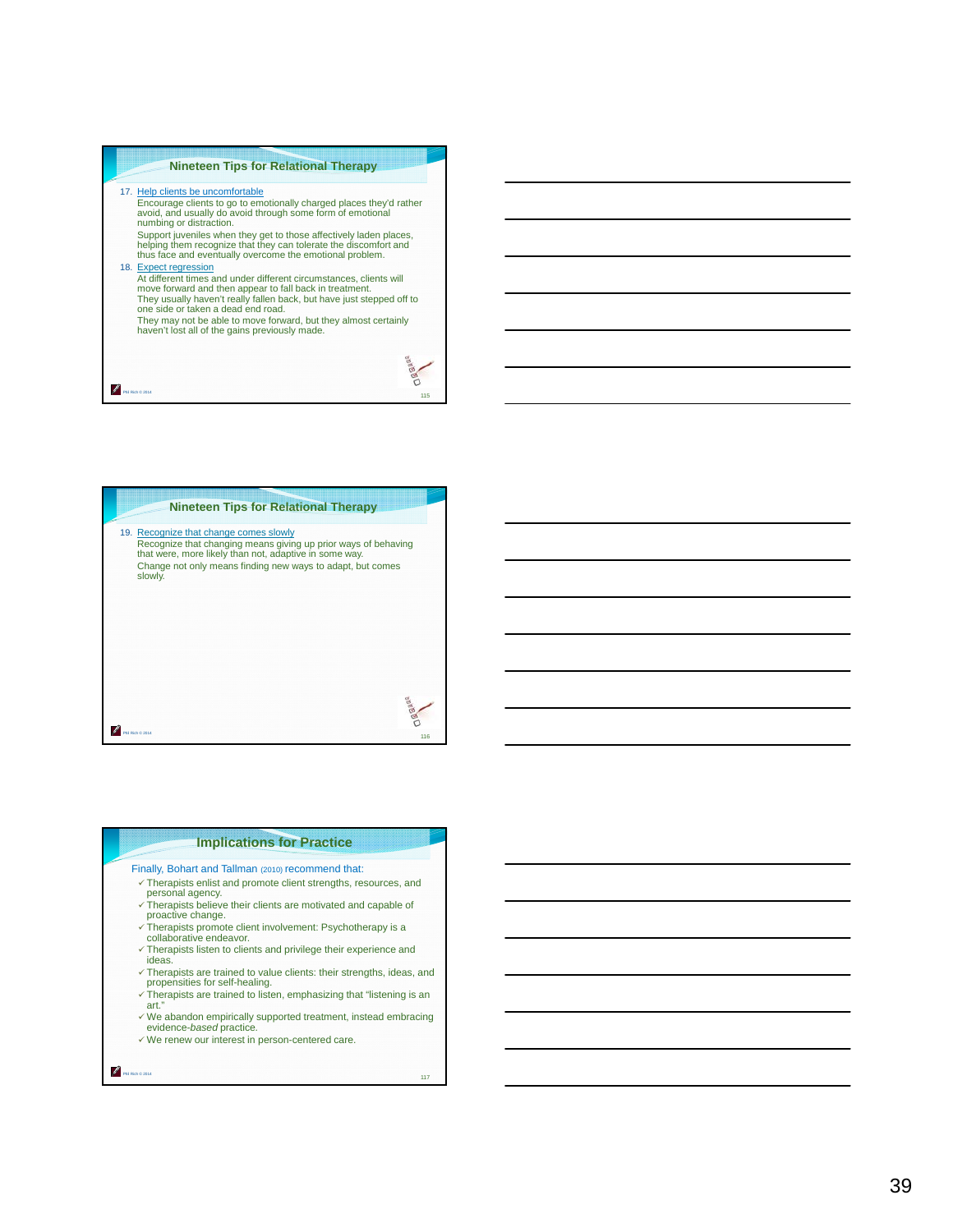# **Nineteen Tips for Relational Therapy** 17. Help clients be uncomfortable Encourage clients to go to emotionally charged places they'd rather avoid, and usually do avoid through some form of emotional numbing or distraction. Support juveniles when they get to those affectively laden places, helping them recognize that they can tolerate the discomfort and thus face and eventually overcome the emotional problem. 18. Expect regression At different times and under different circumstances, clients will move forward and then appear to fall back in treatment. They usually haven't really fallen back, but have just stepped off to one side or taken a dead end road. They may not be able to move forward, but they almost certainly haven't lost all of the gains previously made.

115

**Dagas** 

116

**Dagas** 

117

# **Nineteen Tips for Relational Therapy** 19. Recognize that change comes slowly Recognize that changing means giving up prior ways of behaving that were, more likely than not, adaptive in some way. Change not only means finding new ways to adapt, but comes slowly.

**Implications for Practice**

- Finally, Bohart and Tallman (2010) recommend that:
- Therapists enlist and promote client strengths, resources, and personal agency.  $\checkmark$  Therapists believe their clients are motivated and capable of
- proactive change.  $\checkmark$  Therapists promote client involvement: Psychotherapy is a
- collaborative endeavor.
- Therapists listen to clients and privilege their experience and ideas.
- $\checkmark$  Therapists are trained to value clients: their strengths, ideas, and propensities for self-healing.
- Therapists are trained to listen, emphasizing that "listening is an art."
- $\checkmark$  We abandon empirically supported treatment, instead embracing evidence-*based* practice*.*
- We renew our interest in person-centered care.

Phil Rich © 2014

Phil Rich © 2014

Phil Rich © 2014

P.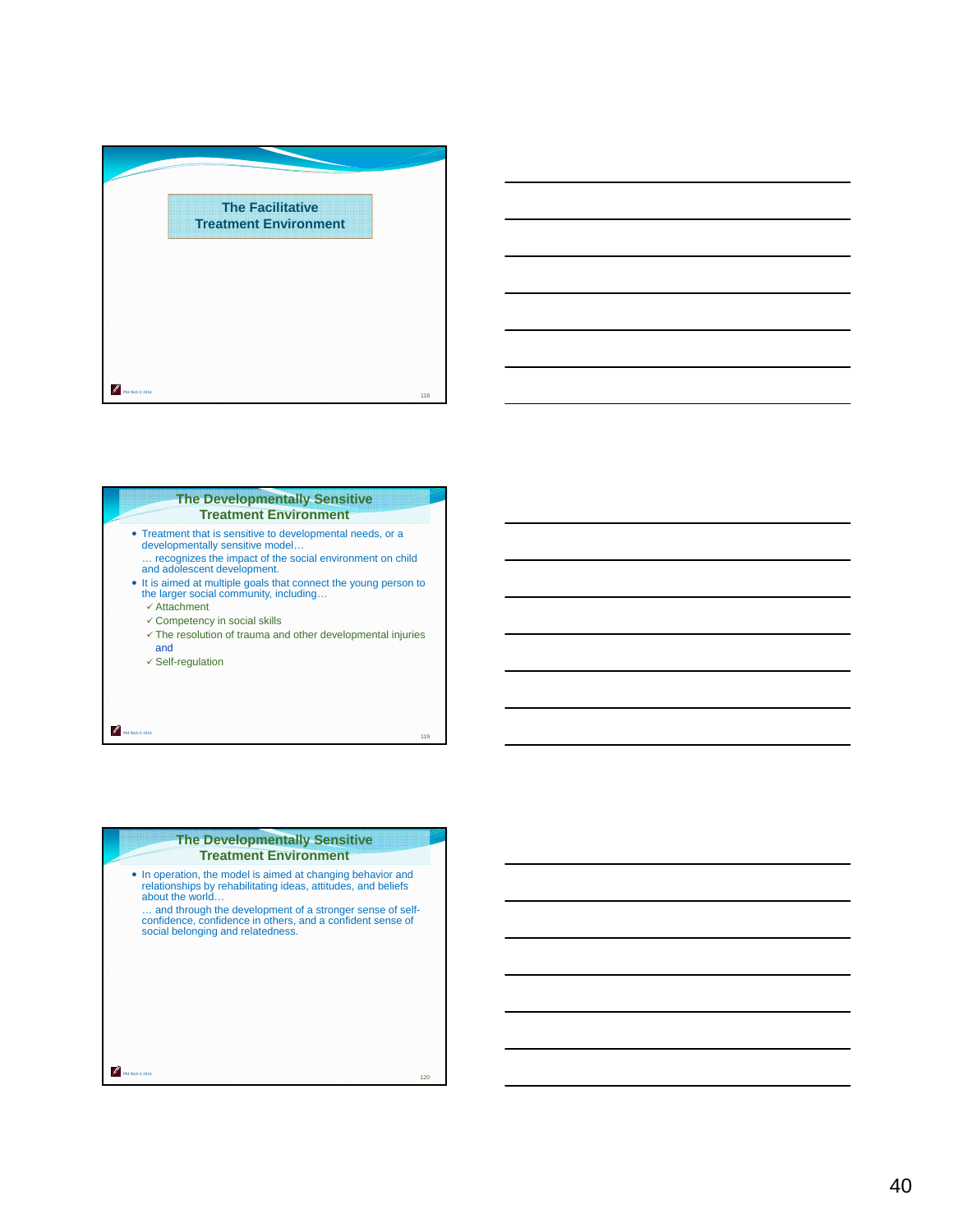



# **The Developmentally Sensitive Treatment Environment**  • Treatment that is sensitive to developmental needs, or a developmentally sensitive model… … recognizes the impact of the social environment on child and adolescent development. It is aimed at multiple goals that connect the young person to the larger social community, including…  $\checkmark$  Attachment Competency in social skills  $\checkmark$  The resolution of trauma and other developmental injuries and  $\checkmark$  Self-regulation

119

Phil Rich © 2014

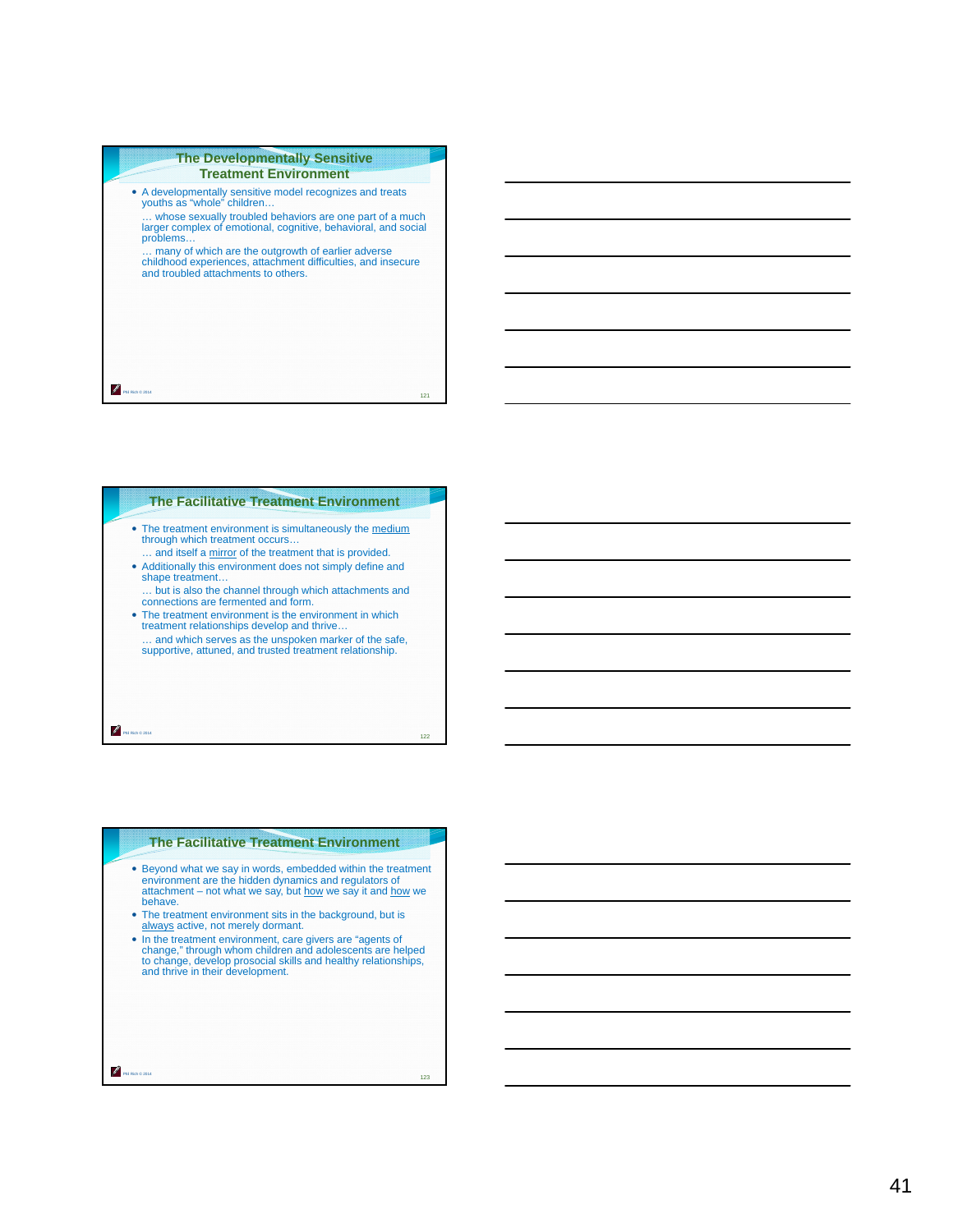#### **The Developmentally Sensitive Treatment Environment**

| • A developmentally sensitive model recognizes and treats<br>youths as "whole" children                                                                   |     |
|-----------------------------------------------------------------------------------------------------------------------------------------------------------|-----|
| whose sexually troubled behaviors are one part of a much<br>larger complex of emotional, cognitive, behavioral, and social<br>problems                    |     |
| many of which are the outgrowth of earlier adverse<br>childhood experiences, attachment difficulties, and insecure<br>and troubled attachments to others. |     |
|                                                                                                                                                           |     |
|                                                                                                                                                           |     |
|                                                                                                                                                           |     |
|                                                                                                                                                           | 121 |

# **The Facilitative Treatment Environment**

- The treatment environment is simultaneously the medium through which treatment occurs...
- ... and itself a mirror of the treatment that is provided. Additionally this environment does not simply define and shape treatment…
- … but is also the channel through which attachments and connections are fermented and form.
- The treatment environment is the environment in which treatment relationships develop and thrive… … and which serves as the unspoken marker of the safe, supportive, attuned, and trusted treatment relationship.

Phil Rich © 2014

Phil Rich © 2014

# **The Facilitative Treatment Environment**

- **Beyond what we say in words, embedded within the treatment environment are the hidden dynamics and regulators of attachment attachment attachment attachment attachment not what we say, but how we say it and how we say.** behave.
- The treatment environment sits in the background, but is always active, not merely dormant.
- In the treatment environment, care givers are "agents of change," through whom children and adolescents are helped to change, develop prosocial skills and healthy relationships, and thrive in their development.

123

122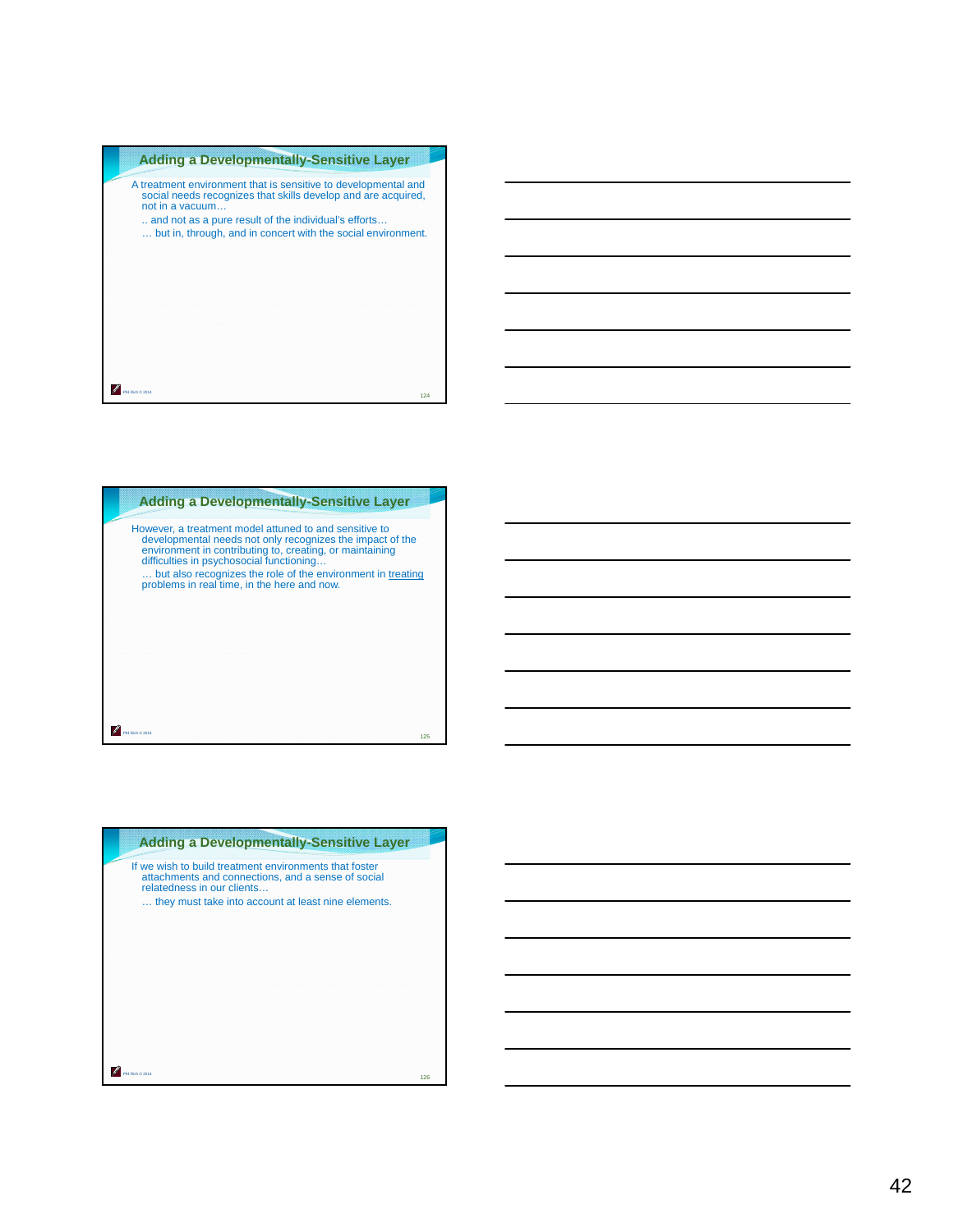



| <b>Adding a Developmentally-Sensitive Layer</b>                                                                                                                                                   |     |
|---------------------------------------------------------------------------------------------------------------------------------------------------------------------------------------------------|-----|
| If we wish to build treatment environments that foster<br>attachments and connections, and a sense of social<br>relatedness in our clients<br>they must take into account at least nine elements. |     |
| Rich @ 2014                                                                                                                                                                                       | 126 |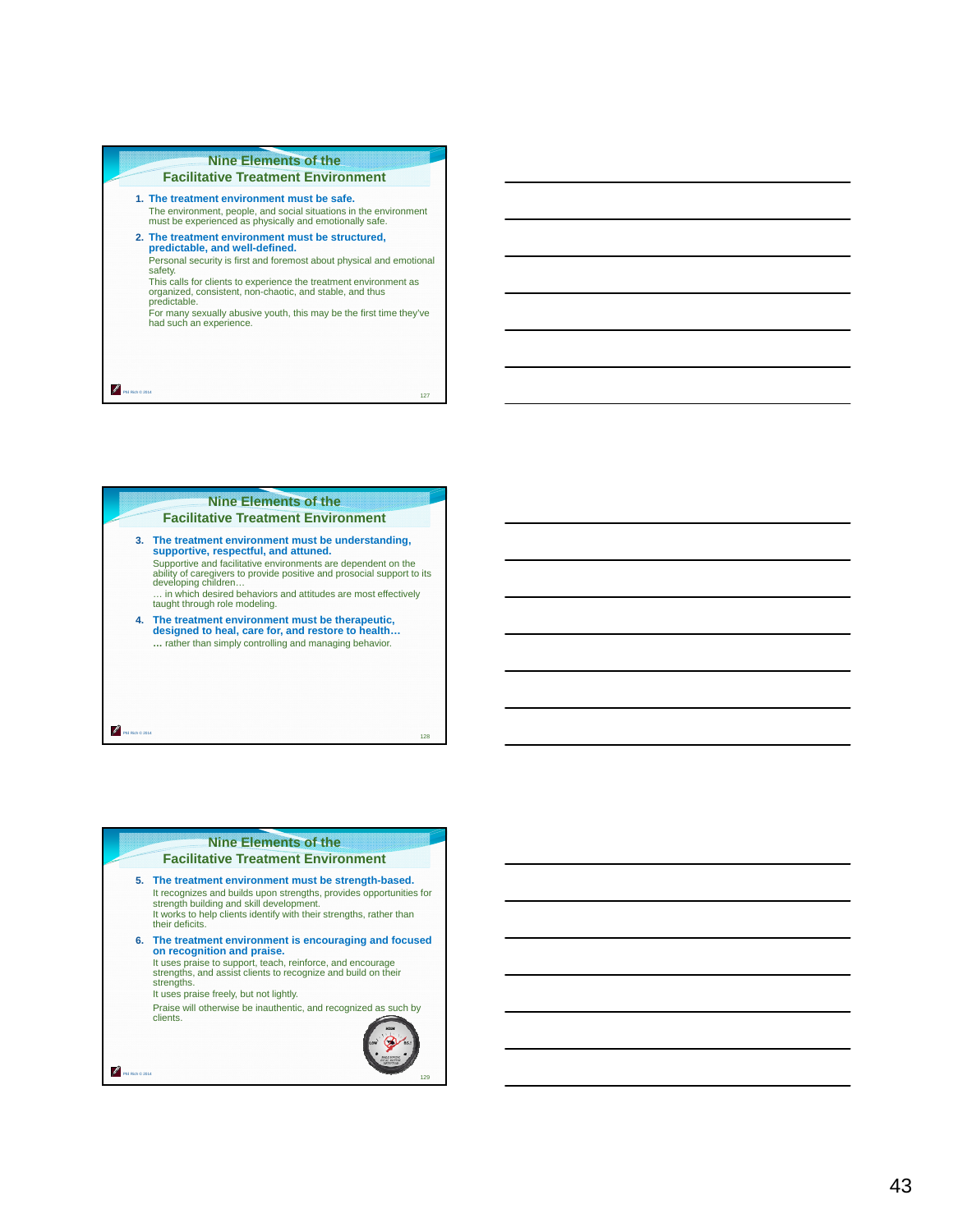# **Nine Elements of the Facilitative Treatment Environment**

- **1. The treatment environment must be safe.**  The environment, people, and social situations in the environment must be experienced as physically and emotionally safe.
- **2. The treatment environment must be structured, predictable, and well-defined.**  Personal security is first and foremost about physical and emotional safety.
- This calls for clients to experience the treatment environment as organized, consistent, non-chaotic, and stable, and thus predictable.
- For many sexually abusive youth, this may be the first time they've had such an experience.

127

P. Phil Rich © 2014



# **Nine Elements of the**

#### **Facilitative Treatment Environment**

**5. The treatment environment must be strength-based.** It recognizes and builds upon strengths, provides opportunities for strength building and skill development. It works to help clients identify with their strengths, rather than their deficits. **6. The treatment environment is encouraging and focused on recognition and praise.**  It uses praise to support, teach, reinforce, and encourage strengths, and assist clients to recognize and build on their strengths. It uses praise freely, but not lightly. Praise will otherwise be inauthentic, and recognized as such by clients. ℐ Phil Rich © 2014 129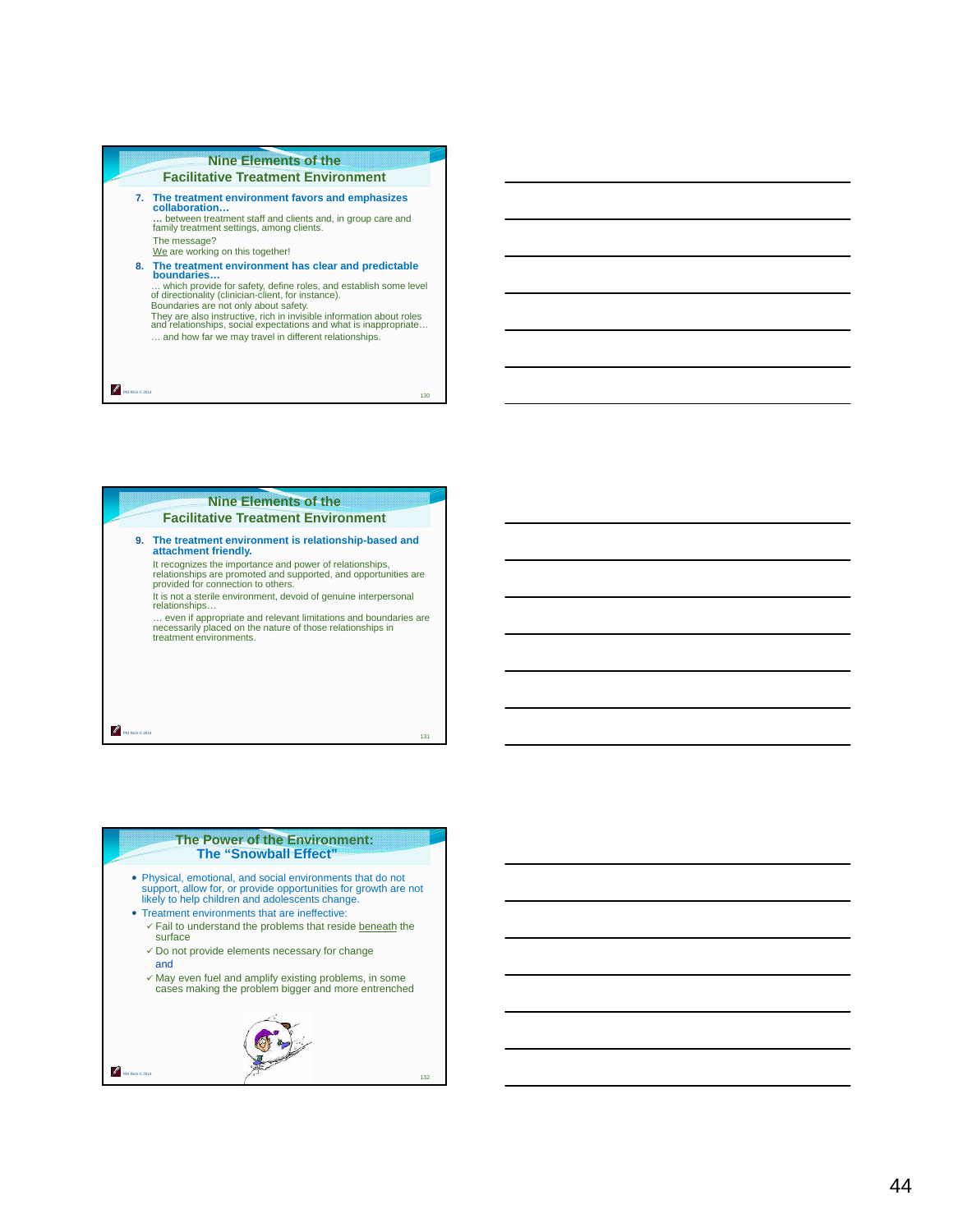# **Nine Elements of the Facilitative Treatment Environment 7. The treatment environment favors and emphasizes collaboration… …** between treatment staff and clients and, in group care and family treatment settings, among clients. The message?<br><u>We</u> are working on this together! **8. The treatment environment has clear and predictable boundaries…** ... which provide for safety, define roles, and establish some level<br>of directionality (clinician-client, for instance).<br>Boundaries are not only about safety.<br>They are also instructive, rich in invisible information about … and how far we may travel in different relationships.

130

Phil Rich © 2014

P.



# **The Power of the Environment: The "Snowball Effect"**

- Physical, emotional, and social environments that do not support, allow for, or provide opportunities for growth are not likely to help children and adolescents change.
- Treatment environments that are ineffective:
	- $\checkmark$  Fail to understand the problems that reside beneath the surface
	- $\checkmark$  Do not provide elements necessary for change and
	- May even fuel and amplify existing problems, in some cases making the problem bigger and more entrenched

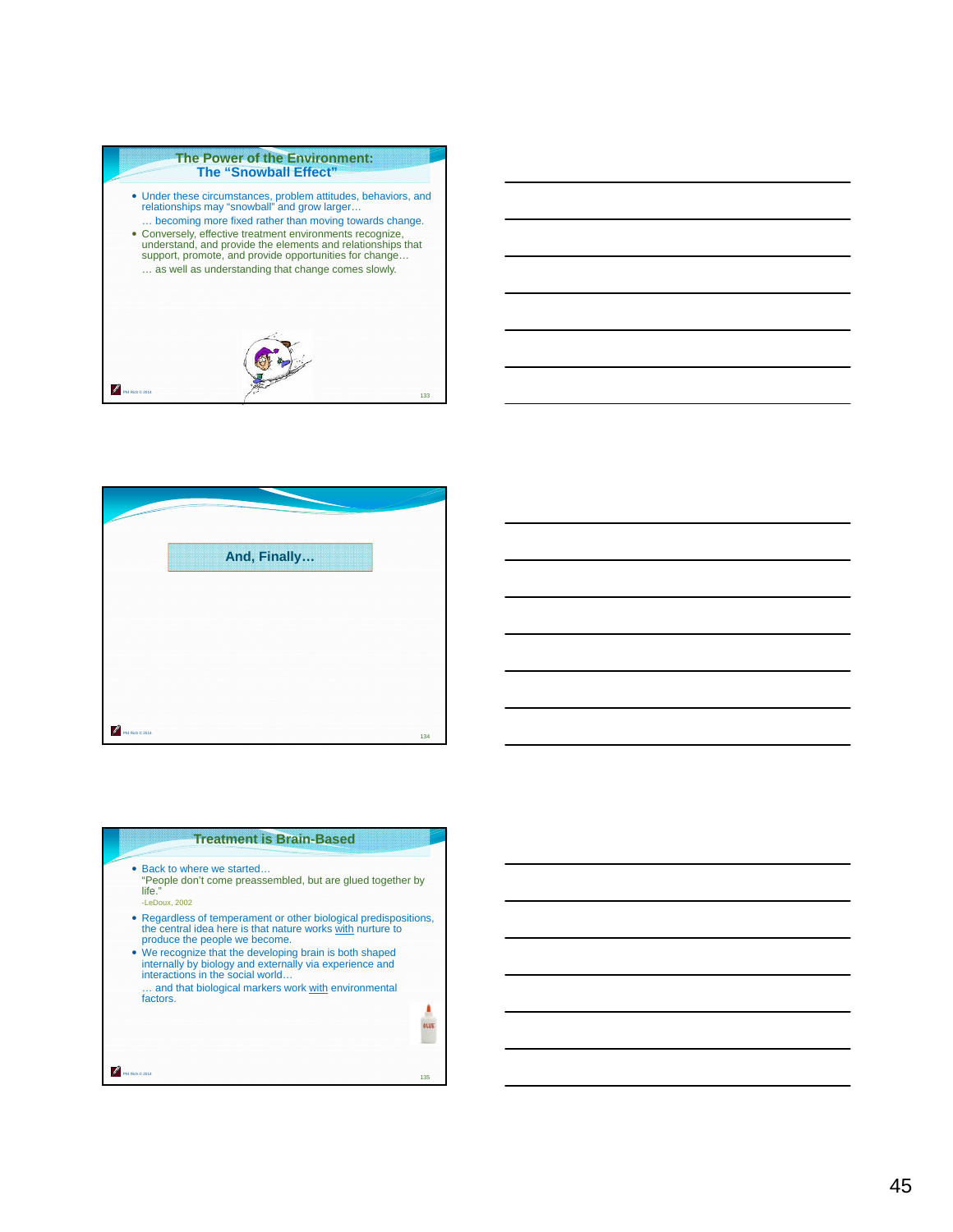#### **The Power of the Environment: The "Snowball Effect"**

Phil Rich © 2014 Under these circumstances, problem attitudes, behaviors, and relationships may "snowball" and grow larger… … becoming more fixed rather than moving towards change. Conversely, effective treatment environments recognize, understand, and provide the elements and relationships that support, promote, and provide opportunities for change… … as well as understanding that change comes slowly. 133

|                  | And, Finally |  |
|------------------|--------------|--|
|                  |              |  |
|                  |              |  |
|                  |              |  |
|                  |              |  |
|                  |              |  |
|                  |              |  |
|                  |              |  |
|                  |              |  |
|                  |              |  |
|                  |              |  |
| Phil Rich @ 2014 |              |  |

| <b>Treatment is Brain-Based</b>                                                                                                                                                                                                                                                                                                                                                  |     |
|----------------------------------------------------------------------------------------------------------------------------------------------------------------------------------------------------------------------------------------------------------------------------------------------------------------------------------------------------------------------------------|-----|
| • Back to where we started<br>"People don't come preassembled, but are glued together by<br>life."<br>-LeDoux, 2002                                                                                                                                                                                                                                                              |     |
| • Regardless of temperament or other biological predispositions,<br>the central idea here is that nature works with nurture to<br>produce the people we become.<br>• We recognize that the developing brain is both shaped<br>internally by biology and externally via experience and<br>interactions in the social world<br>and that biological markers work with environmental |     |
| factors.                                                                                                                                                                                                                                                                                                                                                                         |     |
|                                                                                                                                                                                                                                                                                                                                                                                  | 135 |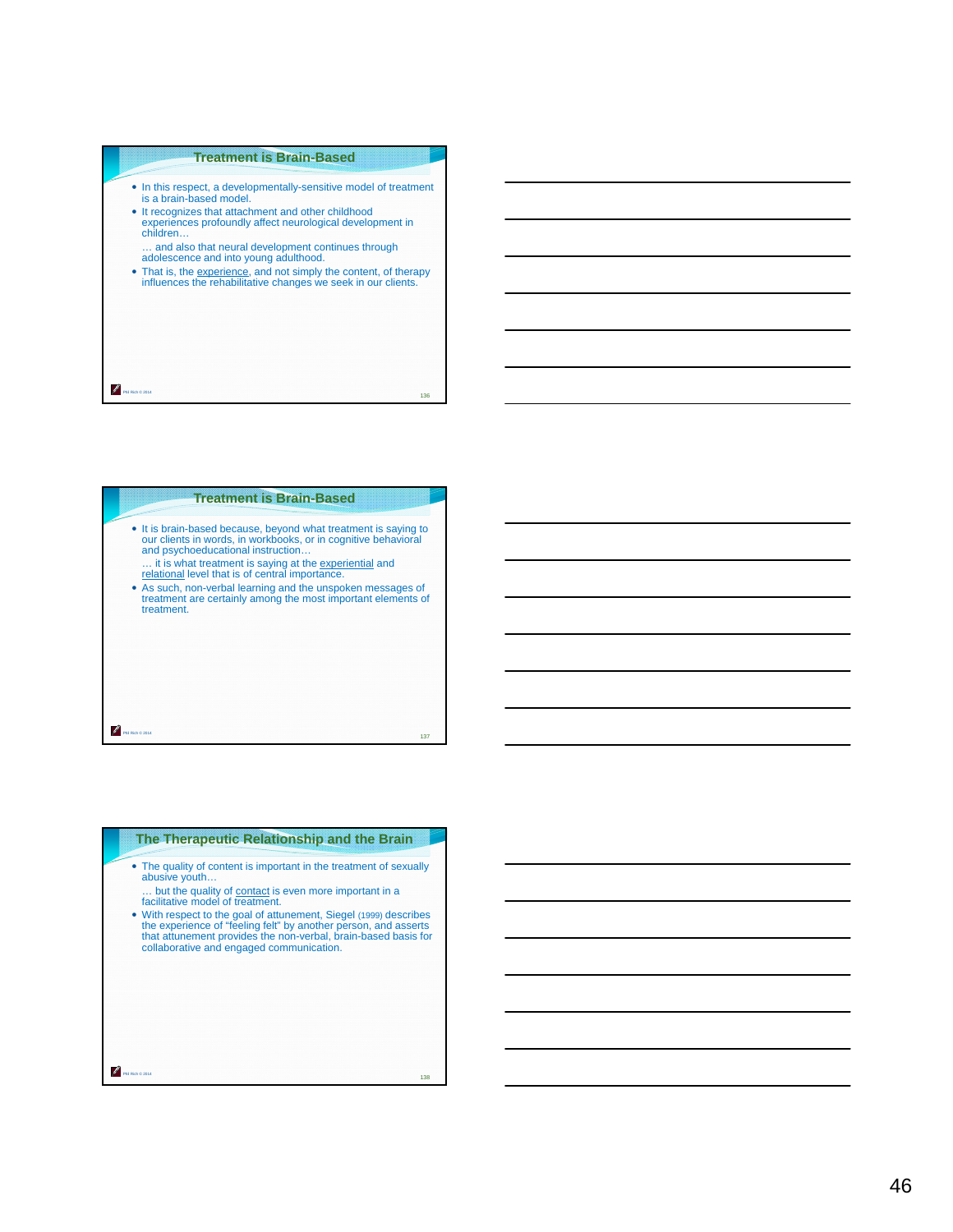# **Treatment is Brain-Based**

- In this respect, a developmentally-sensitive model of treatment is a brain-based model.
- It recognizes that attachment and other childhood experiences profoundly affect neurological development in children…

… and also that neural development continues through adolescence and into young adulthood.

Phil Rich © 2014

treatment.

That is, the experience, and not simply the content, of therapy influences the rehabilitative changes we seek in our clients.

136

# **Treatment is Brain-Based**

- It is brain-based because, beyond what treatment is saying to our clients in words, in workbooks, or in cognitive behavioral and psychoeducational instruction… ... it is what treatment is saying at the experiential and relational level that is of central importance.
- As such, non-verbal learning and the unspoken messages of treatment are certainly among the most important elements of

# Phil Rich © 2014 137

| The Therapeutic Relationship and the Brain                                                                                                                                                                                                                                                                                                                                                                                              |
|-----------------------------------------------------------------------------------------------------------------------------------------------------------------------------------------------------------------------------------------------------------------------------------------------------------------------------------------------------------------------------------------------------------------------------------------|
| • The quality of content is important in the treatment of sexually<br>abusive youth<br>but the quality of contact is even more important in a<br>facilitative model of treatment.<br>• With respect to the goal of attunement, Siegel (1999) describes<br>the experience of "feeling felt" by another person, and asserts<br>that attunement provides the non-verbal, brain-based basis for<br>collaborative and engaged communication. |
| Rich @ 2014<br>138                                                                                                                                                                                                                                                                                                                                                                                                                      |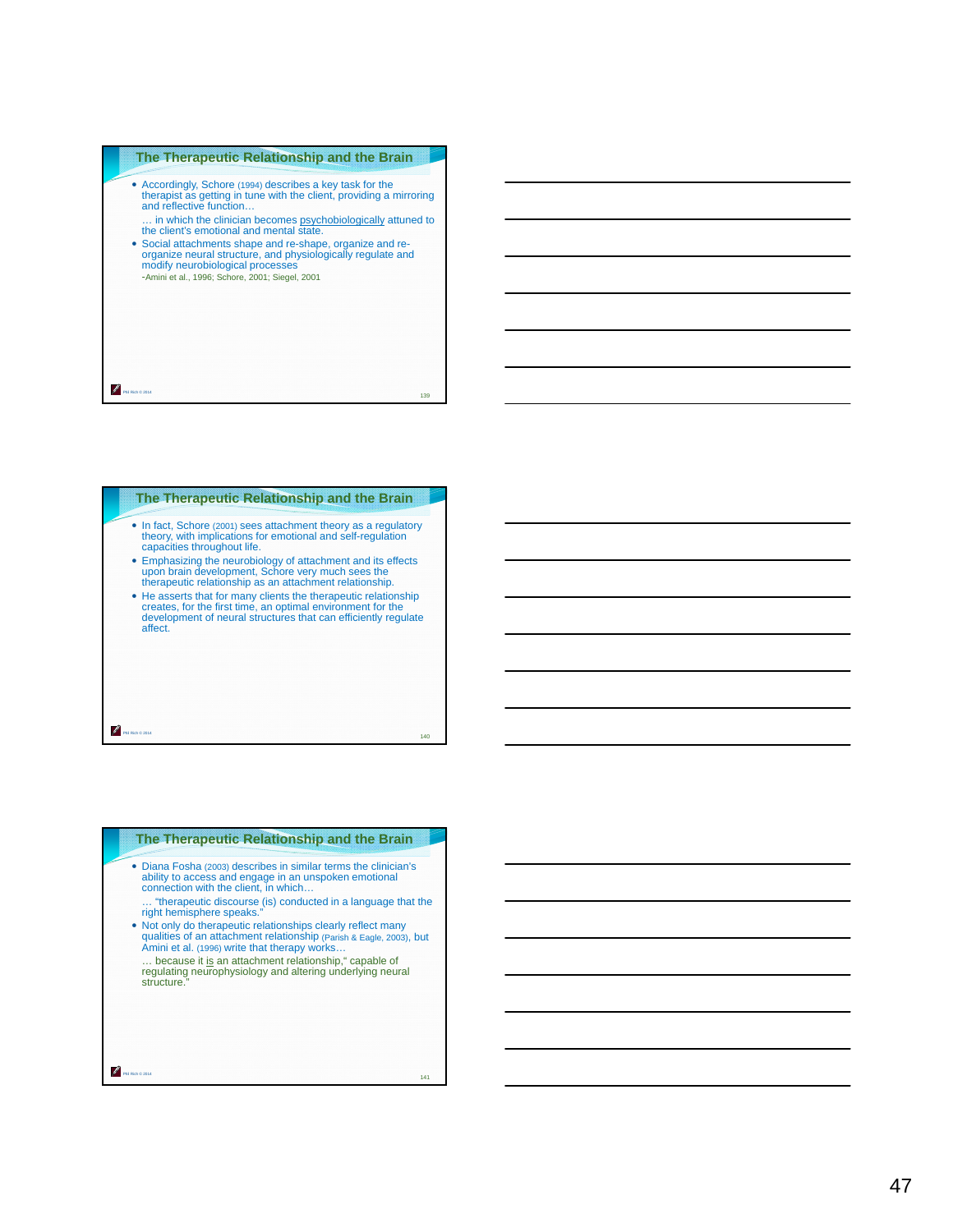## **The Therapeutic Relationship and the Brain**

- Accordingly, Schore (1994) describes a key task for the therapist as getting in tune with the client, providing a mirroring and reflective function…
- ... in which the clinician becomes **psychobiologically** attuned to the client's emotional and mental state.
- Social attachments shape and re-shape, organize and re-organize neural structure, and physiologically regulate and modify neurobiological processes -Amini et al., 1996; Schore, 2001; Siegel, 2001

P 139 Phil Rich © 2014

# Phil Rich © 2014 **The Therapeutic Relationship and the Brain** In fact, Schore (2001) sees attachment theory as a regulatory theory, with implications for emotional and self-regulation capacities throughout life. Emphasizing the neurobiology of attachment and its effects upon brain development, Schore very much sees the therapeutic relationship as an attachment relationship. He asserts that for many clients the therapeutic relationship creates, for the first time, an optimal environment for the development of neural structures that can efficiently regulate affect.

140

| The Therapeutic Relationship and the Brain                                                                                                                                                                                                                                                                                                                                                                                                                                                                                                                                                |
|-------------------------------------------------------------------------------------------------------------------------------------------------------------------------------------------------------------------------------------------------------------------------------------------------------------------------------------------------------------------------------------------------------------------------------------------------------------------------------------------------------------------------------------------------------------------------------------------|
| • Diana Fosha (2003) describes in similar terms the clinician's<br>ability to access and engage in an unspoken emotional<br>connection with the client, in which<br>"therapeutic discourse (is) conducted in a language that the<br>right hemisphere speaks."<br>. Not only do therapeutic relationships clearly reflect many<br>qualities of an attachment relationship (Parish & Eagle, 2003), but<br>Amini et al. (1996) write that therapy works<br>because it is an attachment relationship," capable of<br>regulating neurophysiology and altering underlying neural<br>structure." |
| Rich @ 2014<br>141                                                                                                                                                                                                                                                                                                                                                                                                                                                                                                                                                                        |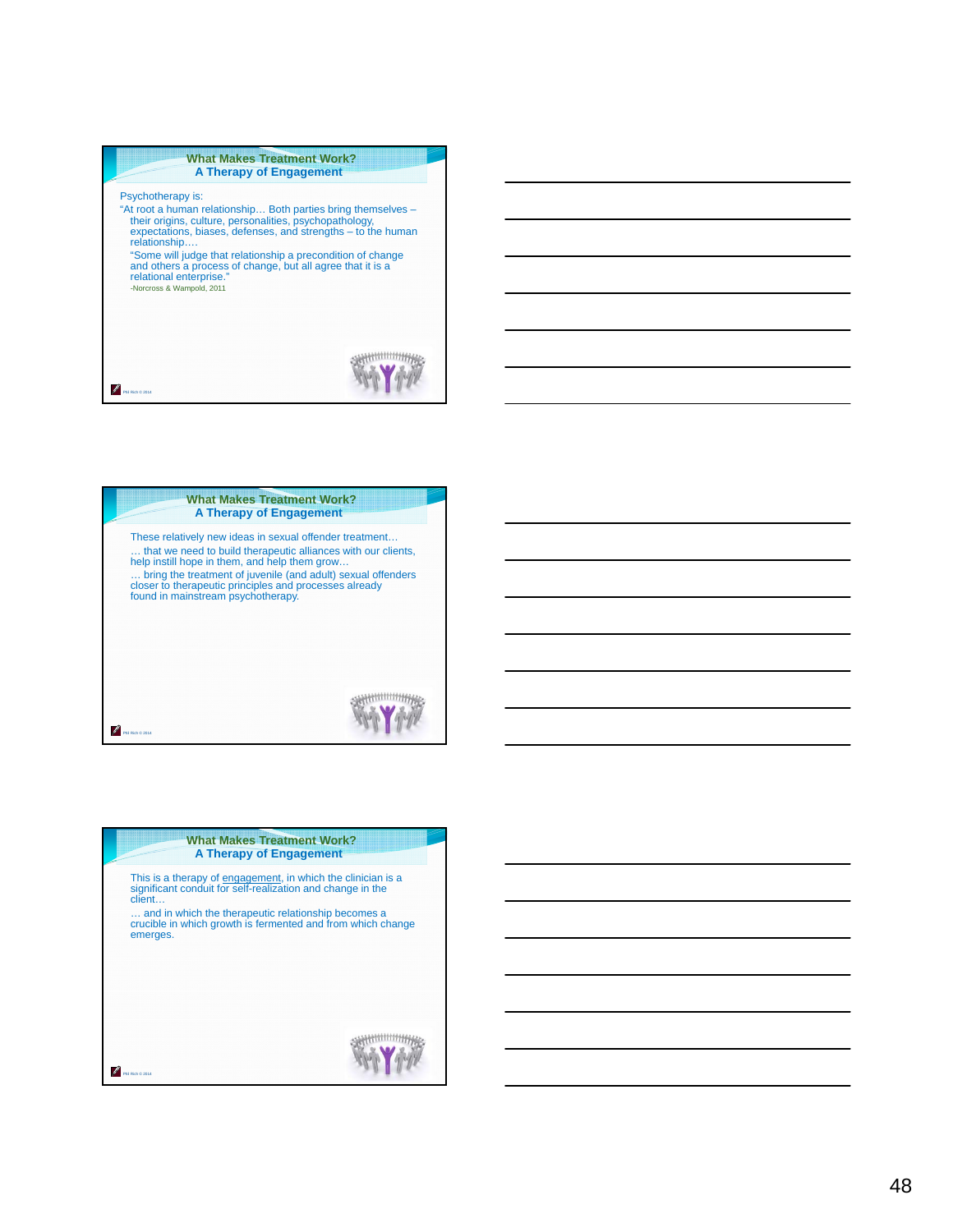| <b>What Makes Treatment Work?</b><br><b>A Therapy of Engagement</b>                                                                                                                                                                                                                                                                                                                                                |  |  |
|--------------------------------------------------------------------------------------------------------------------------------------------------------------------------------------------------------------------------------------------------------------------------------------------------------------------------------------------------------------------------------------------------------------------|--|--|
| Psychotherapy is:<br>"At root a human relationship Both parties bring themselves -<br>their origins, culture, personalities, psychopathology,<br>expectations, biases, defenses, and strengths - to the human<br>relationship<br>"Some will judge that relationship a precondition of change<br>and others a process of change, but all agree that it is a<br>relational enterprise."<br>-Norcross & Wampold, 2011 |  |  |
|                                                                                                                                                                                                                                                                                                                                                                                                                    |  |  |



| <b>What Makes Treatment Work?</b><br>A Therapy of Engagement                                                                                                                                                                                                           |  |  |
|------------------------------------------------------------------------------------------------------------------------------------------------------------------------------------------------------------------------------------------------------------------------|--|--|
| This is a therapy of engagement, in which the clinician is a<br>significant conduit for self-realization and change in the<br>client<br>and in which the therapeutic relationship becomes a<br>crucible in which growth is fermented and from which change<br>emerges. |  |  |
|                                                                                                                                                                                                                                                                        |  |  |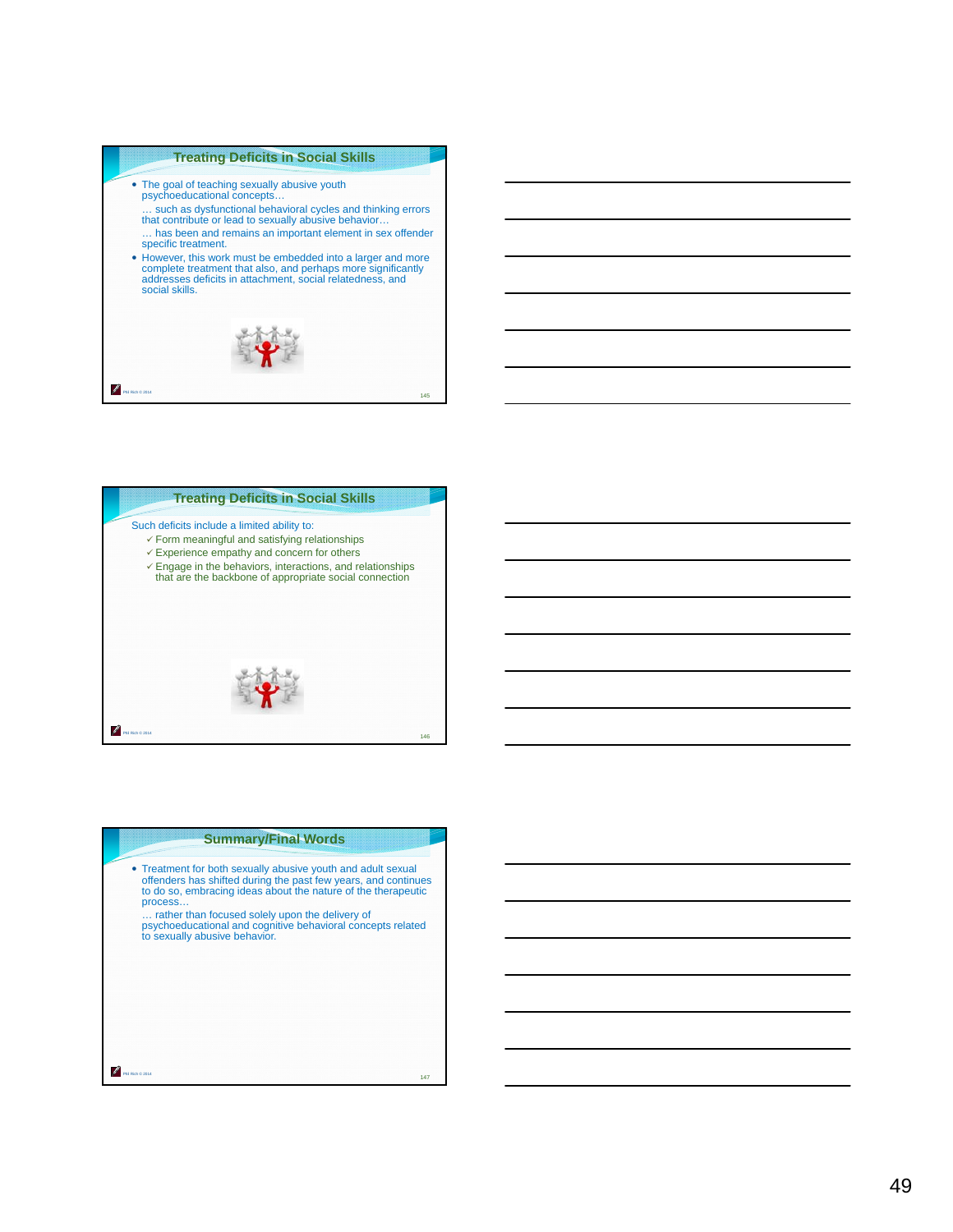# **Treating Deficits in Social Skills**

 The goal of teaching sexually abusive youth psychoeducational concepts… … such as dysfunctional behavioral cycles and thinking errors that contribute or lead to sexually abusive behavior… … has been and remains an important element in sex offender specific treatment. However, this work must be embedded into a larger and more complete treatment that also, and perhaps more significantly addresses deficits in attachment, social relatedness, and social skills. P 145 Phil Rich © 2014



| <b>Summary/Final Words</b>                                                                                                                                                                                 |     |
|------------------------------------------------------------------------------------------------------------------------------------------------------------------------------------------------------------|-----|
| • Treatment for both sexually abusive youth and adult sexual<br>offenders has shifted during the past few years, and continues<br>to do so, embracing ideas about the nature of the therapeutic<br>process |     |
| rather than focused solely upon the delivery of<br>psychoeducational and cognitive behavioral concepts related<br>to sexually abusive behavior.                                                            |     |
|                                                                                                                                                                                                            |     |
|                                                                                                                                                                                                            |     |
|                                                                                                                                                                                                            | 147 |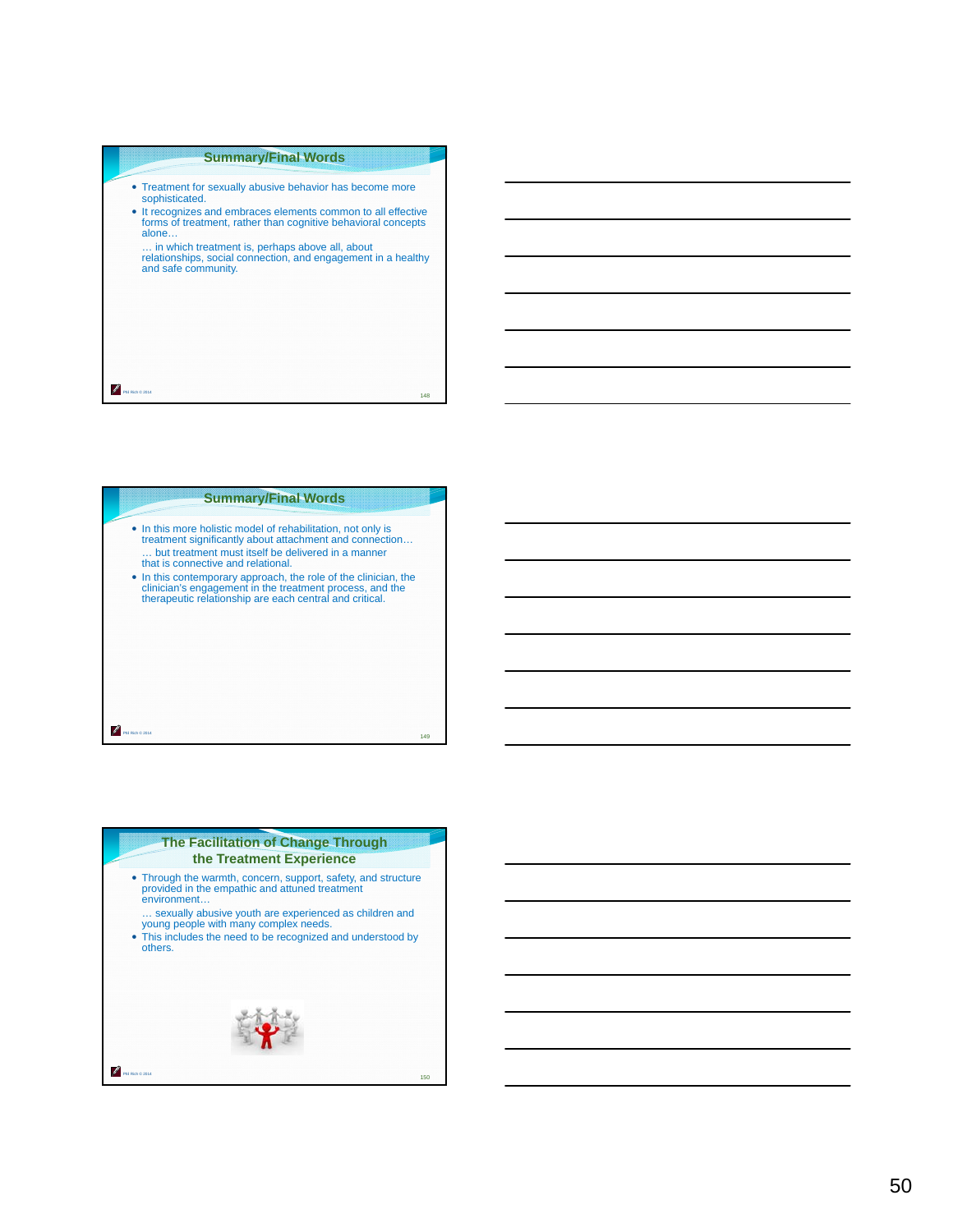# **Summary/Final Words**

- Treatment for sexually abusive behavior has become more sophisticated.
- It recognizes and embraces elements common to all effective forms of treatment, rather than cognitive behavioral concepts alone…

… in which treatment is, perhaps above all, about relationships, social connection, and engagement in a healthy and safe community.

148

Phil Rich © 2014

P

# Phil Rich © 2014 **Summary/Final Words** In this more holistic model of rehabilitation, not only is treatment significantly about attachment and connection… … but treatment must itself be delivered in a manner that is connective and relational. In this contemporary approach, the role of the clinician, the clinician's engagement in the treatment process, and the therapeutic relationship are each central and critical. 149

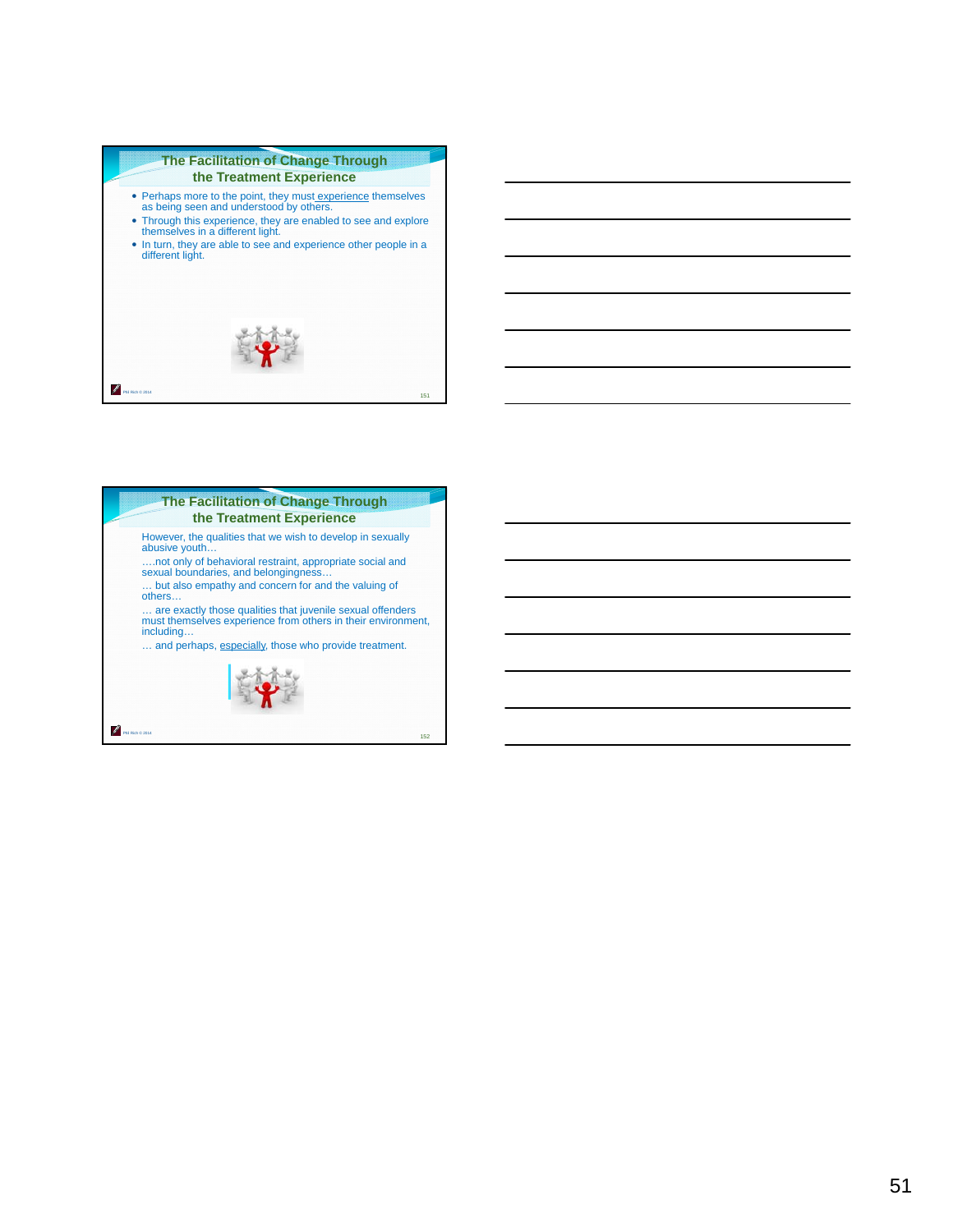#### **The Facilitation of Change Through the Treatment Experience**

- Perhaps more to the point, they must experience themselves as being seen and understood by others.
- Through this experience, they are enabled to see and explore themselves in a different light.
- In turn, they are able to see and experience other people in a different light.



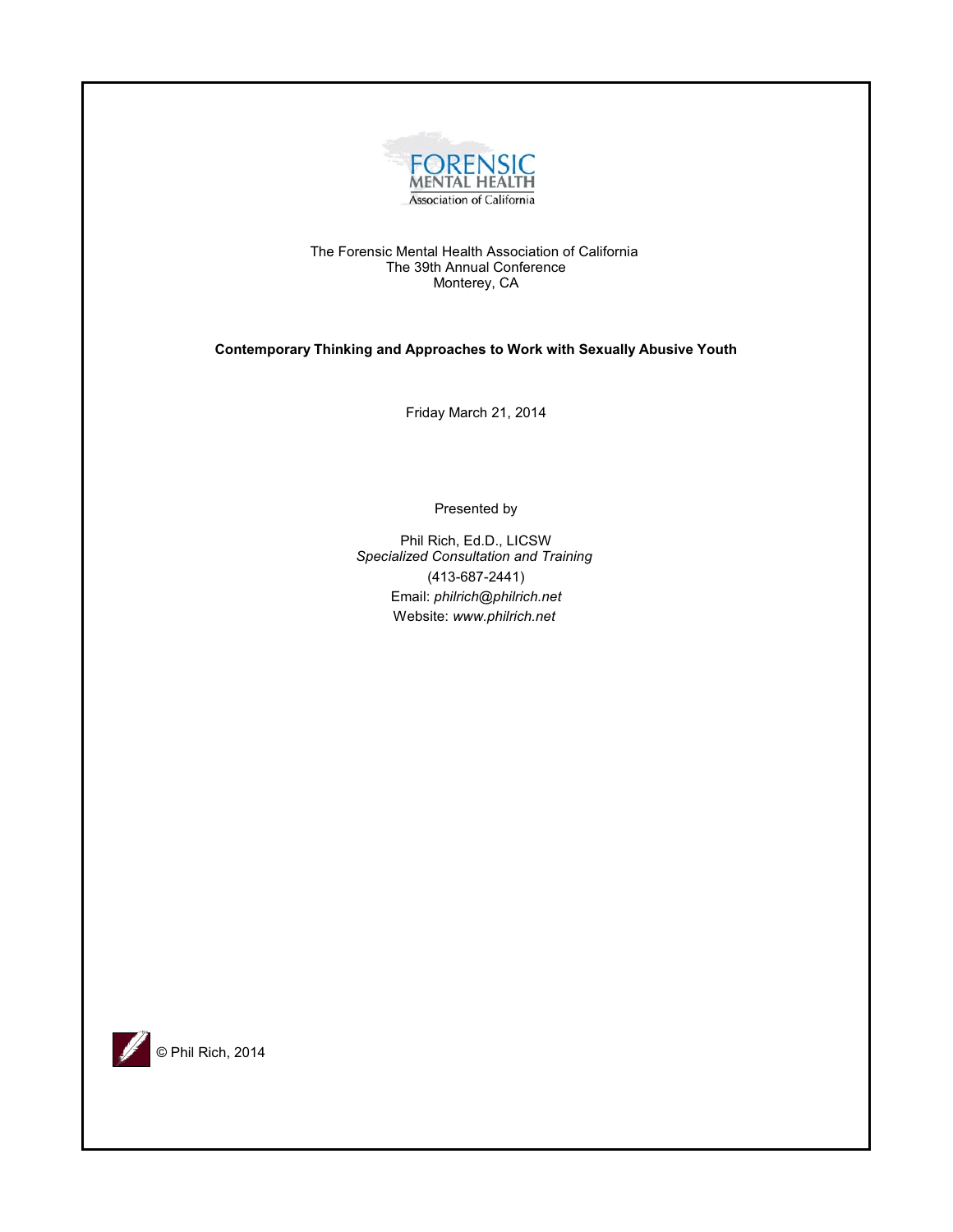

The Forensic Mental Health Association of California The 39th Annual Conference Monterey, CA

**Contemporary Thinking and Approaches to Work with Sexually Abusive Youth**

Friday March 21, 2014

Presented by

Phil Rich, Ed.D., LICSW *Specialized Consultation and Training*  (413-687-2441) Email: *philrich@philrich.net* Website: *www.philrich.net*

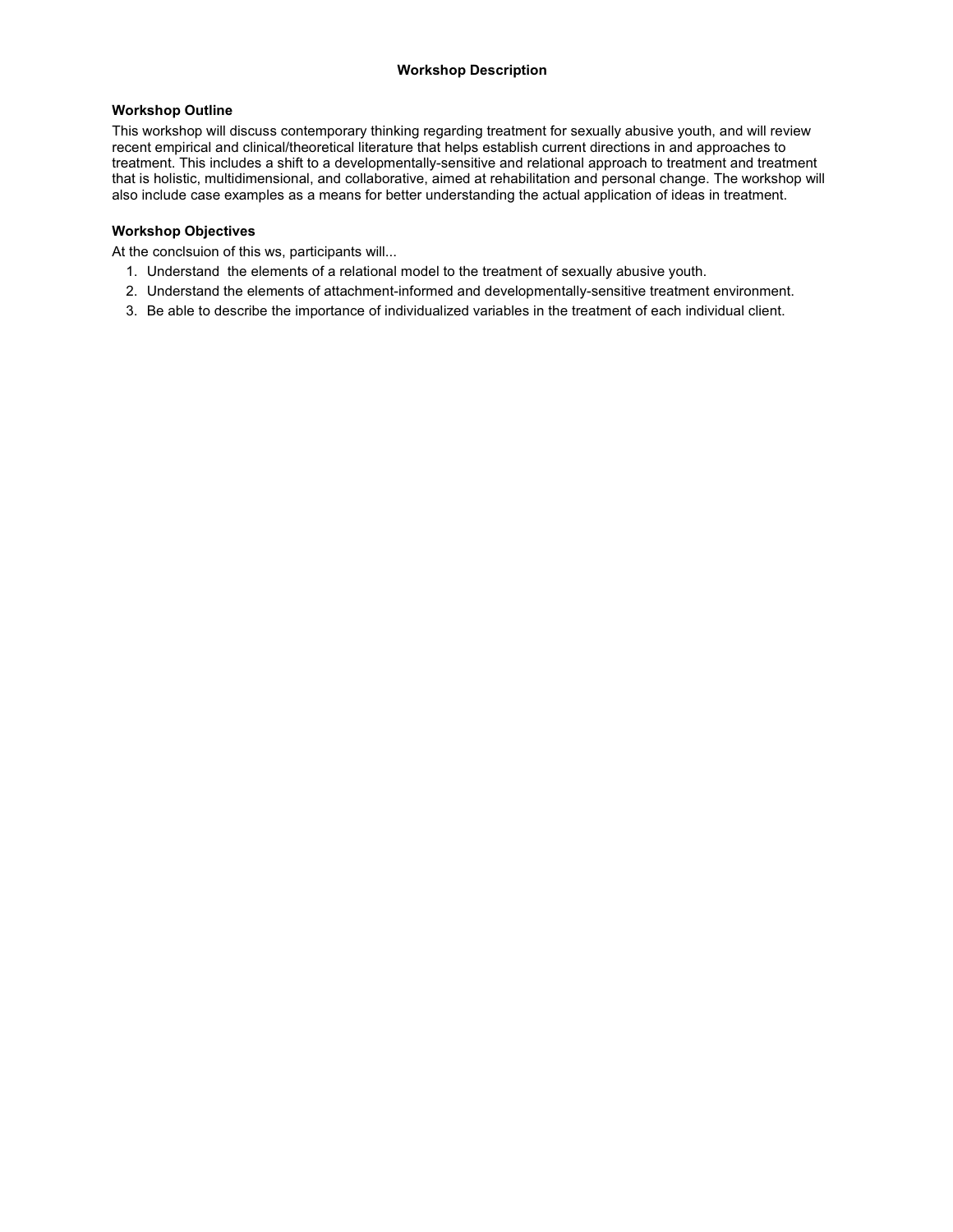# **Workshop Outline**

This workshop will discuss contemporary thinking regarding treatment for sexually abusive youth, and will review recent empirical and clinical/theoretical literature that helps establish current directions in and approaches to treatment. This includes a shift to a developmentally-sensitive and relational approach to treatment and treatment that is holistic, multidimensional, and collaborative, aimed at rehabilitation and personal change. The workshop will also include case examples as a means for better understanding the actual application of ideas in treatment.

# **Workshop Objectives**

At the conclsuion of this ws, participants will...

- 1. Understand the elements of a relational model to the treatment of sexually abusive youth.
- 2. Understand the elements of attachment-informed and developmentally-sensitive treatment environment.
- 3. Be able to describe the importance of individualized variables in the treatment of each individual client.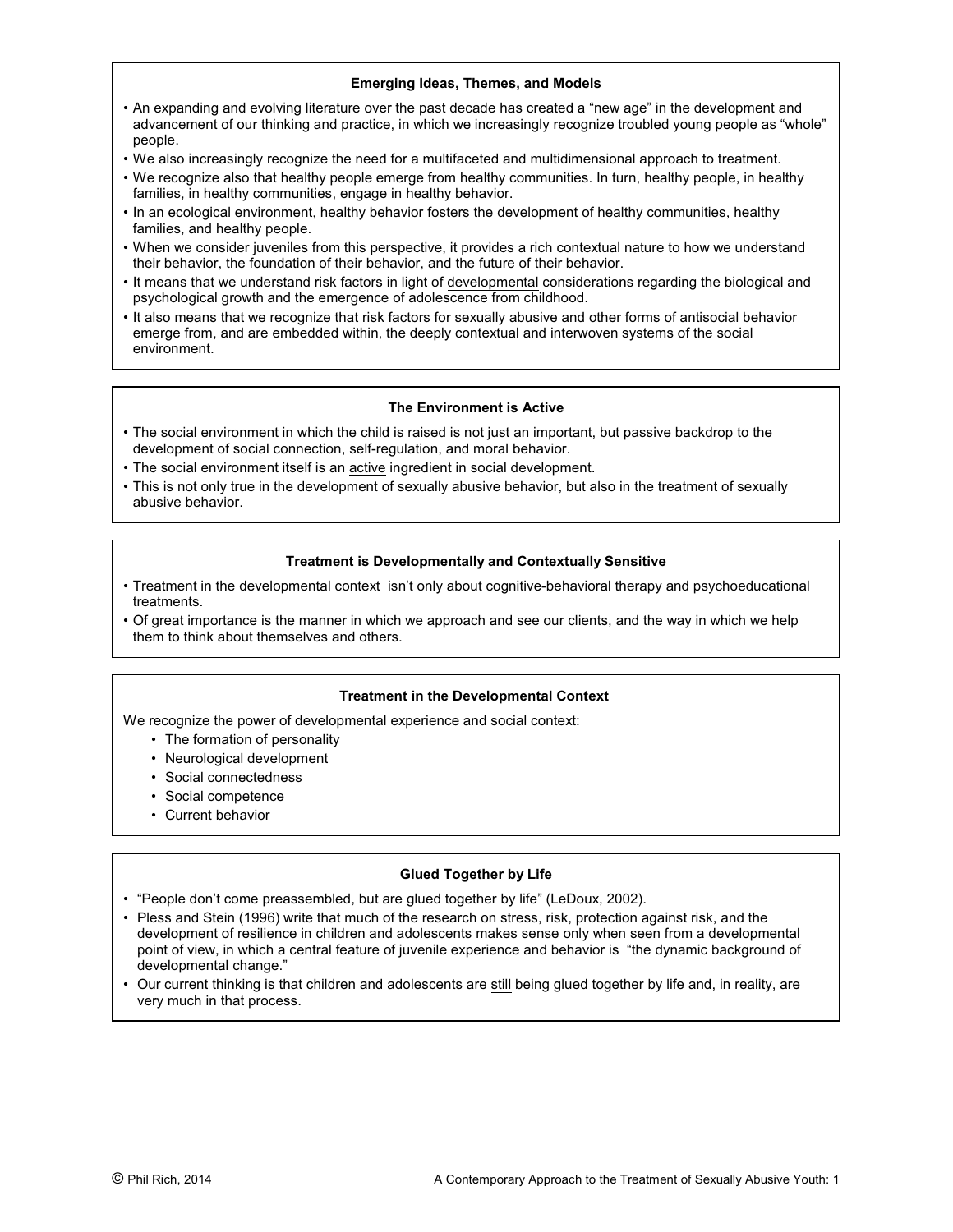# **Emerging Ideas, Themes, and Models**

- An expanding and evolving literature over the past decade has created a "new age" in the development and advancement of our thinking and practice, in which we increasingly recognize troubled young people as "whole" people.
- We also increasingly recognize the need for a multifaceted and multidimensional approach to treatment.
- We recognize also that healthy people emerge from healthy communities. In turn, healthy people, in healthy families, in healthy communities, engage in healthy behavior.
- In an ecological environment, healthy behavior fosters the development of healthy communities, healthy families, and healthy people.
- When we consider juveniles from this perspective, it provides a rich contextual nature to how we understand their behavior, the foundation of their behavior, and the future of their behavior.
- It means that we understand risk factors in light of developmental considerations regarding the biological and psychological growth and the emergence of adolescence from childhood.
- It also means that we recognize that risk factors for sexually abusive and other forms of antisocial behavior emerge from, and are embedded within, the deeply contextual and interwoven systems of the social environment.

## **The Environment is Active**

- The social environment in which the child is raised is not just an important, but passive backdrop to the development of social connection, self-regulation, and moral behavior.
- The social environment itself is an active ingredient in social development.
- This is not only true in the development of sexually abusive behavior, but also in the treatment of sexually abusive behavior.

# **Treatment is Developmentally and Contextually Sensitive**

- Treatment in the developmental context isn't only about cognitive-behavioral therapy and psychoeducational treatments.
- Of great importance is the manner in which we approach and see our clients, and the way in which we help them to think about themselves and others.

#### **Treatment in the Developmental Context**

We recognize the power of developmental experience and social context:

- The formation of personality
- Neurological development
- Social connectedness
- Social competence
- Current behavior

#### **Glued Together by Life**

- "People don't come preassembled, but are glued together by life" (LeDoux, 2002).
- Pless and Stein (1996) write that much of the research on stress, risk, protection against risk, and the development of resilience in children and adolescents makes sense only when seen from a developmental point of view, in which a central feature of juvenile experience and behavior is "the dynamic background of developmental change."
- Our current thinking is that children and adolescents are still being glued together by life and, in reality, are very much in that process.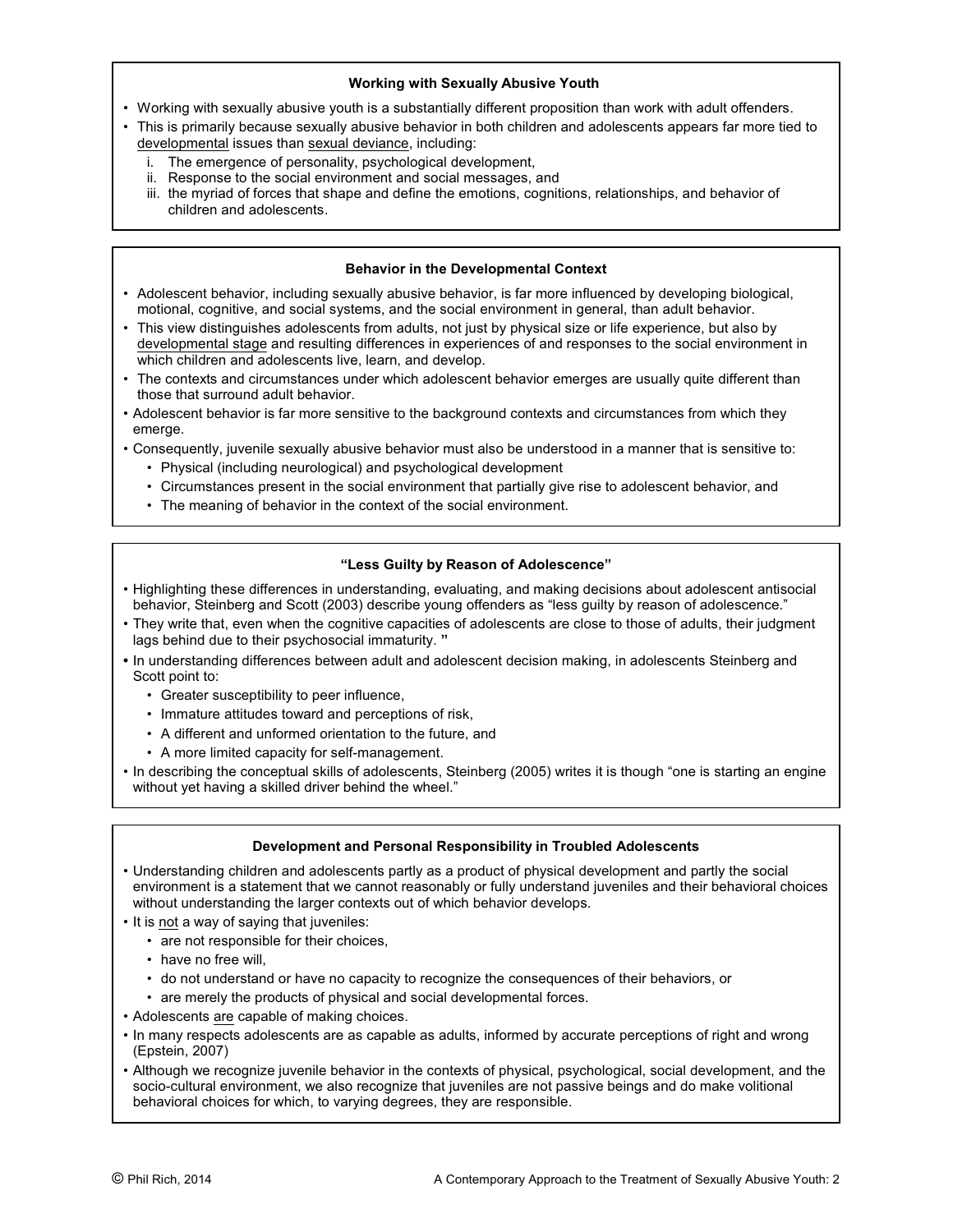# **Working with Sexually Abusive Youth**

- Working with sexually abusive youth is a substantially different proposition than work with adult offenders.
- This is primarily because sexually abusive behavior in both children and adolescents appears far more tied to developmental issues than sexual deviance, including:
	- i. The emergence of personality, psychological development,
	- ii. Response to the social environment and social messages, and
	- iii. the myriad of forces that shape and define the emotions, cognitions, relationships, and behavior of children and adolescents.

# **Behavior in the Developmental Context**

- Adolescent behavior, including sexually abusive behavior, is far more influenced by developing biological, motional, cognitive, and social systems, and the social environment in general, than adult behavior.
- This view distinguishes adolescents from adults, not just by physical size or life experience, but also by developmental stage and resulting differences in experiences of and responses to the social environment in which children and adolescents live, learn, and develop.
- The contexts and circumstances under which adolescent behavior emerges are usually quite different than those that surround adult behavior.
- Adolescent behavior is far more sensitive to the background contexts and circumstances from which they emerge.
- Consequently, juvenile sexually abusive behavior must also be understood in a manner that is sensitive to:
	- Physical (including neurological) and psychological development
	- Circumstances present in the social environment that partially give rise to adolescent behavior, and
	- The meaning of behavior in the context of the social environment.

# **"Less Guilty by Reason of Adolescence"**

- Highlighting these differences in understanding, evaluating, and making decisions about adolescent antisocial behavior, Steinberg and Scott (2003) describe young offenders as "less guilty by reason of adolescence."
- They write that, even when the cognitive capacities of adolescents are close to those of adults, their judgment lags behind due to their psychosocial immaturity. **"**
- **•** In understanding differences between adult and adolescent decision making, in adolescents Steinberg and Scott point to:
	- Greater susceptibility to peer influence,
	- Immature attitudes toward and perceptions of risk,
	- A different and unformed orientation to the future, and
	- A more limited capacity for self-management.
- In describing the conceptual skills of adolescents, Steinberg (2005) writes it is though "one is starting an engine without yet having a skilled driver behind the wheel."

# **Development and Personal Responsibility in Troubled Adolescents**

- Understanding children and adolescents partly as a product of physical development and partly the social environment is a statement that we cannot reasonably or fully understand juveniles and their behavioral choices without understanding the larger contexts out of which behavior develops.
- It is not a way of saying that juveniles:
	- are not responsible for their choices,
	- have no free will,
	- do not understand or have no capacity to recognize the consequences of their behaviors, or
	- are merely the products of physical and social developmental forces.
- Adolescents are capable of making choices.
- In many respects adolescents are as capable as adults, informed by accurate perceptions of right and wrong (Epstein, 2007)
- Although we recognize juvenile behavior in the contexts of physical, psychological, social development, and the socio-cultural environment, we also recognize that juveniles are not passive beings and do make volitional behavioral choices for which, to varying degrees, they are responsible.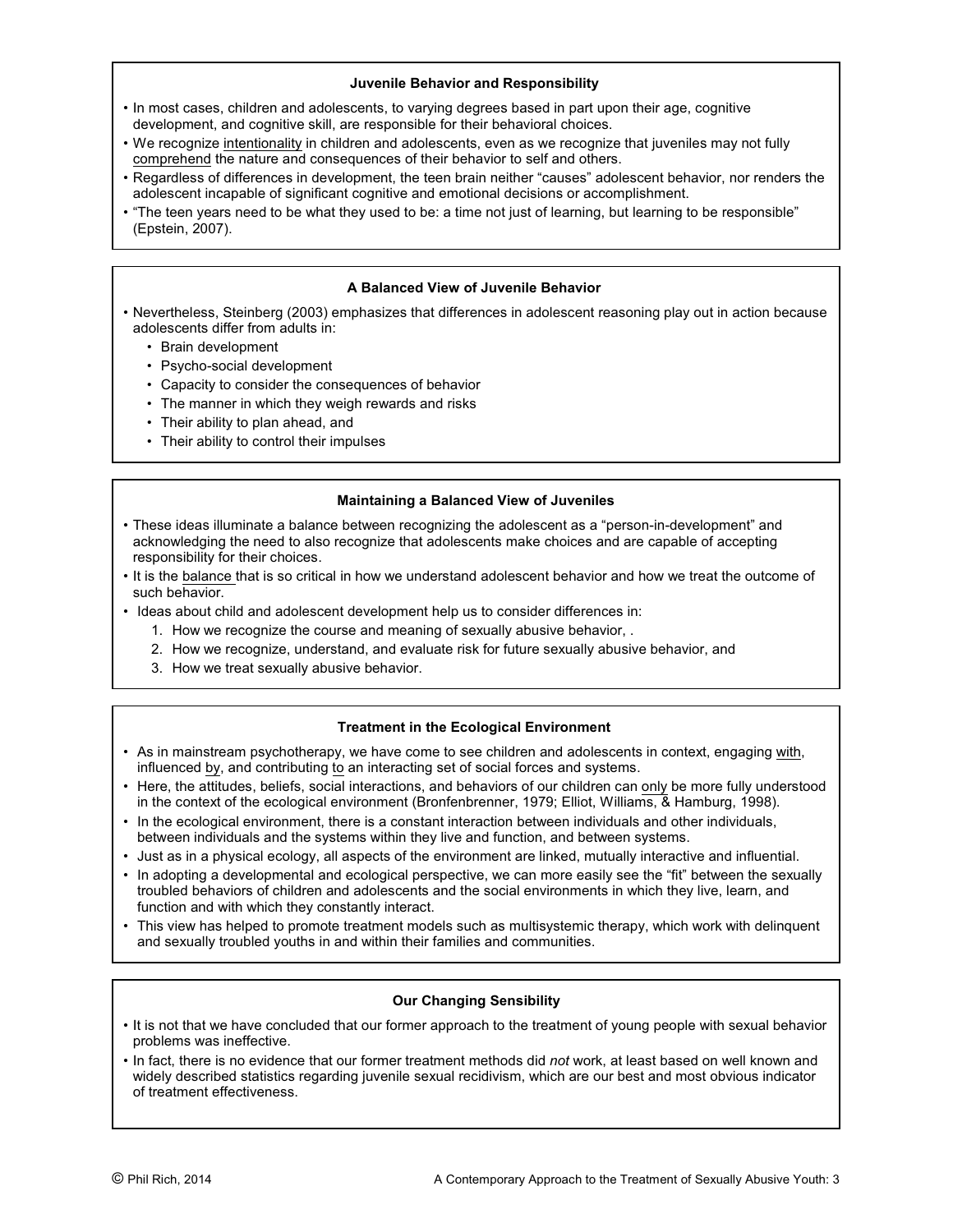#### **Juvenile Behavior and Responsibility**

- In most cases, children and adolescents, to varying degrees based in part upon their age, cognitive development, and cognitive skill, are responsible for their behavioral choices.
- We recognize intentionality in children and adolescents, even as we recognize that juveniles may not fully comprehend the nature and consequences of their behavior to self and others.
- Regardless of differences in development, the teen brain neither "causes" adolescent behavior, nor renders the adolescent incapable of significant cognitive and emotional decisions or accomplishment.
- "The teen years need to be what they used to be: a time not just of learning, but learning to be responsible" (Epstein, 2007).

## **A Balanced View of Juvenile Behavior**

- Nevertheless, Steinberg (2003) emphasizes that differences in adolescent reasoning play out in action because adolescents differ from adults in:
	- Brain development
	- Psycho-social development
	- Capacity to consider the consequences of behavior
	- The manner in which they weigh rewards and risks
	- Their ability to plan ahead, and
	- Their ability to control their impulses

#### **Maintaining a Balanced View of Juveniles**

- These ideas illuminate a balance between recognizing the adolescent as a "person-in-development" and acknowledging the need to also recognize that adolescents make choices and are capable of accepting responsibility for their choices.
- It is the balance that is so critical in how we understand adolescent behavior and how we treat the outcome of such behavior.
- Ideas about child and adolescent development help us to consider differences in:
	- 1. How we recognize the course and meaning of sexually abusive behavior, .
	- 2. How we recognize, understand, and evaluate risk for future sexually abusive behavior, and
	- 3. How we treat sexually abusive behavior.

# **Treatment in the Ecological Environment**

- As in mainstream psychotherapy, we have come to see children and adolescents in context, engaging with, influenced by, and contributing to an interacting set of social forces and systems.
- Here, the attitudes, beliefs, social interactions, and behaviors of our children can only be more fully understood in the context of the ecological environment (Bronfenbrenner, 1979; Elliot, Williams, & Hamburg, 1998).
- In the ecological environment, there is a constant interaction between individuals and other individuals, between individuals and the systems within they live and function, and between systems.
- Just as in a physical ecology, all aspects of the environment are linked, mutually interactive and influential.
- In adopting a developmental and ecological perspective, we can more easily see the "fit" between the sexually troubled behaviors of children and adolescents and the social environments in which they live, learn, and function and with which they constantly interact.
- This view has helped to promote treatment models such as multisystemic therapy, which work with delinquent and sexually troubled youths in and within their families and communities.

# **Our Changing Sensibility**

- It is not that we have concluded that our former approach to the treatment of young people with sexual behavior problems was ineffective.
- In fact, there is no evidence that our former treatment methods did *not* work, at least based on well known and widely described statistics regarding juvenile sexual recidivism, which are our best and most obvious indicator of treatment effectiveness.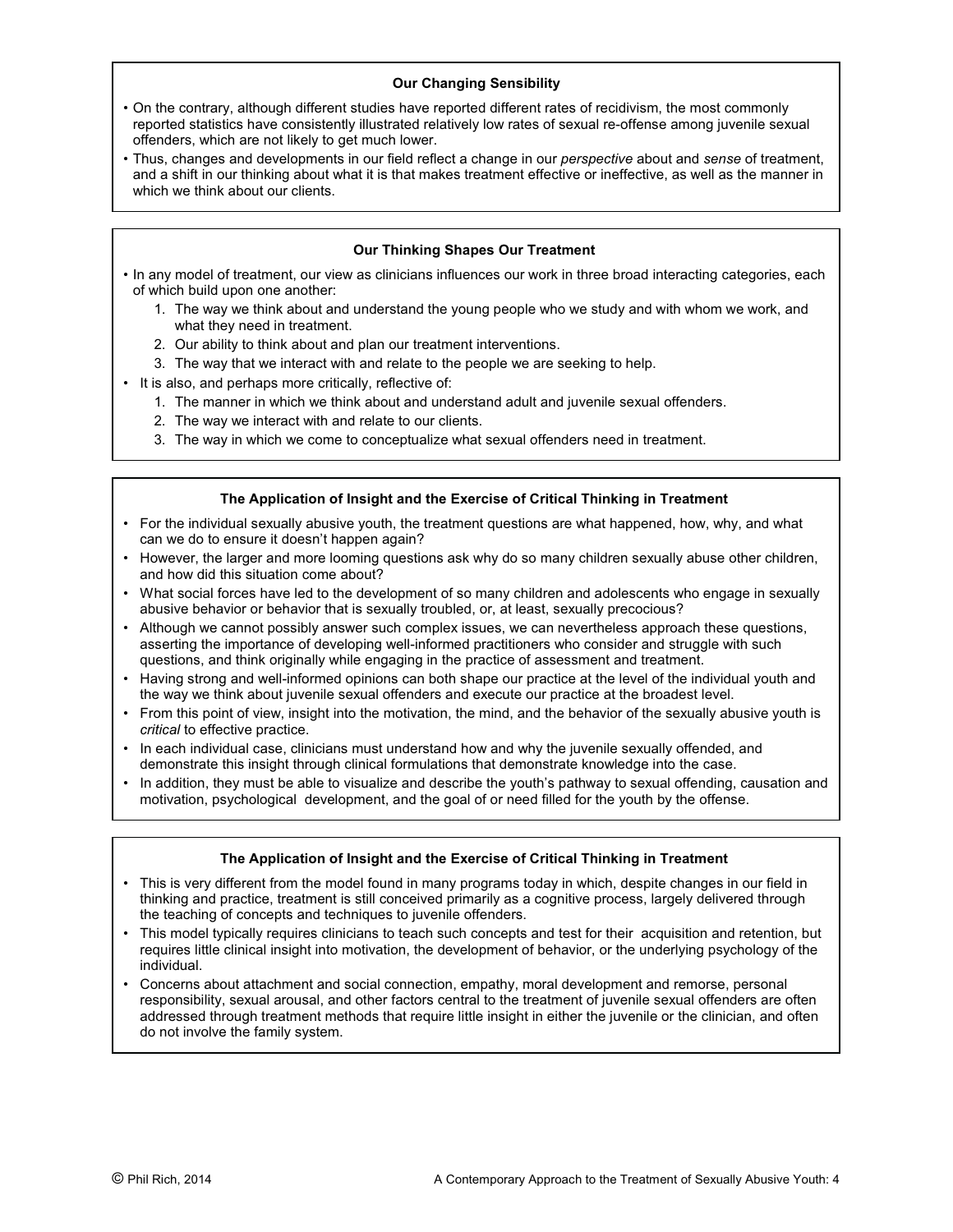# **Our Changing Sensibility**

- On the contrary, although different studies have reported different rates of recidivism, the most commonly reported statistics have consistently illustrated relatively low rates of sexual re-offense among juvenile sexual offenders, which are not likely to get much lower.
- Thus, changes and developments in our field reflect a change in our *perspective* about and *sense* of treatment, and a shift in our thinking about what it is that makes treatment effective or ineffective, as well as the manner in which we think about our clients.

# **Our Thinking Shapes Our Treatment**

- In any model of treatment, our view as clinicians influences our work in three broad interacting categories, each of which build upon one another:
	- 1. The way we think about and understand the young people who we study and with whom we work, and what they need in treatment.
	- 2. Our ability to think about and plan our treatment interventions.
	- 3. The way that we interact with and relate to the people we are seeking to help.
- It is also, and perhaps more critically, reflective of:
	- 1. The manner in which we think about and understand adult and juvenile sexual offenders.
	- 2. The way we interact with and relate to our clients.
	- 3. The way in which we come to conceptualize what sexual offenders need in treatment.

# **The Application of Insight and the Exercise of Critical Thinking in Treatment**

- For the individual sexually abusive youth, the treatment questions are what happened, how, why, and what can we do to ensure it doesn't happen again?
- However, the larger and more looming questions ask why do so many children sexually abuse other children, and how did this situation come about?
- What social forces have led to the development of so many children and adolescents who engage in sexually abusive behavior or behavior that is sexually troubled, or, at least, sexually precocious?
- Although we cannot possibly answer such complex issues, we can nevertheless approach these questions, asserting the importance of developing well-informed practitioners who consider and struggle with such questions, and think originally while engaging in the practice of assessment and treatment.
- Having strong and well-informed opinions can both shape our practice at the level of the individual youth and the way we think about juvenile sexual offenders and execute our practice at the broadest level.
- From this point of view, insight into the motivation, the mind, and the behavior of the sexually abusive youth is *critical* to effective practice.
- In each individual case, clinicians must understand how and why the juvenile sexually offended, and demonstrate this insight through clinical formulations that demonstrate knowledge into the case.
- In addition, they must be able to visualize and describe the youth's pathway to sexual offending, causation and motivation, psychological development, and the goal of or need filled for the youth by the offense.

# **The Application of Insight and the Exercise of Critical Thinking in Treatment**

- This is very different from the model found in many programs today in which, despite changes in our field in thinking and practice, treatment is still conceived primarily as a cognitive process, largely delivered through the teaching of concepts and techniques to juvenile offenders.
- This model typically requires clinicians to teach such concepts and test for their acquisition and retention, but requires little clinical insight into motivation, the development of behavior, or the underlying psychology of the individual.
- Concerns about attachment and social connection, empathy, moral development and remorse, personal responsibility, sexual arousal, and other factors central to the treatment of juvenile sexual offenders are often addressed through treatment methods that require little insight in either the juvenile or the clinician, and often do not involve the family system.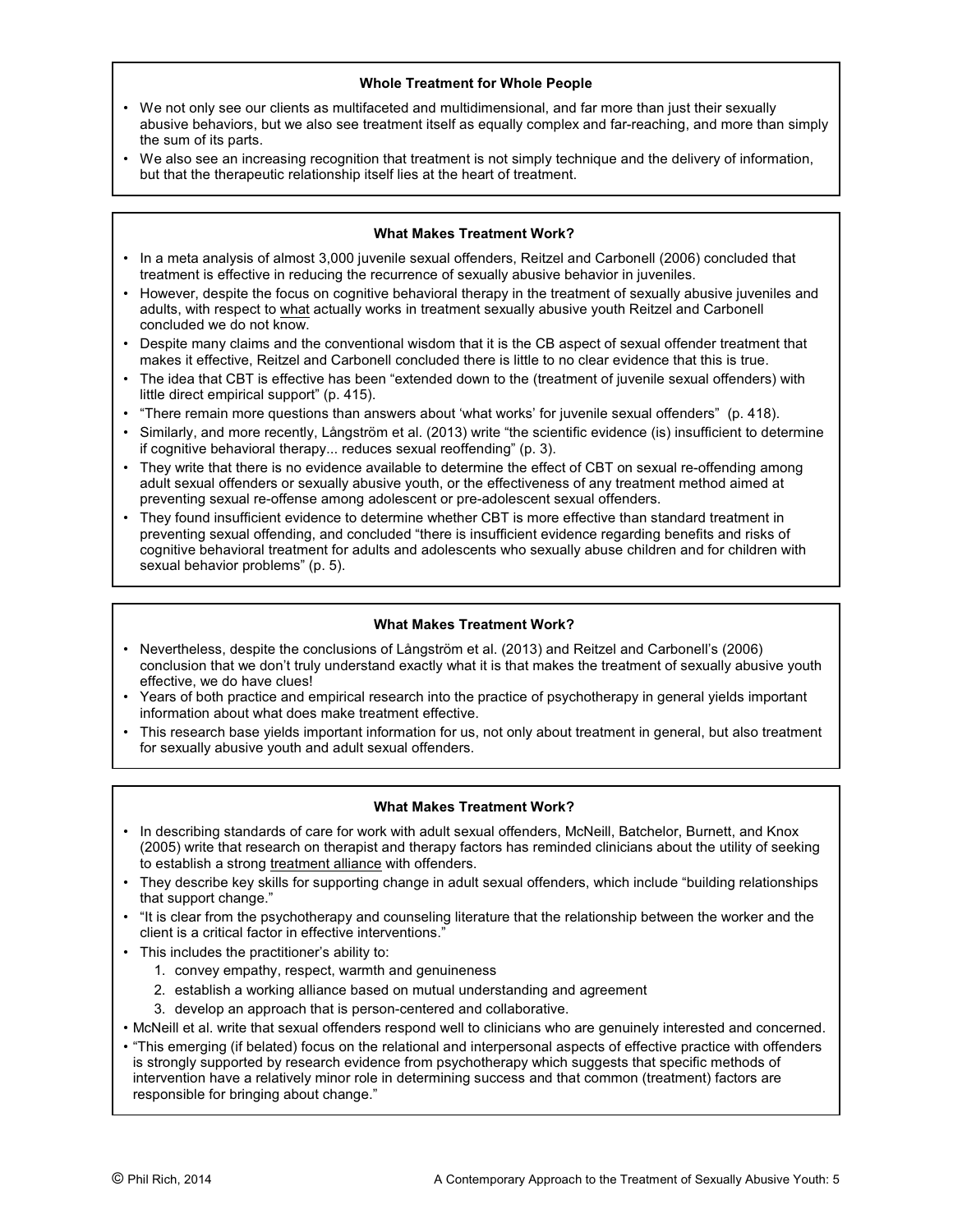## **Whole Treatment for Whole People**

- We not only see our clients as multifaceted and multidimensional, and far more than just their sexually abusive behaviors, but we also see treatment itself as equally complex and far-reaching, and more than simply the sum of its parts.
- We also see an increasing recognition that treatment is not simply technique and the delivery of information, but that the therapeutic relationship itself lies at the heart of treatment.

#### **What Makes Treatment Work?**

- In a meta analysis of almost 3,000 juvenile sexual offenders, Reitzel and Carbonell (2006) concluded that treatment is effective in reducing the recurrence of sexually abusive behavior in juveniles.
- However, despite the focus on cognitive behavioral therapy in the treatment of sexually abusive juveniles and adults, with respect to what actually works in treatment sexually abusive youth Reitzel and Carbonell concluded we do not know.
- Despite many claims and the conventional wisdom that it is the CB aspect of sexual offender treatment that makes it effective, Reitzel and Carbonell concluded there is little to no clear evidence that this is true.
- The idea that CBT is effective has been "extended down to the (treatment of juvenile sexual offenders) with little direct empirical support" (p. 415).
- "There remain more questions than answers about 'what works' for juvenile sexual offenders" (p. 418).
- Similarly, and more recently, Långström et al. (2013) write "the scientific evidence (is) insufficient to determine if cognitive behavioral therapy... reduces sexual reoffending" (p. 3).
- They write that there is no evidence available to determine the effect of CBT on sexual re-offending among adult sexual offenders or sexually abusive youth, or the effectiveness of any treatment method aimed at preventing sexual re-offense among adolescent or pre-adolescent sexual offenders.
- They found insufficient evidence to determine whether CBT is more effective than standard treatment in preventing sexual offending, and concluded "there is insufficient evidence regarding benefits and risks of cognitive behavioral treatment for adults and adolescents who sexually abuse children and for children with sexual behavior problems" (p. 5).

# **What Makes Treatment Work?**

- Nevertheless, despite the conclusions of Långström et al. (2013) and Reitzel and Carbonell's (2006) conclusion that we don't truly understand exactly what it is that makes the treatment of sexually abusive youth effective, we do have clues!
- Years of both practice and empirical research into the practice of psychotherapy in general yields important information about what does make treatment effective.
- This research base yields important information for us, not only about treatment in general, but also treatment for sexually abusive youth and adult sexual offenders.

#### **What Makes Treatment Work?**

- In describing standards of care for work with adult sexual offenders, McNeill, Batchelor, Burnett, and Knox (2005) write that research on therapist and therapy factors has reminded clinicians about the utility of seeking to establish a strong treatment alliance with offenders.
- They describe key skills for supporting change in adult sexual offenders, which include "building relationships that support change."
- "It is clear from the psychotherapy and counseling literature that the relationship between the worker and the client is a critical factor in effective interventions."
- This includes the practitioner's ability to:
	- 1. convey empathy, respect, warmth and genuineness
	- 2. establish a working alliance based on mutual understanding and agreement
	- 3. develop an approach that is person-centered and collaborative.
- McNeill et al. write that sexual offenders respond well to clinicians who are genuinely interested and concerned.
- "This emerging (if belated) focus on the relational and interpersonal aspects of effective practice with offenders is strongly supported by research evidence from psychotherapy which suggests that specific methods of intervention have a relatively minor role in determining success and that common (treatment) factors are responsible for bringing about change."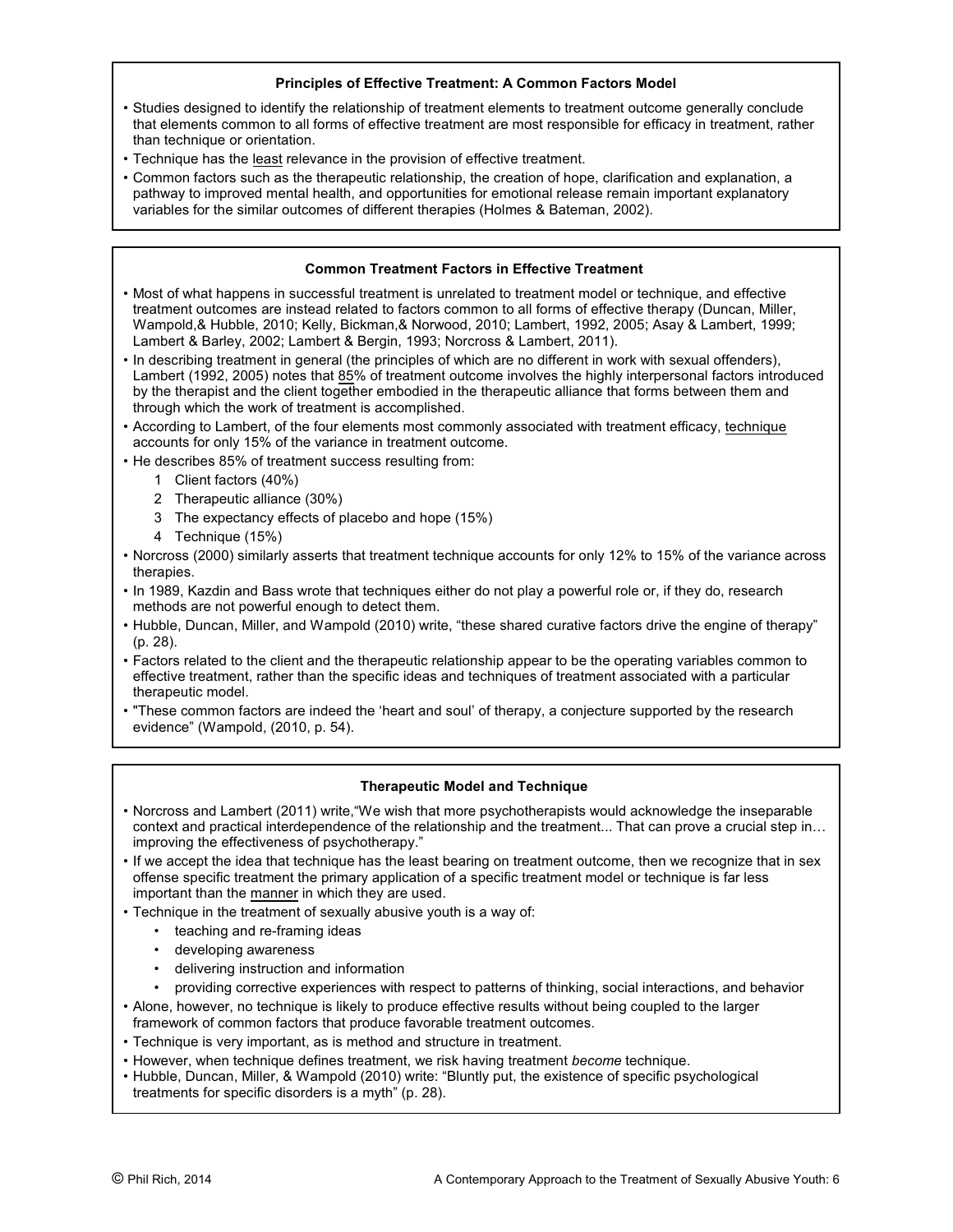# **Principles of Effective Treatment: A Common Factors Model**

- Studies designed to identify the relationship of treatment elements to treatment outcome generally conclude that elements common to all forms of effective treatment are most responsible for efficacy in treatment, rather than technique or orientation.
- Technique has the least relevance in the provision of effective treatment.
- Common factors such as the therapeutic relationship, the creation of hope, clarification and explanation, a pathway to improved mental health, and opportunities for emotional release remain important explanatory variables for the similar outcomes of different therapies (Holmes & Bateman, 2002).

# **Common Treatment Factors in Effective Treatment**

- Most of what happens in successful treatment is unrelated to treatment model or technique, and effective treatment outcomes are instead related to factors common to all forms of effective therapy (Duncan, Miller, Wampold,& Hubble, 2010; Kelly, Bickman,& Norwood, 2010; Lambert, 1992, 2005; Asay & Lambert, 1999; Lambert & Barley, 2002; Lambert & Bergin, 1993; Norcross & Lambert, 2011).
- In describing treatment in general (the principles of which are no different in work with sexual offenders), Lambert (1992, 2005) notes that 85% of treatment outcome involves the highly interpersonal factors introduced by the therapist and the client together embodied in the therapeutic alliance that forms between them and through which the work of treatment is accomplished.
- According to Lambert, of the four elements most commonly associated with treatment efficacy, technique accounts for only 15% of the variance in treatment outcome.
- He describes 85% of treatment success resulting from:
	- 1 Client factors (40%)
	- 2 Therapeutic alliance (30%)
	- 3 The expectancy effects of placebo and hope (15%)
	- 4 Technique (15%)
- Norcross (2000) similarly asserts that treatment technique accounts for only 12% to 15% of the variance across therapies.
- In 1989, Kazdin and Bass wrote that techniques either do not play a powerful role or, if they do, research methods are not powerful enough to detect them.
- Hubble, Duncan, Miller, and Wampold (2010) write, "these shared curative factors drive the engine of therapy" (p. 28).
- Factors related to the client and the therapeutic relationship appear to be the operating variables common to effective treatment, rather than the specific ideas and techniques of treatment associated with a particular therapeutic model.
- "These common factors are indeed the 'heart and soul' of therapy, a conjecture supported by the research evidence" (Wampold, (2010, p. 54).

# **Therapeutic Model and Technique**

- Norcross and Lambert (2011) write,"We wish that more psychotherapists would acknowledge the inseparable context and practical interdependence of the relationship and the treatment... That can prove a crucial step in... improving the effectiveness of psychotherapy."
- If we accept the idea that technique has the least bearing on treatment outcome, then we recognize that in sex offense specific treatment the primary application of a specific treatment model or technique is far less important than the manner in which they are used.
- Technique in the treatment of sexually abusive youth is a way of:
	- teaching and re-framing ideas
	- developing awareness
	- delivering instruction and information
	- providing corrective experiences with respect to patterns of thinking, social interactions, and behavior
- Alone, however, no technique is likely to produce effective results without being coupled to the larger framework of common factors that produce favorable treatment outcomes.
- Technique is very important, as is method and structure in treatment.
- However, when technique defines treatment, we risk having treatment *become* technique.
- Hubble, Duncan, Miller, & Wampold (2010) write: "Bluntly put, the existence of specific psychological treatments for specific disorders is a myth" (p. 28).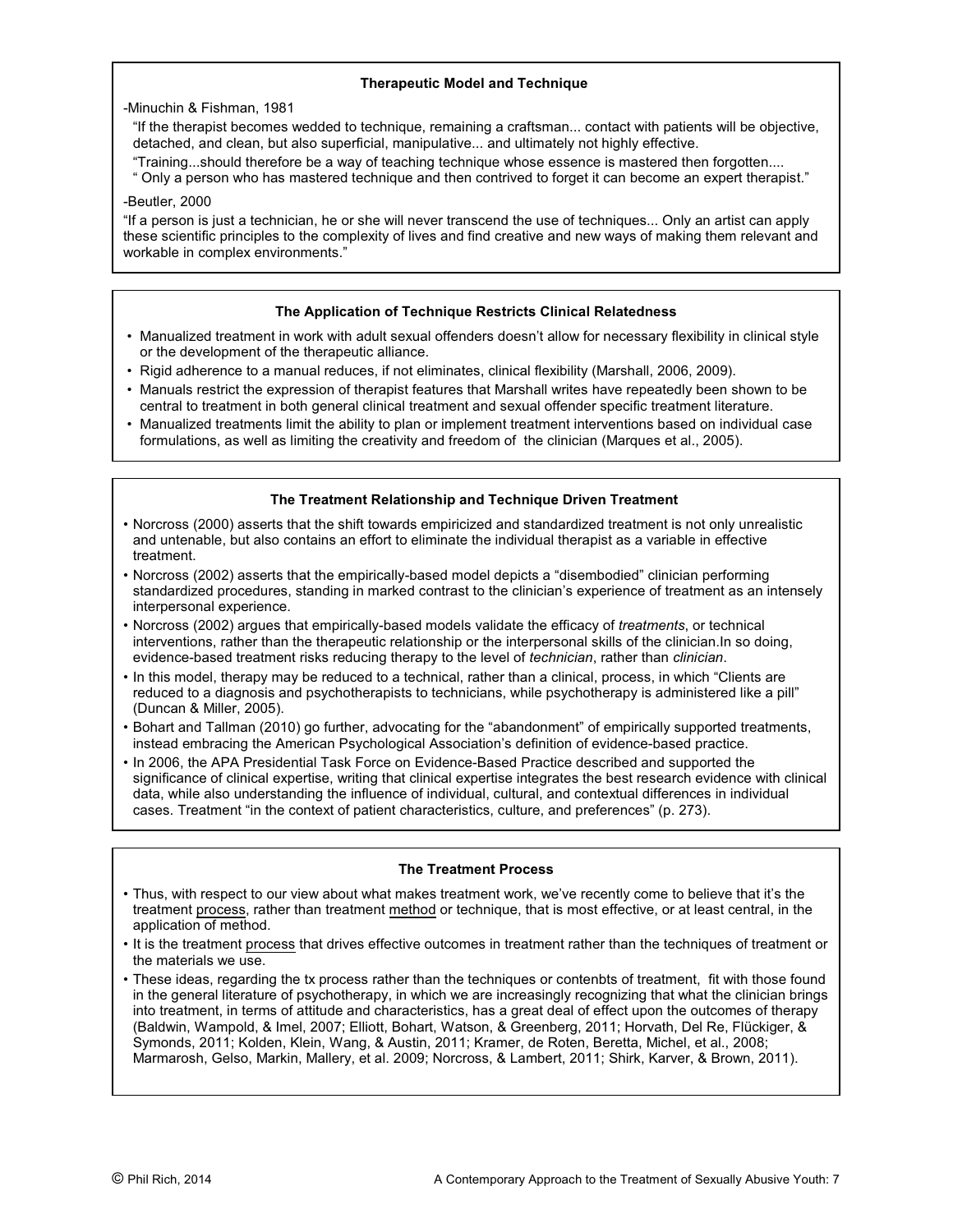# **Therapeutic Model and Technique**

-Minuchin & Fishman, 1981

- "If the therapist becomes wedded to technique, remaining a craftsman... contact with patients will be objective, detached, and clean, but also superficial, manipulative... and ultimately not highly effective.
- "Training...should therefore be a way of teaching technique whose essence is mastered then forgotten....
- " Only a person who has mastered technique and then contrived to forget it can become an expert therapist."

# -Beutler, 2000

"If a person is just a technician, he or she will never transcend the use of techniques... Only an artist can apply these scientific principles to the complexity of lives and find creative and new ways of making them relevant and workable in complex environments."

# **The Application of Technique Restricts Clinical Relatedness**

- Manualized treatment in work with adult sexual offenders doesn't allow for necessary flexibility in clinical style or the development of the therapeutic alliance.
- Rigid adherence to a manual reduces, if not eliminates, clinical flexibility (Marshall, 2006, 2009).
- Manuals restrict the expression of therapist features that Marshall writes have repeatedly been shown to be central to treatment in both general clinical treatment and sexual offender specific treatment literature.
- Manualized treatments limit the ability to plan or implement treatment interventions based on individual case formulations, as well as limiting the creativity and freedom of the clinician (Marques et al., 2005).

# **The Treatment Relationship and Technique Driven Treatment**

- Norcross (2000) asserts that the shift towards empiricized and standardized treatment is not only unrealistic and untenable, but also contains an effort to eliminate the individual therapist as a variable in effective treatment.
- Norcross (2002) asserts that the empirically-based model depicts a "disembodied" clinician performing standardized procedures, standing in marked contrast to the clinician's experience of treatment as an intensely interpersonal experience.
- Norcross (2002) argues that empirically-based models validate the efficacy of *treatments*, or technical interventions, rather than the therapeutic relationship or the interpersonal skills of the clinician.In so doing, evidence-based treatment risks reducing therapy to the level of *technician*, rather than *clinician*.
- In this model, therapy may be reduced to a technical, rather than a clinical, process, in which "Clients are reduced to a diagnosis and psychotherapists to technicians, while psychotherapy is administered like a pill" (Duncan & Miller, 2005).
- Bohart and Tallman (2010) go further, advocating for the "abandonment" of empirically supported treatments, instead embracing the American Psychological Association's definition of evidence-based practice.
- In 2006, the APA Presidential Task Force on Evidence-Based Practice described and supported the significance of clinical expertise, writing that clinical expertise integrates the best research evidence with clinical data, while also understanding the influence of individual, cultural, and contextual differences in individual cases. Treatment "in the context of patient characteristics, culture, and preferences" (p. 273).

# **The Treatment Process**

- Thus, with respect to our view about what makes treatment work, we've recently come to believe that it's the treatment process, rather than treatment method or technique, that is most effective, or at least central, in the application of method.
- It is the treatment process that drives effective outcomes in treatment rather than the techniques of treatment or the materials we use.
- These ideas, regarding the tx process rather than the techniques or contenbts of treatment, fit with those found in the general literature of psychotherapy, in which we are increasingly recognizing that what the clinician brings into treatment, in terms of attitude and characteristics, has a great deal of effect upon the outcomes of therapy (Baldwin, Wampold, & Imel, 2007; Elliott, Bohart, Watson, & Greenberg, 2011; Horvath, Del Re, Flückiger, & Symonds, 2011; Kolden, Klein, Wang, & Austin, 2011; Kramer, de Roten, Beretta, Michel, et al., 2008; Marmarosh, Gelso, Markin, Mallery, et al. 2009; Norcross, & Lambert, 2011; Shirk, Karver, & Brown, 2011).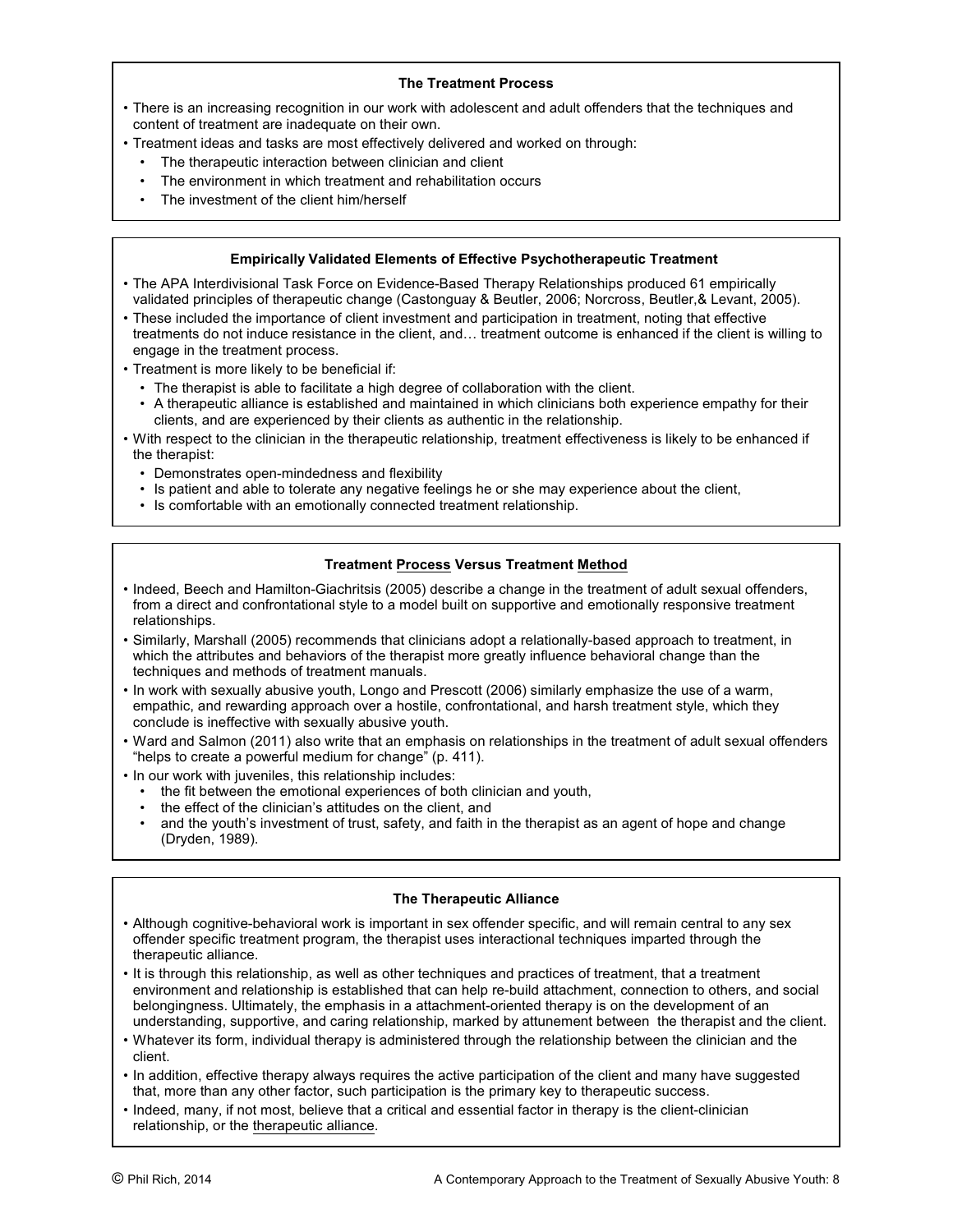# **The Treatment Process**

- There is an increasing recognition in our work with adolescent and adult offenders that the techniques and content of treatment are inadequate on their own.
- Treatment ideas and tasks are most effectively delivered and worked on through:
	- The therapeutic interaction between clinician and client
	- The environment in which treatment and rehabilitation occurs
	- The investment of the client him/herself

# **Empirically Validated Elements of Effective Psychotherapeutic Treatment**

- The APA Interdivisional Task Force on Evidence-Based Therapy Relationships produced 61 empirically validated principles of therapeutic change (Castonguay & Beutler, 2006; Norcross, Beutler,& Levant, 2005).
- These included the importance of client investment and participation in treatment, noting that effective treatments do not induce resistance in the client, and… treatment outcome is enhanced if the client is willing to engage in the treatment process.
- Treatment is more likely to be beneficial if:
	- The therapist is able to facilitate a high degree of collaboration with the client.
	- A therapeutic alliance is established and maintained in which clinicians both experience empathy for their clients, and are experienced by their clients as authentic in the relationship.
- With respect to the clinician in the therapeutic relationship, treatment effectiveness is likely to be enhanced if the therapist:
	- Demonstrates open-mindedness and flexibility
	- Is patient and able to tolerate any negative feelings he or she may experience about the client,
	- Is comfortable with an emotionally connected treatment relationship.

# **Treatment Process Versus Treatment Method**

- Indeed, Beech and Hamilton-Giachritsis (2005) describe a change in the treatment of adult sexual offenders, from a direct and confrontational style to a model built on supportive and emotionally responsive treatment relationships.
- Similarly, Marshall (2005) recommends that clinicians adopt a relationally-based approach to treatment, in which the attributes and behaviors of the therapist more greatly influence behavioral change than the techniques and methods of treatment manuals.
- In work with sexually abusive youth, Longo and Prescott (2006) similarly emphasize the use of a warm, empathic, and rewarding approach over a hostile, confrontational, and harsh treatment style, which they conclude is ineffective with sexually abusive youth.
- Ward and Salmon (2011) also write that an emphasis on relationships in the treatment of adult sexual offenders "helps to create a powerful medium for change" (p. 411).
- In our work with juveniles, this relationship includes:
	- the fit between the emotional experiences of both clinician and youth,
	- the effect of the clinician's attitudes on the client, and<br>• and the youth's investment of trust, safety, and faith in
	- and the youth's investment of trust, safety, and faith in the therapist as an agent of hope and change (Dryden, 1989).

# **The Therapeutic Alliance**

- Although cognitive-behavioral work is important in sex offender specific, and will remain central to any sex offender specific treatment program, the therapist uses interactional techniques imparted through the therapeutic alliance.
- It is through this relationship, as well as other techniques and practices of treatment, that a treatment environment and relationship is established that can help re-build attachment, connection to others, and social belongingness. Ultimately, the emphasis in a attachment-oriented therapy is on the development of an understanding, supportive, and caring relationship, marked by attunement between the therapist and the client.
- Whatever its form, individual therapy is administered through the relationship between the clinician and the client.
- In addition, effective therapy always requires the active participation of the client and many have suggested that, more than any other factor, such participation is the primary key to therapeutic success.
- Indeed, many, if not most, believe that a critical and essential factor in therapy is the client-clinician relationship, or the therapeutic alliance.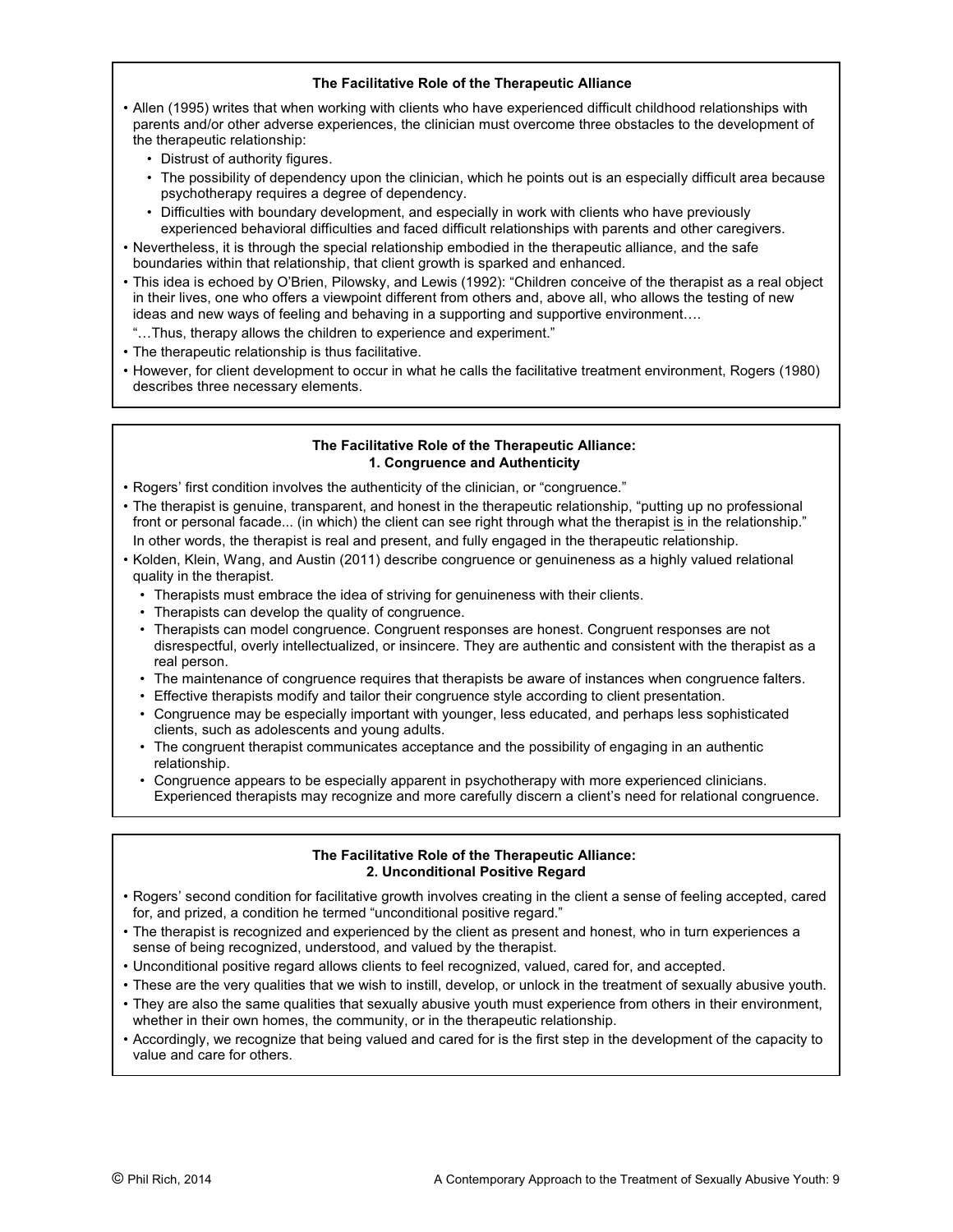# **The Facilitative Role of the Therapeutic Alliance**

- Allen (1995) writes that when working with clients who have experienced difficult childhood relationships with parents and/or other adverse experiences, the clinician must overcome three obstacles to the development of the therapeutic relationship:
	- Distrust of authority figures.
	- The possibility of dependency upon the clinician, which he points out is an especially difficult area because psychotherapy requires a degree of dependency.
	- Difficulties with boundary development, and especially in work with clients who have previously experienced behavioral difficulties and faced difficult relationships with parents and other caregivers.
- Nevertheless, it is through the special relationship embodied in the therapeutic alliance, and the safe boundaries within that relationship, that client growth is sparked and enhanced.
- This idea is echoed by O'Brien, Pilowsky, and Lewis (1992): "Children conceive of the therapist as a real object in their lives, one who offers a viewpoint different from others and, above all, who allows the testing of new ideas and new ways of feeling and behaving in a supporting and supportive environment….
- "…Thus, therapy allows the children to experience and experiment."
- The therapeutic relationship is thus facilitative.
- However, for client development to occur in what he calls the facilitative treatment environment, Rogers (1980) describes three necessary elements.

## **The Facilitative Role of the Therapeutic Alliance: 1. Congruence and Authenticity**

- Rogers' first condition involves the authenticity of the clinician, or "congruence."
- The therapist is genuine, transparent, and honest in the therapeutic relationship, "putting up no professional front or personal facade... (in which) the client can see right through what the therapist is in the relationship." In other words, the therapist is real and present, and fully engaged in the therapeutic relationship.
- Kolden, Klein, Wang, and Austin (2011) describe congruence or genuineness as a highly valued relational quality in the therapist.
	- Therapists must embrace the idea of striving for genuineness with their clients.
	- Therapists can develop the quality of congruence.
	- Therapists can model congruence. Congruent responses are honest. Congruent responses are not disrespectful, overly intellectualized, or insincere. They are authentic and consistent with the therapist as a real person.
	- The maintenance of congruence requires that therapists be aware of instances when congruence falters.
	- Effective therapists modify and tailor their congruence style according to client presentation.
	- Congruence may be especially important with younger, less educated, and perhaps less sophisticated clients, such as adolescents and young adults.
	- The congruent therapist communicates acceptance and the possibility of engaging in an authentic relationship.
	- Congruence appears to be especially apparent in psychotherapy with more experienced clinicians. Experienced therapists may recognize and more carefully discern a client's need for relational congruence.

# **The Facilitative Role of the Therapeutic Alliance: 2. Unconditional Positive Regard**

- Rogers' second condition for facilitative growth involves creating in the client a sense of feeling accepted, cared for, and prized, a condition he termed "unconditional positive regard."
- The therapist is recognized and experienced by the client as present and honest, who in turn experiences a sense of being recognized, understood, and valued by the therapist.
- Unconditional positive regard allows clients to feel recognized, valued, cared for, and accepted.
- These are the very qualities that we wish to instill, develop, or unlock in the treatment of sexually abusive youth.
- They are also the same qualities that sexually abusive youth must experience from others in their environment, whether in their own homes, the community, or in the therapeutic relationship.
- Accordingly, we recognize that being valued and cared for is the first step in the development of the capacity to value and care for others.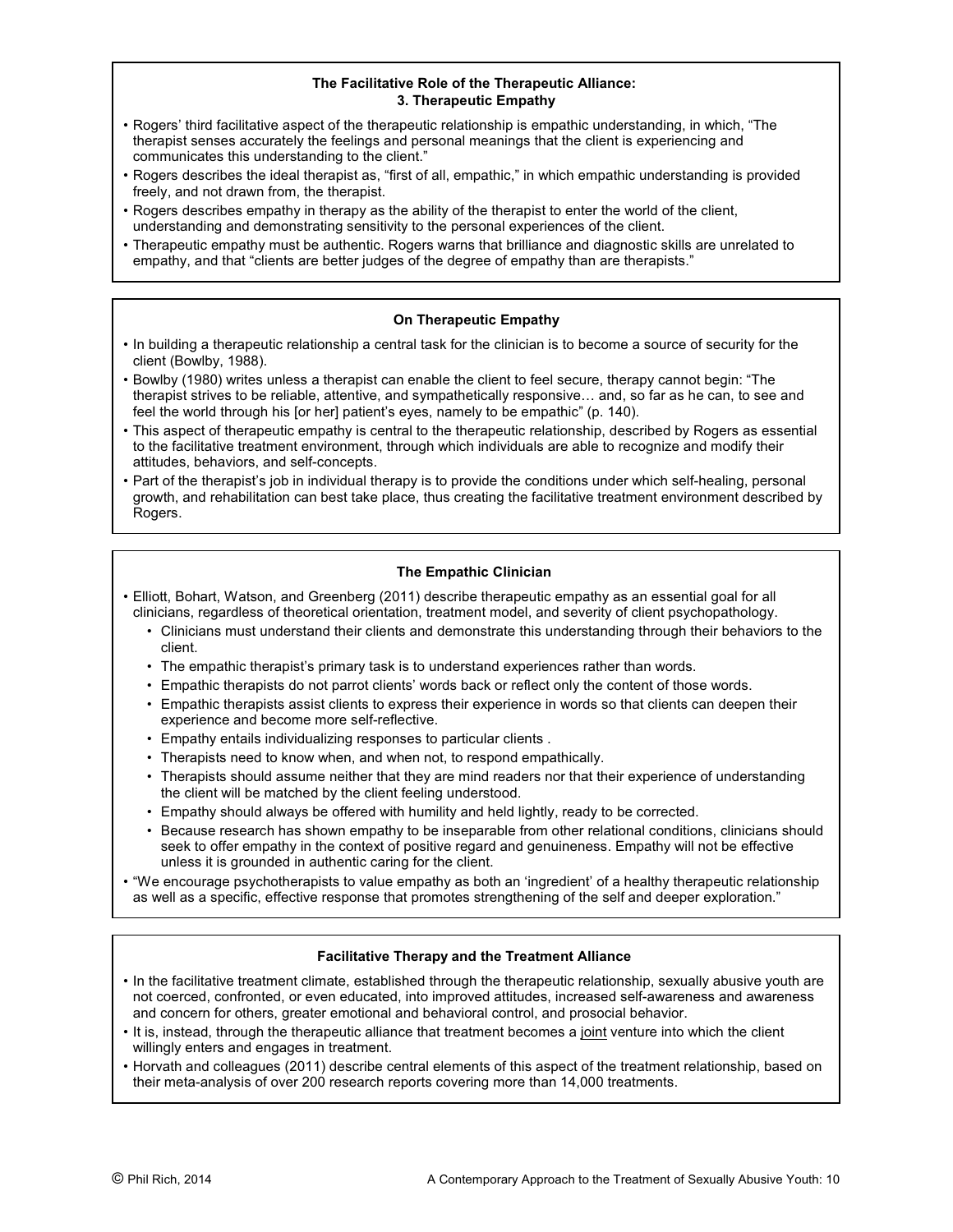#### **The Facilitative Role of the Therapeutic Alliance: 3. Therapeutic Empathy**

- Rogers' third facilitative aspect of the therapeutic relationship is empathic understanding, in which, "The therapist senses accurately the feelings and personal meanings that the client is experiencing and communicates this understanding to the client."
- Rogers describes the ideal therapist as, "first of all, empathic," in which empathic understanding is provided freely, and not drawn from, the therapist.
- Rogers describes empathy in therapy as the ability of the therapist to enter the world of the client, understanding and demonstrating sensitivity to the personal experiences of the client.
- Therapeutic empathy must be authentic. Rogers warns that brilliance and diagnostic skills are unrelated to empathy, and that "clients are better judges of the degree of empathy than are therapists."

# **On Therapeutic Empathy**

- In building a therapeutic relationship a central task for the clinician is to become a source of security for the client (Bowlby, 1988).
- Bowlby (1980) writes unless a therapist can enable the client to feel secure, therapy cannot begin: "The therapist strives to be reliable, attentive, and sympathetically responsive… and, so far as he can, to see and feel the world through his [or her] patient's eyes, namely to be empathic" (p. 140).
- This aspect of therapeutic empathy is central to the therapeutic relationship, described by Rogers as essential to the facilitative treatment environment, through which individuals are able to recognize and modify their attitudes, behaviors, and self-concepts.
- Part of the therapist's job in individual therapy is to provide the conditions under which self-healing, personal growth, and rehabilitation can best take place, thus creating the facilitative treatment environment described by Rogers.

# **The Empathic Clinician**

- Elliott, Bohart, Watson, and Greenberg (2011) describe therapeutic empathy as an essential goal for all clinicians, regardless of theoretical orientation, treatment model, and severity of client psychopathology.
	- Clinicians must understand their clients and demonstrate this understanding through their behaviors to the client.
	- The empathic therapist's primary task is to understand experiences rather than words.
	- Empathic therapists do not parrot clients' words back or reflect only the content of those words.
	- Empathic therapists assist clients to express their experience in words so that clients can deepen their experience and become more self-reflective.
	- Empathy entails individualizing responses to particular clients .
	- Therapists need to know when, and when not, to respond empathically.
	- Therapists should assume neither that they are mind readers nor that their experience of understanding the client will be matched by the client feeling understood.
	- Empathy should always be offered with humility and held lightly, ready to be corrected.
	- Because research has shown empathy to be inseparable from other relational conditions, clinicians should seek to offer empathy in the context of positive regard and genuineness. Empathy will not be effective unless it is grounded in authentic caring for the client.
- "We encourage psychotherapists to value empathy as both an 'ingredient' of a healthy therapeutic relationship as well as a specific, effective response that promotes strengthening of the self and deeper exploration."

# **Facilitative Therapy and the Treatment Alliance**

- In the facilitative treatment climate, established through the therapeutic relationship, sexually abusive youth are not coerced, confronted, or even educated, into improved attitudes, increased self-awareness and awareness and concern for others, greater emotional and behavioral control, and prosocial behavior.
- It is, instead, through the therapeutic alliance that treatment becomes a joint venture into which the client willingly enters and engages in treatment.
- Horvath and colleagues (2011) describe central elements of this aspect of the treatment relationship, based on their meta-analysis of over 200 research reports covering more than 14,000 treatments.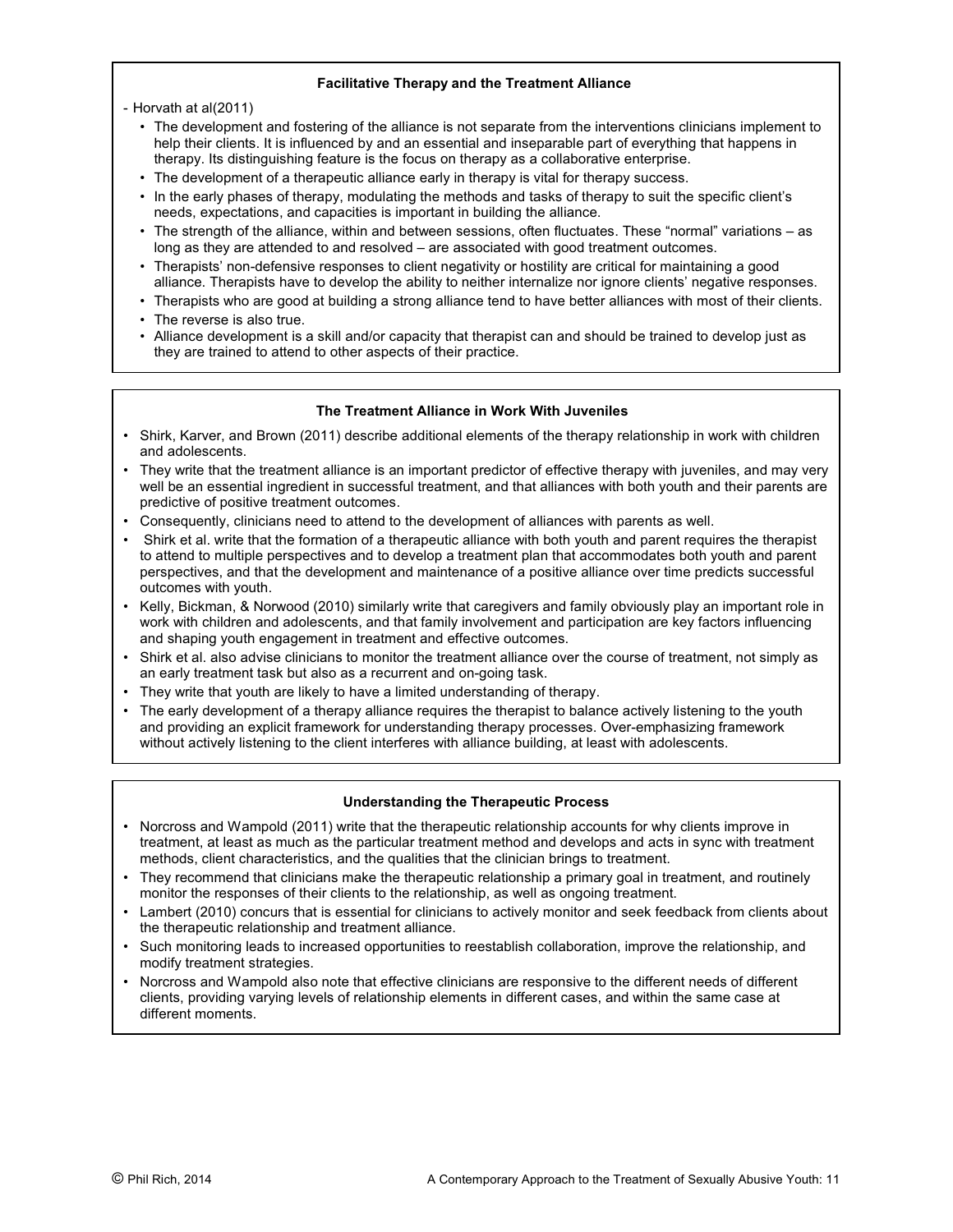## **Facilitative Therapy and the Treatment Alliance**

- Horvath at al(2011)

- The development and fostering of the alliance is not separate from the interventions clinicians implement to help their clients. It is influenced by and an essential and inseparable part of everything that happens in therapy. Its distinguishing feature is the focus on therapy as a collaborative enterprise.
- The development of a therapeutic alliance early in therapy is vital for therapy success.
- In the early phases of therapy, modulating the methods and tasks of therapy to suit the specific client's needs, expectations, and capacities is important in building the alliance.
- The strength of the alliance, within and between sessions, often fluctuates. These "normal" variations as long as they are attended to and resolved – are associated with good treatment outcomes.
- Therapists' non-defensive responses to client negativity or hostility are critical for maintaining a good alliance. Therapists have to develop the ability to neither internalize nor ignore clients' negative responses.
- Therapists who are good at building a strong alliance tend to have better alliances with most of their clients.
- The reverse is also true.
- Alliance development is a skill and/or capacity that therapist can and should be trained to develop just as they are trained to attend to other aspects of their practice.

# **The Treatment Alliance in Work With Juveniles**

- Shirk, Karver, and Brown (2011) describe additional elements of the therapy relationship in work with children and adolescents.
- They write that the treatment alliance is an important predictor of effective therapy with juveniles, and may very well be an essential ingredient in successful treatment, and that alliances with both youth and their parents are predictive of positive treatment outcomes.
- Consequently, clinicians need to attend to the development of alliances with parents as well.
- Shirk et al. write that the formation of a therapeutic alliance with both youth and parent requires the therapist to attend to multiple perspectives and to develop a treatment plan that accommodates both youth and parent perspectives, and that the development and maintenance of a positive alliance over time predicts successful outcomes with youth.
- Kelly, Bickman, & Norwood (2010) similarly write that caregivers and family obviously play an important role in work with children and adolescents, and that family involvement and participation are key factors influencing and shaping youth engagement in treatment and effective outcomes.
- Shirk et al. also advise clinicians to monitor the treatment alliance over the course of treatment, not simply as an early treatment task but also as a recurrent and on-going task.
- They write that youth are likely to have a limited understanding of therapy.
- The early development of a therapy alliance requires the therapist to balance actively listening to the youth and providing an explicit framework for understanding therapy processes. Over-emphasizing framework without actively listening to the client interferes with alliance building, at least with adolescents.

#### **Understanding the Therapeutic Process**

- Norcross and Wampold (2011) write that the therapeutic relationship accounts for why clients improve in treatment, at least as much as the particular treatment method and develops and acts in sync with treatment methods, client characteristics, and the qualities that the clinician brings to treatment.
- They recommend that clinicians make the therapeutic relationship a primary goal in treatment, and routinely monitor the responses of their clients to the relationship, as well as ongoing treatment.
- Lambert (2010) concurs that is essential for clinicians to actively monitor and seek feedback from clients about the therapeutic relationship and treatment alliance.
- Such monitoring leads to increased opportunities to reestablish collaboration, improve the relationship, and modify treatment strategies.
- Norcross and Wampold also note that effective clinicians are responsive to the different needs of different clients, providing varying levels of relationship elements in different cases, and within the same case at different moments.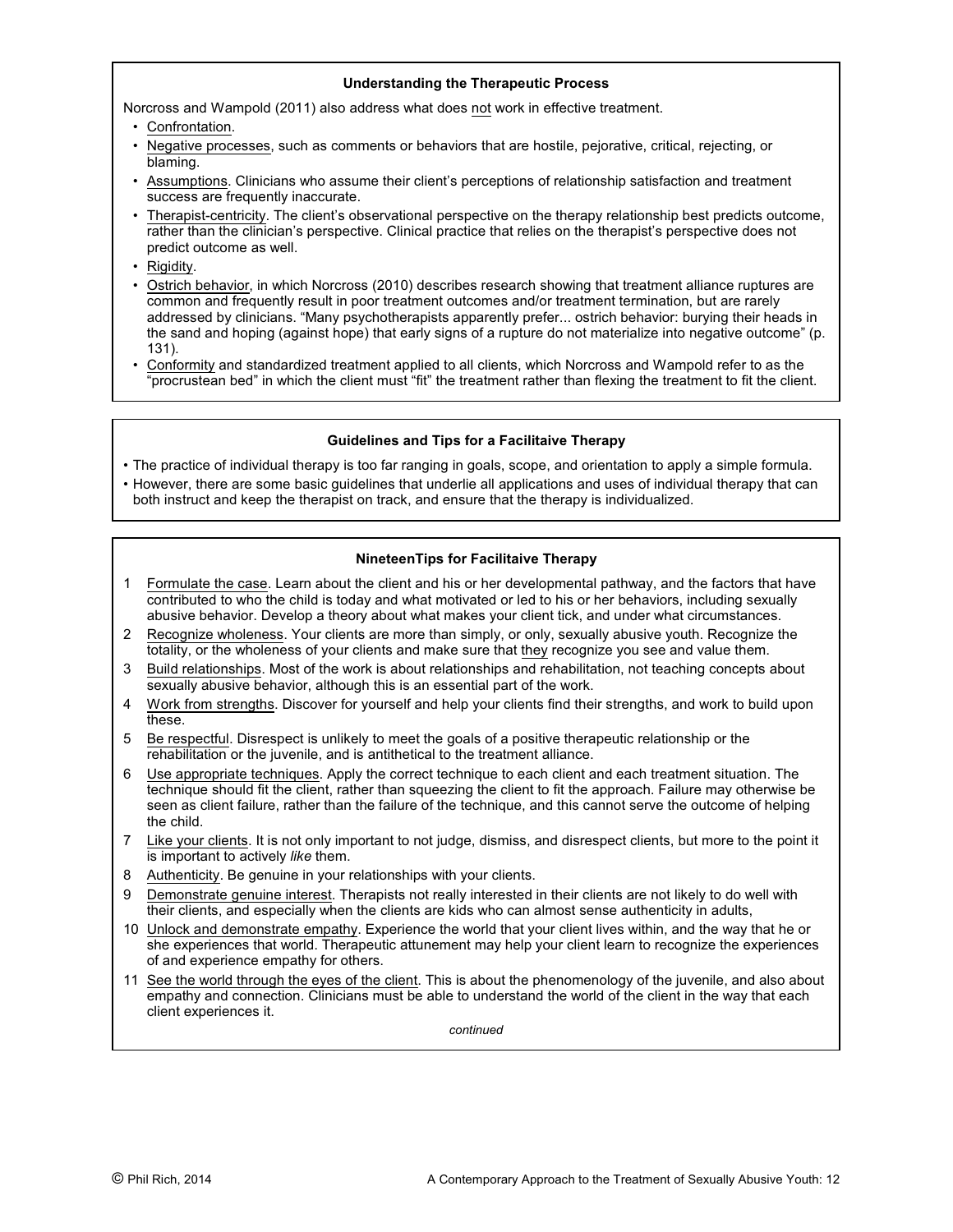## **Understanding the Therapeutic Process**

Norcross and Wampold (2011) also address what does not work in effective treatment.

- Confrontation.
- Negative processes, such as comments or behaviors that are hostile, pejorative, critical, rejecting, or blaming.
- Assumptions. Clinicians who assume their client's perceptions of relationship satisfaction and treatment success are frequently inaccurate.
- Therapist-centricity. The client's observational perspective on the therapy relationship best predicts outcome, rather than the clinician's perspective. Clinical practice that relies on the therapist's perspective does not predict outcome as well.
- Rigidity.
- Ostrich behavior, in which Norcross (2010) describes research showing that treatment alliance ruptures are common and frequently result in poor treatment outcomes and/or treatment termination, but are rarely addressed by clinicians. "Many psychotherapists apparently prefer... ostrich behavior: burying their heads in the sand and hoping (against hope) that early signs of a rupture do not materialize into negative outcome" (p. 131).
- Conformity and standardized treatment applied to all clients, which Norcross and Wampold refer to as the "procrustean bed" in which the client must "fit" the treatment rather than flexing the treatment to fit the client.

#### **Guidelines and Tips for a Facilitaive Therapy**

- The practice of individual therapy is too far ranging in goals, scope, and orientation to apply a simple formula.
- However, there are some basic guidelines that underlie all applications and uses of individual therapy that can both instruct and keep the therapist on track, and ensure that the therapy is individualized.

# **NineteenTips for Facilitaive Therapy**

- 1 Formulate the case. Learn about the client and his or her developmental pathway, and the factors that have contributed to who the child is today and what motivated or led to his or her behaviors, including sexually abusive behavior. Develop a theory about what makes your client tick, and under what circumstances.
- 2 Recognize wholeness. Your clients are more than simply, or only, sexually abusive youth. Recognize the totality, or the wholeness of your clients and make sure that they recognize you see and value them.
- 3 Build relationships. Most of the work is about relationships and rehabilitation, not teaching concepts about sexually abusive behavior, although this is an essential part of the work.
- 4 Work from strengths. Discover for yourself and help your clients find their strengths, and work to build upon these.
- 5 Be respectful. Disrespect is unlikely to meet the goals of a positive therapeutic relationship or the rehabilitation or the juvenile, and is antithetical to the treatment alliance.
- 6 Use appropriate techniques. Apply the correct technique to each client and each treatment situation. The technique should fit the client, rather than squeezing the client to fit the approach. Failure may otherwise be seen as client failure, rather than the failure of the technique, and this cannot serve the outcome of helping the child.
- 7 Like your clients. It is not only important to not judge, dismiss, and disrespect clients, but more to the point it is important to actively *like* them.
- 8 Authenticity. Be genuine in your relationships with your clients.
- 9 Demonstrate genuine interest. Therapists not really interested in their clients are not likely to do well with their clients, and especially when the clients are kids who can almost sense authenticity in adults,
- 10 Unlock and demonstrate empathy. Experience the world that your client lives within, and the way that he or she experiences that world. Therapeutic attunement may help your client learn to recognize the experiences of and experience empathy for others.
- 11 See the world through the eyes of the client. This is about the phenomenology of the juvenile, and also about empathy and connection. Clinicians must be able to understand the world of the client in the way that each client experiences it.

*continued*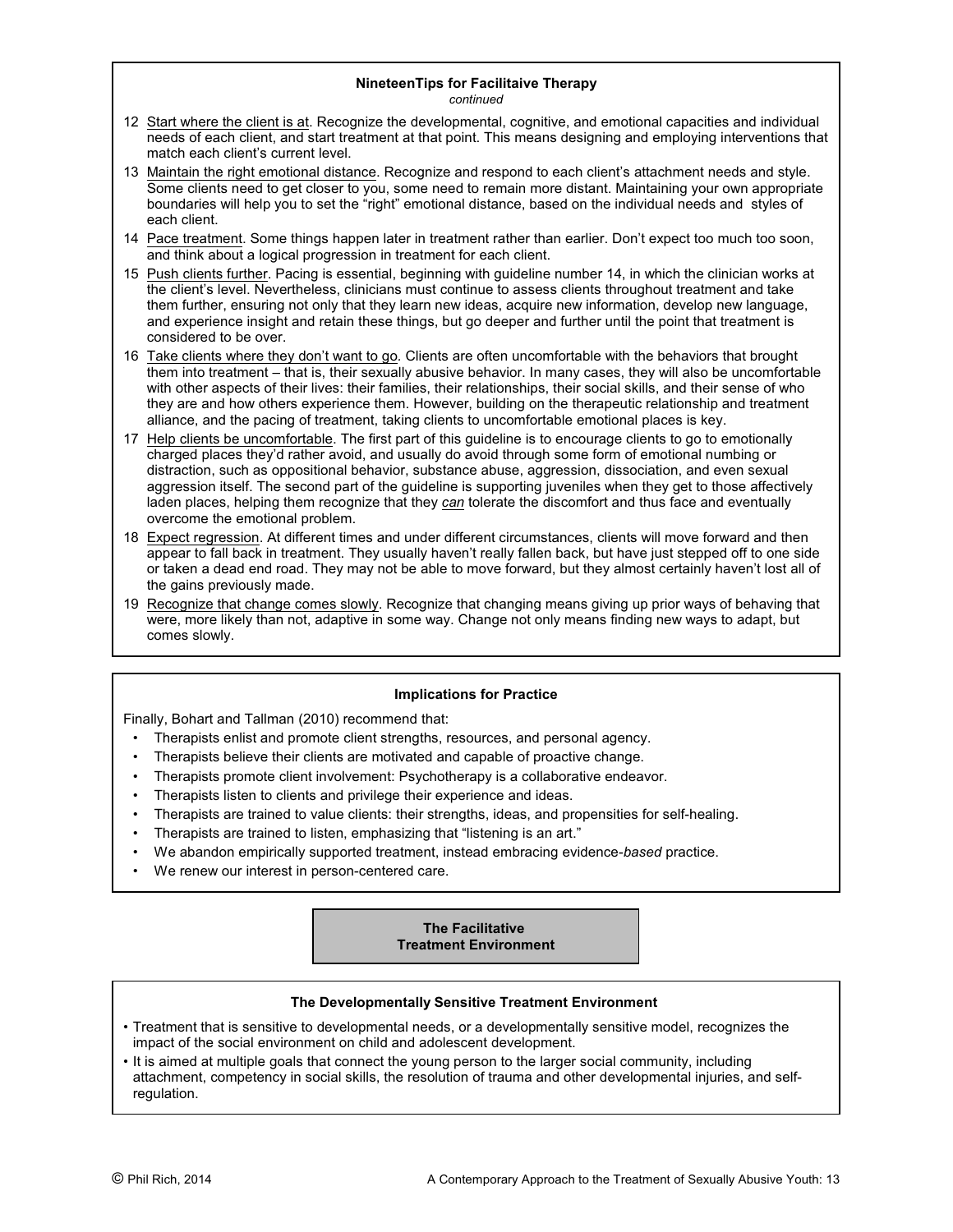#### **NineteenTips for Facilitaive Therapy** *continued*

- 12 Start where the client is at. Recognize the developmental, cognitive, and emotional capacities and individual needs of each client, and start treatment at that point. This means designing and employing interventions that match each client's current level.
- 13 Maintain the right emotional distance. Recognize and respond to each client's attachment needs and style. Some clients need to get closer to you, some need to remain more distant. Maintaining your own appropriate boundaries will help you to set the "right" emotional distance, based on the individual needs and styles of each client.
- 14 Pace treatment. Some things happen later in treatment rather than earlier. Don't expect too much too soon, and think about a logical progression in treatment for each client.
- 15 Push clients further. Pacing is essential, beginning with guideline number 14, in which the clinician works at the client's level. Nevertheless, clinicians must continue to assess clients throughout treatment and take them further, ensuring not only that they learn new ideas, acquire new information, develop new language, and experience insight and retain these things, but go deeper and further until the point that treatment is considered to be over.
- 16 Take clients where they don't want to go*.* Clients are often uncomfortable with the behaviors that brought them into treatment – that is, their sexually abusive behavior. In many cases, they will also be uncomfortable with other aspects of their lives: their families, their relationships, their social skills, and their sense of who they are and how others experience them. However, building on the therapeutic relationship and treatment alliance, and the pacing of treatment, taking clients to uncomfortable emotional places is key.
- 17 Help clients be uncomfortable. The first part of this guideline is to encourage clients to go to emotionally charged places they'd rather avoid, and usually do avoid through some form of emotional numbing or distraction, such as oppositional behavior, substance abuse, aggression, dissociation, and even sexual aggression itself. The second part of the guideline is supporting juveniles when they get to those affectively laden places, helping them recognize that they *can* tolerate the discomfort and thus face and eventually overcome the emotional problem.
- 18 Expect regression. At different times and under different circumstances, clients will move forward and then appear to fall back in treatment. They usually haven't really fallen back, but have just stepped off to one side or taken a dead end road. They may not be able to move forward, but they almost certainly haven't lost all of the gains previously made.
- 19 Recognize that change comes slowly. Recognize that changing means giving up prior ways of behaving that were, more likely than not, adaptive in some way. Change not only means finding new ways to adapt, but comes slowly.

# **Implications for Practice**

Finally, Bohart and Tallman (2010) recommend that:

- Therapists enlist and promote client strengths, resources, and personal agency.
- Therapists believe their clients are motivated and capable of proactive change.
- Therapists promote client involvement: Psychotherapy is a collaborative endeavor.
- Therapists listen to clients and privilege their experience and ideas.
- Therapists are trained to value clients: their strengths, ideas, and propensities for self-healing.
- Therapists are trained to listen, emphasizing that "listening is an art."
- We abandon empirically supported treatment, instead embracing evidence-*based* practice.
- We renew our interest in person-centered care.

# **The Facilitative Treatment Environment**

# **The Developmentally Sensitive Treatment Environment**

- Treatment that is sensitive to developmental needs, or a developmentally sensitive model, recognizes the impact of the social environment on child and adolescent development.
- It is aimed at multiple goals that connect the young person to the larger social community, including attachment, competency in social skills, the resolution of trauma and other developmental injuries, and selfregulation.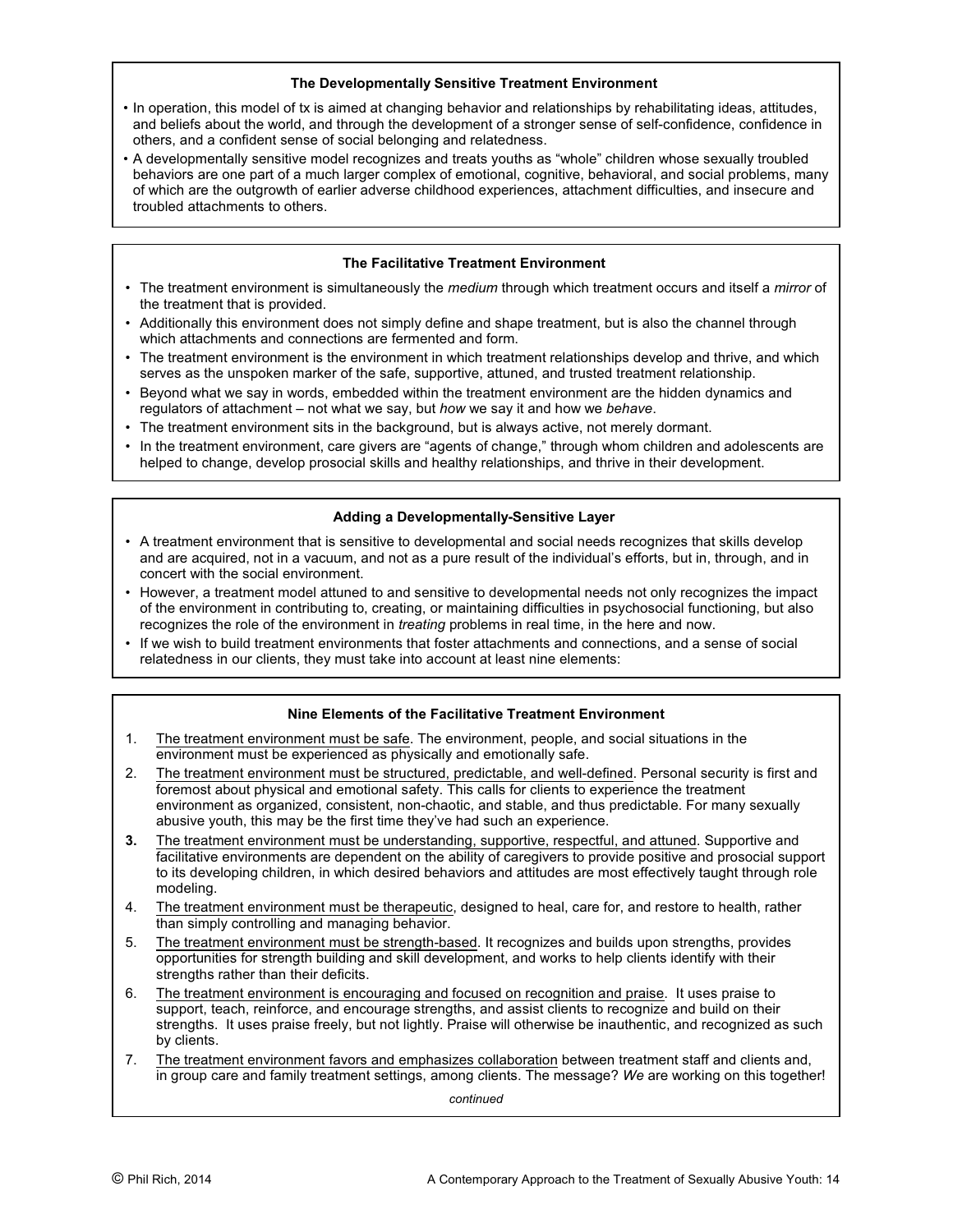## **The Developmentally Sensitive Treatment Environment**

- In operation, this model of tx is aimed at changing behavior and relationships by rehabilitating ideas, attitudes, and beliefs about the world, and through the development of a stronger sense of self-confidence, confidence in others, and a confident sense of social belonging and relatedness.
- A developmentally sensitive model recognizes and treats youths as "whole" children whose sexually troubled behaviors are one part of a much larger complex of emotional, cognitive, behavioral, and social problems, many of which are the outgrowth of earlier adverse childhood experiences, attachment difficulties, and insecure and troubled attachments to others.

# **The Facilitative Treatment Environment**

- The treatment environment is simultaneously the *medium* through which treatment occurs and itself a *mirror* of the treatment that is provided.
- Additionally this environment does not simply define and shape treatment, but is also the channel through which attachments and connections are fermented and form.
- The treatment environment is the environment in which treatment relationships develop and thrive, and which serves as the unspoken marker of the safe, supportive, attuned, and trusted treatment relationship.
- Beyond what we say in words, embedded within the treatment environment are the hidden dynamics and regulators of attachment – not what we say, but *how* we say it and how we *behave*.
- The treatment environment sits in the background, but is always active, not merely dormant.
- In the treatment environment, care givers are "agents of change," through whom children and adolescents are helped to change, develop prosocial skills and healthy relationships, and thrive in their development.

# **Adding a Developmentally-Sensitive Layer**

- A treatment environment that is sensitive to developmental and social needs recognizes that skills develop and are acquired, not in a vacuum, and not as a pure result of the individual's efforts, but in, through, and in concert with the social environment.
- However, a treatment model attuned to and sensitive to developmental needs not only recognizes the impact of the environment in contributing to, creating, or maintaining difficulties in psychosocial functioning, but also recognizes the role of the environment in *treating* problems in real time, in the here and now.
- If we wish to build treatment environments that foster attachments and connections, and a sense of social relatedness in our clients, they must take into account at least nine elements:

# **Nine Elements of the Facilitative Treatment Environment**

- 1. The treatment environment must be safe. The environment, people, and social situations in the environment must be experienced as physically and emotionally safe.
- 2. The treatment environment must be structured, predictable, and well-defined. Personal security is first and foremost about physical and emotional safety. This calls for clients to experience the treatment environment as organized, consistent, non-chaotic, and stable, and thus predictable. For many sexually abusive youth, this may be the first time they've had such an experience.
- **3.** The treatment environment must be understanding, supportive, respectful, and attuned. Supportive and facilitative environments are dependent on the ability of caregivers to provide positive and prosocial support to its developing children, in which desired behaviors and attitudes are most effectively taught through role modeling.
- 4. The treatment environment must be therapeutic, designed to heal, care for, and restore to health, rather than simply controlling and managing behavior.
- 5. The treatment environment must be strength-based. It recognizes and builds upon strengths, provides opportunities for strength building and skill development, and works to help clients identify with their strengths rather than their deficits.
- 6. The treatment environment is encouraging and focused on recognition and praise. It uses praise to support, teach, reinforce, and encourage strengths, and assist clients to recognize and build on their strengths. It uses praise freely, but not lightly. Praise will otherwise be inauthentic, and recognized as such by clients.
- 7. The treatment environment favors and emphasizes collaboration between treatment staff and clients and, in group care and family treatment settings, among *c*lients. The message? *We* are working on this together!

*continued*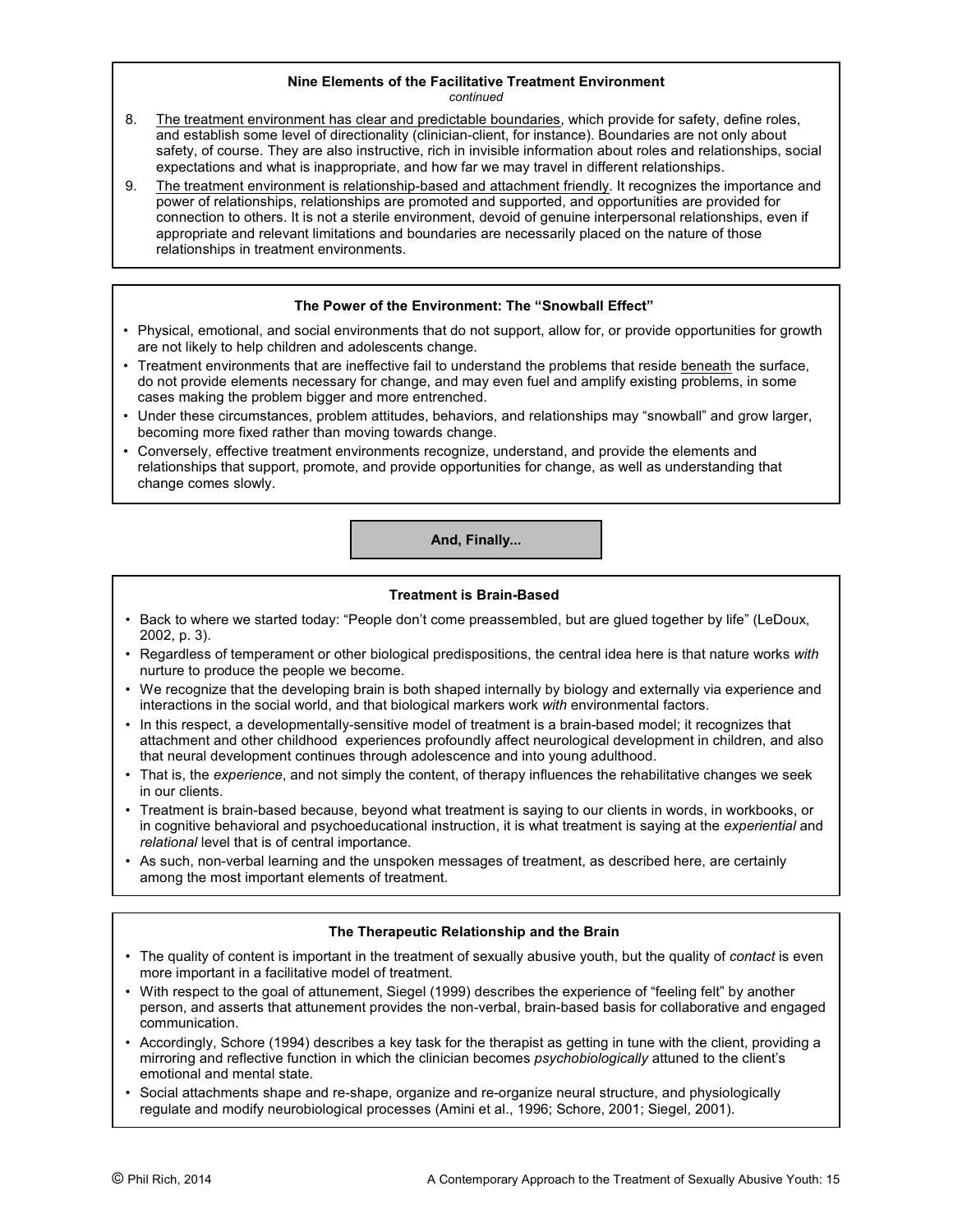#### **Nine Elements of the Facilitative Treatment Environment** *continued*

- 8. The treatment environment has clear and predictable boundaries, which provide for safety, define roles, and establish some level of directionality (clinician-client, for instance). Boundaries are not only about safety, of course. They are also instructive, rich in invisible information about roles and relationships, social expectations and what is inappropriate, and how far we may travel in different relationships.
- 9. The treatment environment is relationship-based and attachment friendly. It recognizes the importance and power of relationships, relationships are promoted and supported, and opportunities are provided for connection to others. It is not a sterile environment, devoid of genuine interpersonal relationships, even if appropriate and relevant limitations and boundaries are necessarily placed on the nature of those relationships in treatment environments.

## **The Power of the Environment: The "Snowball Effect"**

- Physical, emotional, and social environments that do not support, allow for, or provide opportunities for growth are not likely to help children and adolescents change.
- Treatment environments that are ineffective fail to understand the problems that reside beneath the surface, do not provide elements necessary for change, and may even fuel and amplify existing problems, in some cases making the problem bigger and more entrenched.
- Under these circumstances, problem attitudes, behaviors, and relationships may "snowball" and grow larger, becoming more fixed rather than moving towards change.
- Conversely, effective treatment environments recognize, understand, and provide the elements and relationships that support, promote, and provide opportunities for change, as well as understanding that change comes slowly.

**And, Finally...**

#### **Treatment is Brain-Based**

- Back to where we started today: "People don't come preassembled, but are glued together by life" (LeDoux, 2002, p. 3).
- Regardless of temperament or other biological predispositions, the central idea here is that nature works *with* nurture to produce the people we become.
- We recognize that the developing brain is both shaped internally by biology and externally via experience and interactions in the social world, and that biological markers work *with* environmental factors.
- In this respect, a developmentally-sensitive model of treatment is a brain-based model; it recognizes that attachment and other childhood experiences profoundly affect neurological development in children, and also that neural development continues through adolescence and into young adulthood.
- That is, the *experience*, and not simply the content, of therapy influences the rehabilitative changes we seek in our clients.
- Treatment is brain-based because, beyond what treatment is saying to our clients in words, in workbooks, or in cognitive behavioral and psychoeducational instruction, it is what treatment is saying at the *experiential* and *relational* level that is of central importance.
- As such, non-verbal learning and the unspoken messages of treatment, as described here, are certainly among the most important elements of treatment.

# **The Therapeutic Relationship and the Brain**

- The quality of content is important in the treatment of sexually abusive youth, but the quality of *contact* is even more important in a facilitative model of treatment.
- With respect to the goal of attunement, Siegel (1999) describes the experience of "feeling felt" by another person, and asserts that attunement provides the non-verbal, brain-based basis for collaborative and engaged communication.
- Accordingly, Schore (1994) describes a key task for the therapist as getting in tune with the client, providing a mirroring and reflective function in which the clinician becomes *psychobiologically* attuned to the client's emotional and mental state.
- Social attachments shape and re-shape, organize and re-organize neural structure, and physiologically regulate and modify neurobiological processes (Amini et al., 1996; Schore, 2001; Siegel, 2001).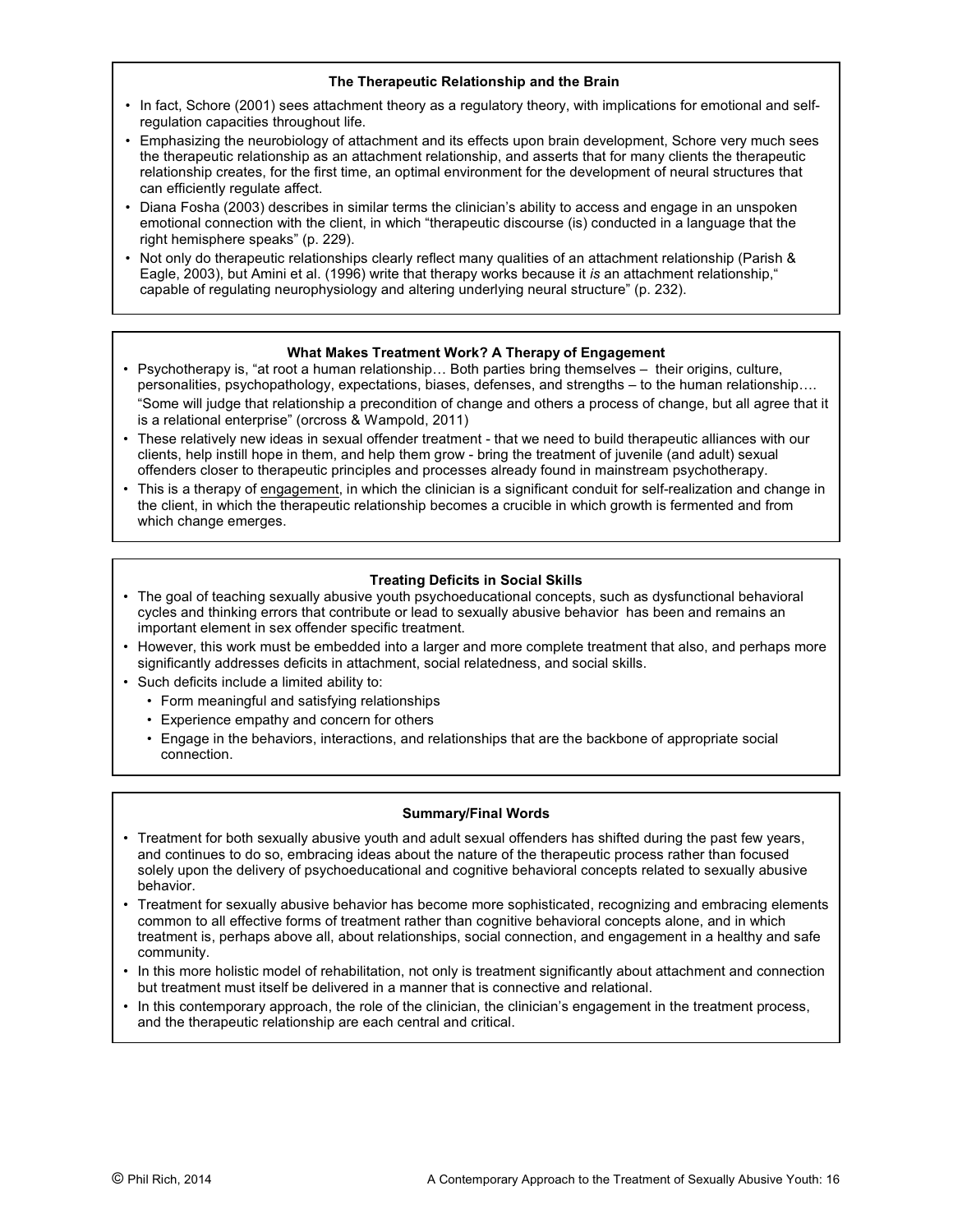# **The Therapeutic Relationship and the Brain**

- In fact, Schore (2001) sees attachment theory as a regulatory theory, with implications for emotional and selfregulation capacities throughout life.
- Emphasizing the neurobiology of attachment and its effects upon brain development, Schore very much sees the therapeutic relationship as an attachment relationship, and asserts that for many clients the therapeutic relationship creates, for the first time, an optimal environment for the development of neural structures that can efficiently regulate affect.
- Diana Fosha (2003) describes in similar terms the clinician's ability to access and engage in an unspoken emotional connection with the client, in which "therapeutic discourse (is) conducted in a language that the right hemisphere speaks" (p. 229).
- Not only do therapeutic relationships clearly reflect many qualities of an attachment relationship (Parish & Eagle, 2003), but Amini et al. (1996) write that therapy works because it *is* an attachment relationship," capable of regulating neurophysiology and altering underlying neural structure" (p. 232).

# **What Makes Treatment Work? A Therapy of Engagement**

- Psychotherapy is, "at root a human relationship… Both parties bring themselves their origins, culture, personalities, psychopathology, expectations, biases, defenses, and strengths – to the human relationship…. "Some will judge that relationship a precondition of change and others a process of change, but all agree that it is a relational enterprise" (orcross & Wampold, 2011)
- These relatively new ideas in sexual offender treatment that we need to build therapeutic alliances with our clients, help instill hope in them, and help them grow - bring the treatment of juvenile (and adult) sexual offenders closer to therapeutic principles and processes already found in mainstream psychotherapy.
- This is a therapy of engagement, in which the clinician is a significant conduit for self-realization and change in the client, in which the therapeutic relationship becomes a crucible in which growth is fermented and from which change emerges.

# **Treating Deficits in Social Skills**

- The goal of teaching sexually abusive youth psychoeducational concepts, such as dysfunctional behavioral cycles and thinking errors that contribute or lead to sexually abusive behavior has been and remains an important element in sex offender specific treatment.
- However, this work must be embedded into a larger and more complete treatment that also, and perhaps more significantly addresses deficits in attachment, social relatedness, and social skills.
- Such deficits include a limited ability to:
	- Form meaningful and satisfying relationships
	- Experience empathy and concern for others
	- Engage in the behaviors, interactions, and relationships that are the backbone of appropriate social connection.

# **Summary/Final Words**

- Treatment for both sexually abusive youth and adult sexual offenders has shifted during the past few years, and continues to do so, embracing ideas about the nature of the therapeutic process rather than focused solely upon the delivery of psychoeducational and cognitive behavioral concepts related to sexually abusive behavior.
- Treatment for sexually abusive behavior has become more sophisticated, recognizing and embracing elements common to all effective forms of treatment rather than cognitive behavioral concepts alone, and in which treatment is, perhaps above all, about relationships, social connection, and engagement in a healthy and safe community.
- In this more holistic model of rehabilitation, not only is treatment significantly about attachment and connection but treatment must itself be delivered in a manner that is connective and relational.
- In this contemporary approach, the role of the clinician, the clinician's engagement in the treatment process, and the therapeutic relationship are each central and critical.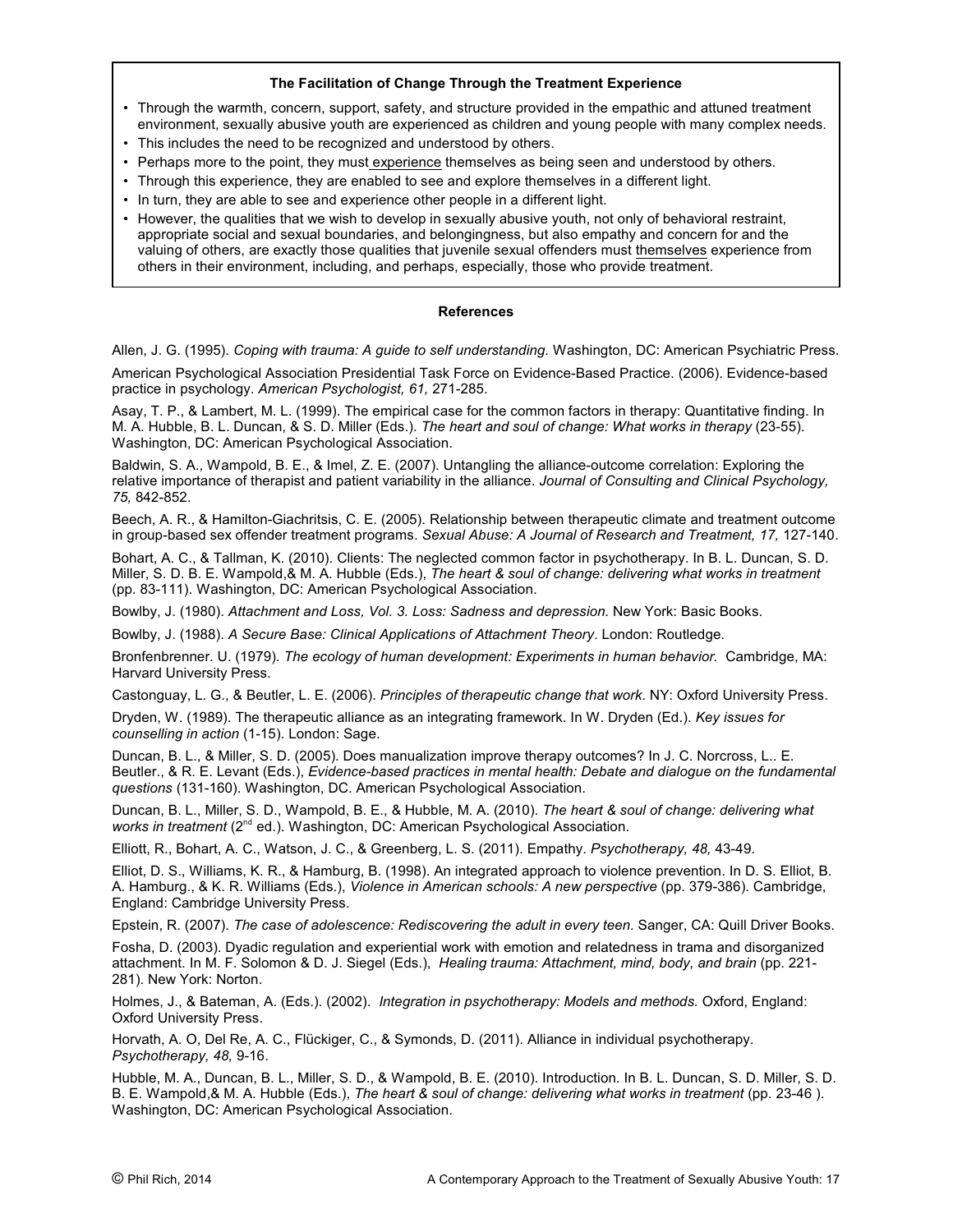# **The Facilitation of Change Through the Treatment Experience**

- Through the warmth, concern, support, safety, and structure provided in the empathic and attuned treatment environment, sexually abusive youth are experienced as children and young people with many complex needs.
- This includes the need to be recognized and understood by others.
- Perhaps more to the point, they must experience themselves as being seen and understood by others.
- Through this experience, they are enabled to see and explore themselves in a different light.
- In turn, they are able to see and experience other people in a different light.
- However, the qualities that we wish to develop in sexually abusive youth, not only of behavioral restraint, appropriate social and sexual boundaries, and belongingness, but also empathy and concern for and the valuing of others, are exactly those qualities that juvenile sexual offenders must themselves experience from others in their environment, including, and perhaps, especially, those who provide treatment.

#### **References**

Allen, J. G. (1995). *Coping with trauma: A guide to self understanding.* Washington, DC: American Psychiatric Press.

American Psychological Association Presidential Task Force on Evidence-Based Practice. (2006). Evidence-based practice in psychology. *American Psychologist, 61,* 271-285.

Asay, T. P., & Lambert, M. L. (1999). The empirical case for the common factors in therapy: Quantitative finding. In M. A. Hubble, B. L. Duncan, & S. D. Miller (Eds.). *The heart and soul of change: What works in therapy* (23-55). Washington, DC: American Psychological Association.

Baldwin, S. A., Wampold, B. E., & Imel, Z. E. (2007). Untangling the alliance-outcome correlation: Exploring the relative importance of therapist and patient variability in the alliance. *Journal of Consulting and Clinical Psychology, 75,* 842-852.

Beech, A. R., & Hamilton-Giachritsis, C. E. (2005). Relationship between therapeutic climate and treatment outcome in group-based sex offender treatment programs. *Sexual Abuse: A Journal of Research and Treatment, 17,* 127-140.

Bohart, A. C., & Tallman, K. (2010). Clients: The neglected common factor in psychotherapy. In B. L. Duncan, S. D. Miller, S. D. B. E. Wampold,& M. A. Hubble (Eds.), *The heart & soul of change: delivering what works in treatment* (pp. 83-111). Washington, DC: American Psychological Association.

Bowlby, J. (1980). *Attachment and Loss, Vol. 3. Loss: Sadness and depression.* New York: Basic Books.

Bowlby, J. (1988). *A Secure Base: Clinical Applications of Attachment Theory*. London: Routledge.

Bronfenbrenner. U. (1979). *The ecology of human development: Experiments in human behavior.* Cambridge, MA: Harvard University Press.

Castonguay, L. G., & Beutler, L. E. (2006). *Principles of therapeutic change that work*. NY: Oxford University Press.

Dryden, W. (1989). The therapeutic alliance as an integrating framework. In W. Dryden (Ed.). *Key issues for counselling in action* (1-15). London: Sage.

Duncan, B. L., & Miller, S. D. (2005). Does manualization improve therapy outcomes? In J. C. Norcross, L.. E. Beutler., & R. E. Levant (Eds.), *Evidence-based practices in mental health: Debate and dialogue on the fundamental questions* (131-160). Washington, DC. American Psychological Association.

Duncan, B. L., Miller, S. D., Wampold, B. E., & Hubble, M. A. (2010). *The heart & soul of change: delivering what works in treatment* (2<sup>nd</sup> ed.). Washington, DC: American Psychological Association.

Elliott, R., Bohart, A. C., Watson, J. C., & Greenberg, L. S. (2011). Empathy. *Psychotherapy, 48,* 43-49.

Elliot, D. S., Williams, K. R., & Hamburg, B. (1998). An integrated approach to violence prevention. In D. S. Elliot, B. A. Hamburg., & K. R. Williams (Eds.), *Violence in American schools: A new perspective* (pp. 379-386). Cambridge, England: Cambridge University Press.

Epstein, R. (2007). *The case of adolescence: Rediscovering the adult in every teen.* Sanger, CA: Quill Driver Books.

Fosha, D. (2003). Dyadic regulation and experiential work with emotion and relatedness in trama and disorganized attachment. In M. F. Solomon & D. J. Siegel (Eds.), *Healing trauma: Attachment, mind, body, and brain* (pp. 221- 281). New York: Norton.

Holmes, J., & Bateman, A. (Eds.). (2002). *Integration in psychotherapy: Models and methods.* Oxford, England: Oxford University Press.

Horvath, A. O, Del Re, A. C., Flückiger, C., & Symonds, D. (2011). Alliance in individual psychotherapy. *Psychotherapy, 48,* 9-16.

Hubble, M. A., Duncan, B. L., Miller, S. D., & Wampold, B. E. (2010). Introduction. In B. L. Duncan, S. D. Miller, S. D. B. E. Wampold,& M. A. Hubble (Eds.), *The heart & soul of change: delivering what works in treatment* (pp. 23-46 ). Washington, DC: American Psychological Association.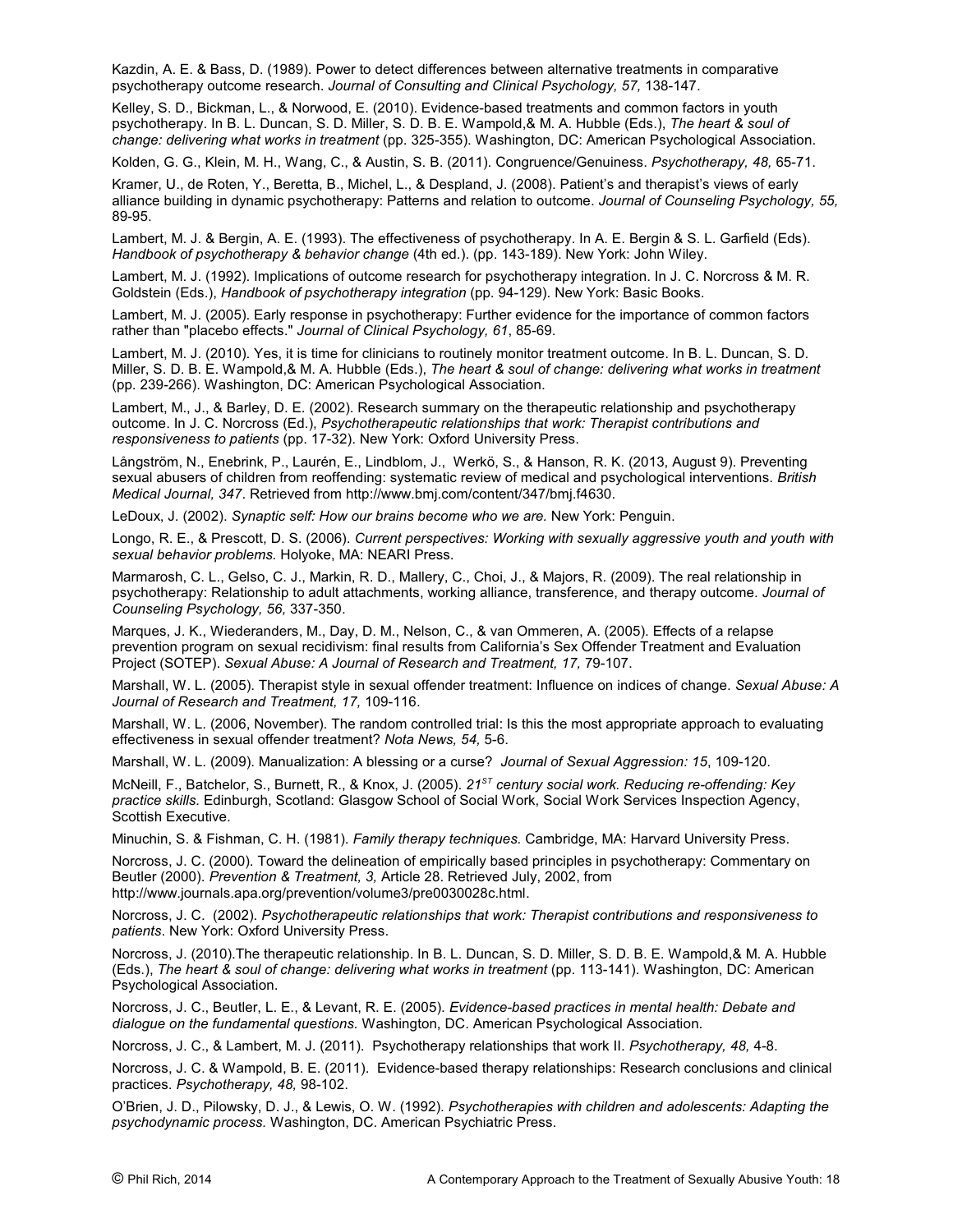Kazdin, A. E. & Bass, D. (1989). Power to detect differences between alternative treatments in comparative psychotherapy outcome research. *Journal of Consulting and Clinical Psychology, 57,* 138-147.

Kelley, S. D., Bickman, L., & Norwood, E. (2010). Evidence-based treatments and common factors in youth psychotherapy. In B. L. Duncan, S. D. Miller, S. D. B. E. Wampold,& M. A. Hubble (Eds.), *The heart & soul of change: delivering what works in treatment* (pp. 325-355). Washington, DC: American Psychological Association.

Kolden, G. G., Klein, M. H., Wang, C., & Austin, S. B. (2011). Congruence/Genuiness. *Psychotherapy, 48,* 65-71.

Kramer, U., de Roten, Y., Beretta, B., Michel, L., & Despland, J. (2008). Patient's and therapist's views of early alliance building in dynamic psychotherapy: Patterns and relation to outcome. *Journal of Counseling Psychology, 55,* 89-95.

Lambert, M. J. & Bergin, A. E. (1993). The effectiveness of psychotherapy. In A. E. Bergin & S. L. Garfield (Eds). *Handbook of psychotherapy & behavior change* (4th ed.). (pp. 143-189). New York: John Wiley.

Lambert, M. J. (1992). Implications of outcome research for psychotherapy integration. In J. C. Norcross & M. R. Goldstein (Eds.), *Handbook of psychotherapy integration* (pp. 94-129). New York: Basic Books.

Lambert, M. J. (2005). Early response in psychotherapy: Further evidence for the importance of common factors rather than "placebo effects." *Journal of Clinical Psychology, 61*, 85-69.

Lambert, M. J. (2010). Yes, it is time for clinicians to routinely monitor treatment outcome. In B. L. Duncan, S. D. Miller, S. D. B. E. Wampold,& M. A. Hubble (Eds.), *The heart & soul of change: delivering what works in treatment* (pp. 239-266). Washington, DC: American Psychological Association.

Lambert, M., J., & Barley, D. E. (2002). Research summary on the therapeutic relationship and psychotherapy outcome. In J. C. Norcross (Ed.), *Psychotherapeutic relationships that work: Therapist contributions and responsiveness to patients* (pp. 17-32). New York: Oxford University Press.

Långström, N., Enebrink, P., Laurén, E., Lindblom, J., Werkö, S., & Hanson, R. K. (2013, August 9). Preventing sexual abusers of children from reoffending: systematic review of medical and psychological interventions. *British Medical Journal, 347*. Retrieved from http://www.bmj.com/content/347/bmj.f4630.

LeDoux, J. (2002). *Synaptic self: How our brains become who we are.* New York: Penguin.

Longo, R. E., & Prescott, D. S. (2006). *Current perspectives: Working with sexually aggressive youth and youth with sexual behavior problems.* Holyoke, MA: NEARI Press.

Marmarosh, C. L., Gelso, C. J., Markin, R. D., Mallery, C., Choi, J., & Majors, R. (2009). The real relationship in psychotherapy: Relationship to adult attachments, working alliance, transference, and therapy outcome. *Journal of Counseling Psychology, 56,* 337-350.

Marques, J. K., Wiederanders, M., Day, D. M., Nelson, C., & van Ommeren, A. (2005). Effects of a relapse prevention program on sexual recidivism: final results from California's Sex Offender Treatment and Evaluation Project (SOTEP). *Sexual Abuse: A Journal of Research and Treatment, 17,* 79-107.

Marshall, W. L. (2005). Therapist style in sexual offender treatment: Influence on indices of change. *Sexual Abuse: A Journal of Research and Treatment, 17,* 109-116.

Marshall, W. L. (2006, November). The random controlled trial: Is this the most appropriate approach to evaluating effectiveness in sexual offender treatment? *Nota News, 54,* 5-6.

Marshall, W. L. (2009). Manualization: A blessing or a curse? *Journal of Sexual Aggression: 15*, 109-120.

McNeill, F., Batchelor, S., Burnett, R., & Knox, J. (2005). 21<sup>ST</sup> century social work. Reducing re-offending: Key *practice skills.* Edinburgh, Scotland: Glasgow School of Social Work, Social Work Services Inspection Agency, Scottish Executive.

Minuchin, S. & Fishman, C. H. (1981). *Family therapy techniques.* Cambridge, MA: Harvard University Press.

Norcross, J. C. (2000). Toward the delineation of empirically based principles in psychotherapy: Commentary on Beutler (2000). *Prevention & Treatment, 3,* Article 28. Retrieved July, 2002, from http://www.journals.apa.org/prevention/volume3/pre0030028c.html.

Norcross, J. C. (2002). *Psychotherapeutic relationships that work: Therapist contributions and responsiveness to patients*. New York: Oxford University Press.

Norcross, J. (2010).The therapeutic relationship. In B. L. Duncan, S. D. Miller, S. D. B. E. Wampold,& M. A. Hubble (Eds.), *The heart & soul of change: delivering what works in treatment* (pp. 113-141). Washington, DC: American Psychological Association.

Norcross, J. C., Beutler, L. E., & Levant, R. E. (2005). *Evidence-based practices in mental health: Debate and dialogue on the fundamental questions.* Washington, DC. American Psychological Association.

Norcross, J. C., & Lambert, M. J. (2011). Psychotherapy relationships that work II. *Psychotherapy, 48,* 4-8.

Norcross, J. C. & Wampold, B. E. (2011). Evidence-based therapy relationships: Research conclusions and clinical practices. *Psychotherapy, 48,* 98-102.

O'Brien, J. D., Pilowsky, D. J., & Lewis, O. W. (1992). *Psychotherapies with children and adolescents: Adapting the psychodynamic process.* Washington, DC. American Psychiatric Press.